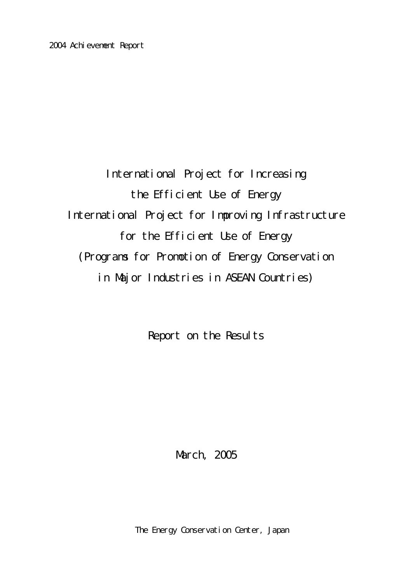International Project for Increasing the Efficient Use of Energy International Project for Improving Infrastructure for the Efficient Use of Energy (Programs for Promotion of Energy Conservation in Major Industries in ASEAN Countries)

Report on the Results

March, 2005

The Energy Conservation Center, Japan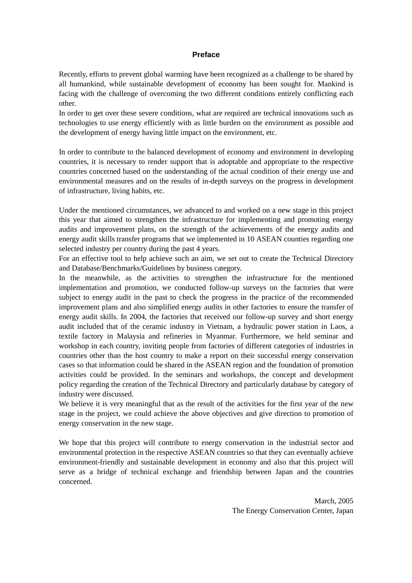#### **Preface**

Recently, efforts to prevent global warming have been recognized as a challenge to be shared by all humankind, while sustainable development of economy has been sought for. Mankind is facing with the challenge of overcoming the two different conditions entirely conflicting each other.

In order to get over these severe conditions, what are required are technical innovations such as technologies to use energy efficiently with as little burden on the environment as possible and the development of energy having little impact on the environment, etc.

In order to contribute to the balanced development of economy and environment in developing countries, it is necessary to render support that is adoptable and appropriate to the respective countries concerned based on the understanding of the actual condition of their energy use and environmental measures and on the results of in-depth surveys on the progress in development of infrastructure, living habits, etc.

Under the mentioned circumstances, we advanced to and worked on a new stage in this project this year that aimed to strengthen the infrastructure for implementing and promoting energy audits and improvement plans, on the strength of the achievements of the energy audits and energy audit skills transfer programs that we implemented in 10 ASEAN counties regarding one selected industry per country during the past 4 years.

For an effective tool to help achieve such an aim, we set out to create the Technical Directory and Database/Benchmarks/Guidelines by business category.

In the meanwhile, as the activities to strengthen the infrastructure for the mentioned implementation and promotion, we conducted follow-up surveys on the factories that were subject to energy audit in the past to check the progress in the practice of the recommended improvement plans and also simplified energy audits in other factories to ensure the transfer of energy audit skills. In 2004, the factories that received our follow-up survey and short energy audit included that of the ceramic industry in Vietnam, a hydraulic power station in Laos, a textile factory in Malaysia and refineries in Myanmar. Furthermore, we held seminar and workshop in each country, inviting people from factories of different categories of industries in countries other than the host country to make a report on their successful energy conservation cases so that information could be shared in the ASEAN region and the foundation of promotion activities could be provided. In the seminars and workshops, the concept and development policy regarding the creation of the Technical Directory and particularly database by category of industry were discussed.

We believe it is very meaningful that as the result of the activities for the first year of the new stage in the project, we could achieve the above objectives and give direction to promotion of energy conservation in the new stage.

We hope that this project will contribute to energy conservation in the industrial sector and environmental protection in the respective ASEAN countries so that they can eventually achieve environment-friendly and sustainable development in economy and also that this project will serve as a bridge of technical exchange and friendship between Japan and the countries concerned.

> March, 2005 The Energy Conservation Center, Japan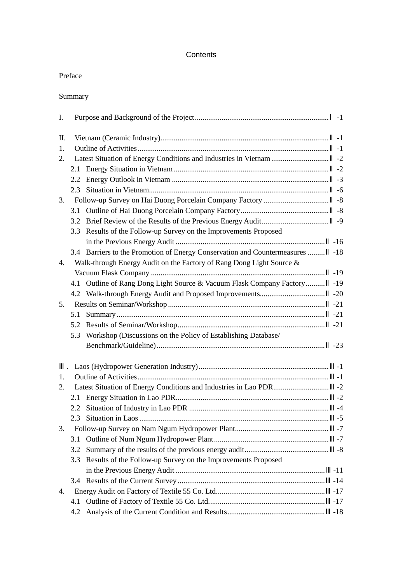# **Contents**

| Summary |
|---------|
|---------|

| I. |     |                                                                          | $-1$  |
|----|-----|--------------------------------------------------------------------------|-------|
| Π. |     |                                                                          | $-1$  |
| 1. |     |                                                                          | $-1$  |
| 2. |     |                                                                          | $-2$  |
|    | 2.1 |                                                                          | $-2$  |
|    | 2.2 |                                                                          | $-3$  |
|    | 2.3 |                                                                          | $-6$  |
| 3. |     |                                                                          | $-8$  |
|    | 3.1 |                                                                          | $-8$  |
|    |     |                                                                          | $-9$  |
|    |     | 3.3 Results of the Follow-up Survey on the Improvements Proposed         |       |
|    |     |                                                                          | $-16$ |
|    |     | 3.4 Barriers to the Promotion of Energy Conservation and Countermeasures | $-18$ |
| 4. |     | Walk-through Energy Audit on the Factory of Rang Dong Light Source &     |       |
|    |     |                                                                          | $-19$ |
|    |     | 4.1 Outline of Rang Dong Light Source & Vacuum Flask Company Factory     | $-19$ |
|    |     |                                                                          | $-20$ |
| 5. |     |                                                                          | $-21$ |
|    | 5.1 |                                                                          | $-21$ |
|    |     |                                                                          | $-21$ |
|    | 5.3 | Workshop (Discussions on the Policy of Establishing Database/            |       |
|    |     |                                                                          | $-23$ |
|    |     |                                                                          |       |
|    |     |                                                                          | $-1$  |
| 1. |     |                                                                          | $-1$  |
| 2. |     |                                                                          | $-2$  |
|    | 2.1 |                                                                          | $-2$  |
|    | 2.2 |                                                                          | $-4$  |
|    | 2.3 |                                                                          | $-5$  |
| 3. |     |                                                                          | -7    |
|    | 3.1 |                                                                          | $-7$  |
|    | 3.2 |                                                                          | -8    |
|    |     | 3.3 Results of the Follow-up Survey on the Improvements Proposed         |       |
|    |     |                                                                          | -11   |
|    |     |                                                                          | $-14$ |
| 4. |     |                                                                          | $-17$ |
|    | 4.1 |                                                                          | $-17$ |
|    | 4.2 |                                                                          | $-18$ |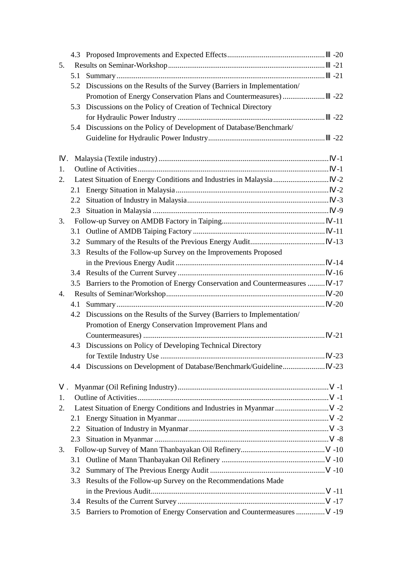|    |     |                                                                           | $-20$ |
|----|-----|---------------------------------------------------------------------------|-------|
| 5. |     |                                                                           | $-21$ |
|    | 5.1 |                                                                           | $-21$ |
|    | 5.2 | Discussions on the Results of the Survey (Barriers in Implementation/     |       |
|    |     | Promotion of Energy Conservation Plans and Countermeasures)               | $-22$ |
|    | 5.3 | Discussions on the Policy of Creation of Technical Directory              |       |
|    |     |                                                                           | $-22$ |
|    | 5.4 | Discussions on the Policy of Development of Database/Benchmark/           |       |
|    |     |                                                                           | $-22$ |
|    |     |                                                                           | $-1$  |
| 1. |     |                                                                           | $-1$  |
| 2. |     |                                                                           | $-2$  |
|    |     |                                                                           | $-2$  |
|    |     |                                                                           | $-3$  |
|    |     |                                                                           | $-9$  |
| 3. |     |                                                                           | $-11$ |
|    | 3.1 |                                                                           | $-11$ |
|    | 3.2 |                                                                           | $-13$ |
|    | 3.3 | Results of the Follow-up Survey on the Improvements Proposed              |       |
|    |     |                                                                           | $-14$ |
|    |     |                                                                           | $-16$ |
|    |     | 3.5 Barriers to the Promotion of Energy Conservation and Countermeasures  | $-17$ |
| 4. |     |                                                                           | $-20$ |
|    | 4.1 |                                                                           | $-20$ |
|    |     | 4.2 Discussions on the Results of the Survey (Barriers to Implementation/ |       |
|    |     | Promotion of Energy Conservation Improvement Plans and                    |       |
|    |     |                                                                           | $-21$ |
|    | 4.3 | Discussions on Policy of Developing Technical Directory                   |       |
|    |     |                                                                           | $-23$ |
|    |     |                                                                           | $-23$ |
|    |     |                                                                           | $-1$  |
| 1. |     |                                                                           | -1    |
| 2. |     |                                                                           | $-2$  |
|    |     |                                                                           | $-2$  |
|    | 2.2 |                                                                           | $-3$  |
|    | 2.3 |                                                                           | $-8$  |
| 3. |     |                                                                           | $-10$ |
|    | 3.1 |                                                                           | $-10$ |
|    | 3.2 |                                                                           | $-10$ |
|    | 3.3 | Results of the Follow-up Survey on the Recommendations Made               |       |
|    |     |                                                                           | -11   |
|    |     |                                                                           | $-17$ |
|    | 3.5 | Barriers to Promotion of Energy Conservation and Countermeasures          | $-19$ |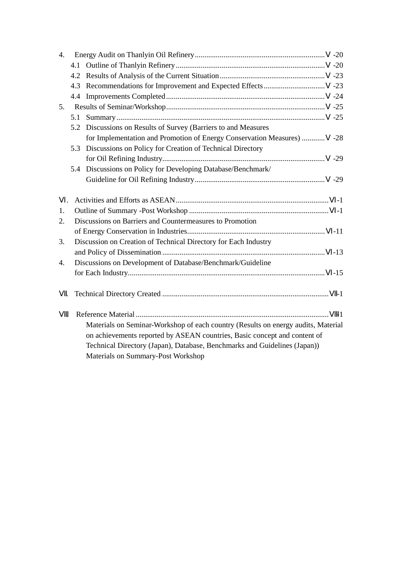| 4. |     |                                                                                                                                                                                                                                                                                   | $-20$ |
|----|-----|-----------------------------------------------------------------------------------------------------------------------------------------------------------------------------------------------------------------------------------------------------------------------------------|-------|
|    |     |                                                                                                                                                                                                                                                                                   | $-20$ |
|    |     |                                                                                                                                                                                                                                                                                   | $-23$ |
|    |     |                                                                                                                                                                                                                                                                                   | $-23$ |
|    | 4.4 |                                                                                                                                                                                                                                                                                   | $-24$ |
| 5. |     |                                                                                                                                                                                                                                                                                   | $-25$ |
|    | 5.1 |                                                                                                                                                                                                                                                                                   | $-25$ |
|    |     | 5.2 Discussions on Results of Survey (Barriers to and Measures                                                                                                                                                                                                                    |       |
|    |     | for Implementation and Promotion of Energy Conservation Measures)                                                                                                                                                                                                                 | $-28$ |
|    | 5.3 | Discussions on Policy for Creation of Technical Directory                                                                                                                                                                                                                         |       |
|    |     |                                                                                                                                                                                                                                                                                   | $-29$ |
|    |     | 5.4 Discussions on Policy for Developing Database/Benchmark/                                                                                                                                                                                                                      |       |
|    |     |                                                                                                                                                                                                                                                                                   | $-29$ |
|    |     |                                                                                                                                                                                                                                                                                   |       |
|    |     |                                                                                                                                                                                                                                                                                   | $-1$  |
| 1. |     |                                                                                                                                                                                                                                                                                   | $-1$  |
| 2. |     | Discussions on Barriers and Countermeasures to Promotion                                                                                                                                                                                                                          |       |
|    |     |                                                                                                                                                                                                                                                                                   | $-11$ |
| 3. |     | Discussion on Creation of Technical Directory for Each Industry                                                                                                                                                                                                                   |       |
|    |     |                                                                                                                                                                                                                                                                                   | $-13$ |
| 4. |     | Discussions on Development of Database/Benchmark/Guideline                                                                                                                                                                                                                        |       |
|    |     |                                                                                                                                                                                                                                                                                   | $-15$ |
|    |     |                                                                                                                                                                                                                                                                                   | $-1$  |
|    |     | Materials on Seminar-Workshop of each country (Results on energy audits, Material<br>on achievements reported by ASEAN countries, Basic concept and content of<br>Technical Directory (Japan), Database, Benchmarks and Guidelines (Japan))<br>Materials on Summary-Post Workshop | $-1$  |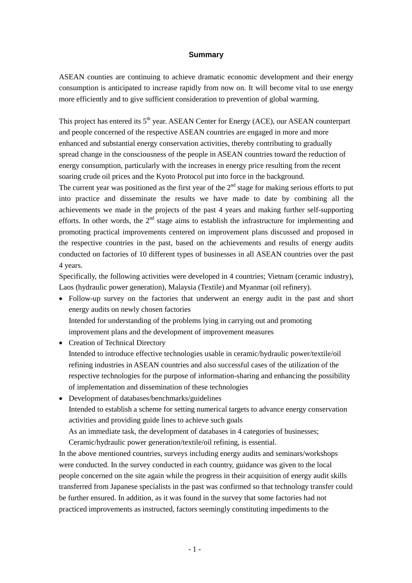#### **Summary**

ASEAN counties are continuing to achieve dramatic economic development and their energy consumption is anticipated to increase rapidly from now on. It will become vital to use energy more efficiently and to give sufficient consideration to prevention of global warming.

This project has entered its 5<sup>th</sup> year. ASEAN Center for Energy (ACE), our ASEAN counterpart and people concerned of the respective ASEAN countries are engaged in more and more enhanced and substantial energy conservation activities, thereby contributing to gradually spread change in the consciousness of the people in ASEAN countries toward the reduction of energy consumption, particularly with the increases in energy price resulting from the recent soaring crude oil prices and the Kyoto Protocol put into force in the background.

The current year was positioned as the first year of the  $2<sup>nd</sup>$  stage for making serious efforts to put into practice and disseminate the results we have made to date by combining all the achievements we made in the projects of the past 4 years and making further self-supporting efforts. In other words, the  $2<sup>nd</sup>$  stage aims to establish the infrastructure for implementing and promoting practical improvements centered on improvement plans discussed and proposed in the respective countries in the past, based on the achievements and results of energy audits conducted on factories of 10 different types of businesses in all ASEAN countries over the past 4 years.

Specifically, the following activities were developed in 4 countries; Vietnam (ceramic industry), Laos (hydraulic power generation), Malaysia (Textile) and Myanmar (oil refinery).

- Follow-up survey on the factories that underwent an energy audit in the past and short energy audits on newly chosen factories Intended for understanding of the problems lying in carrying out and promoting improvement plans and the development of improvement measures
- Creation of Technical Directory Intended to introduce effective technologies usable in ceramic/hydraulic power/textile/oil refining industries in ASEAN countries and also successful cases of the utilization of the respective technologies for the purpose of information-sharing and enhancing the possibility of implementation and dissemination of these technologies

• Development of databases/benchmarks/guidelines Intended to establish a scheme for setting numerical targets to advance energy conservation activities and providing guide lines to achieve such goals As an immediate task, the development of databases in 4 categories of businesses; Ceramic/hydraulic power generation/textile/oil refining, is essential.

In the above mentioned countries, surveys including energy audits and seminars/workshops were conducted. In the survey conducted in each country, guidance was given to the local people concerned on the site again while the progress in their acquisition of energy audit skills transferred from Japanese specialists in the past was confirmed so that technology transfer could be further ensured. In addition, as it was found in the survey that some factories had not practiced improvements as instructed, factors seemingly constituting impediments to the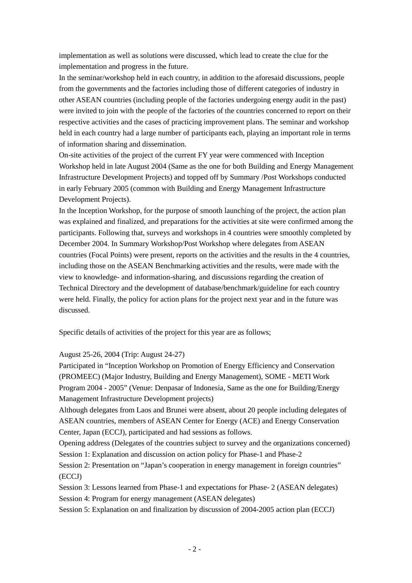implementation as well as solutions were discussed, which lead to create the clue for the implementation and progress in the future.

In the seminar/workshop held in each country, in addition to the aforesaid discussions, people from the governments and the factories including those of different categories of industry in other ASEAN countries (including people of the factories undergoing energy audit in the past) were invited to join with the people of the factories of the countries concerned to report on their respective activities and the cases of practicing improvement plans. The seminar and workshop held in each country had a large number of participants each, playing an important role in terms of information sharing and dissemination.

On-site activities of the project of the current FY year were commenced with Inception Workshop held in late August 2004 (Same as the one for both Building and Energy Management Infrastructure Development Projects) and topped off by Summary /Post Workshops conducted in early February 2005 (common with Building and Energy Management Infrastructure Development Projects).

In the Inception Workshop, for the purpose of smooth launching of the project, the action plan was explained and finalized, and preparations for the activities at site were confirmed among the participants. Following that, surveys and workshops in 4 countries were smoothly completed by December 2004. In Summary Workshop/Post Workshop where delegates from ASEAN countries (Focal Points) were present, reports on the activities and the results in the 4 countries, including those on the ASEAN Benchmarking activities and the results, were made with the view to knowledge- and information-sharing, and discussions regarding the creation of Technical Directory and the development of database/benchmark/guideline for each country were held. Finally, the policy for action plans for the project next year and in the future was discussed.

Specific details of activities of the project for this year are as follows;

August 25-26, 2004 (Trip: August 24-27)

Participated in "Inception Workshop on Promotion of Energy Efficiency and Conservation (PROMEEC) (Major Industry, Building and Energy Management), SOME - METI Work Program 2004 - 2005" (Venue: Denpasar of Indonesia, Same as the one for Building/Energy Management Infrastructure Development projects)

Although delegates from Laos and Brunei were absent, about 20 people including delegates of ASEAN countries, members of ASEAN Center for Energy (ACE) and Energy Conservation Center, Japan (ECCJ), participated and had sessions as follows.

Opening address (Delegates of the countries subject to survey and the organizations concerned) Session 1: Explanation and discussion on action policy for Phase-1 and Phase-2

Session 2: Presentation on "Japan's cooperation in energy management in foreign countries" (ECCJ)

Session 3: Lessons learned from Phase-1 and expectations for Phase- 2 (ASEAN delegates) Session 4: Program for energy management (ASEAN delegates)

Session 5: Explanation on and finalization by discussion of 2004-2005 action plan (ECCJ)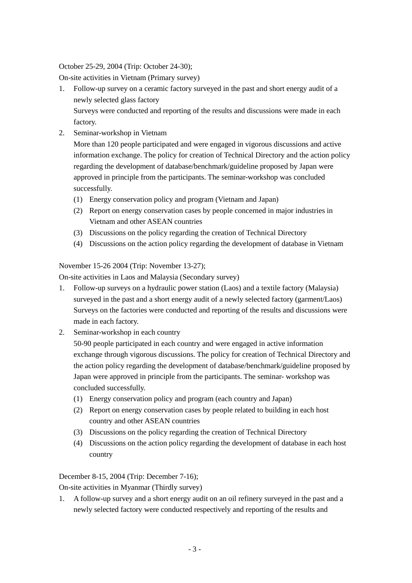# October 25-29, 2004 (Trip: October 24-30);

On-site activities in Vietnam (Primary survey)

- 1. Follow-up survey on a ceramic factory surveyed in the past and short energy audit of a newly selected glass factory Surveys were conducted and reporting of the results and discussions were made in each factory.
- 2. Seminar-workshop in Vietnam

More than 120 people participated and were engaged in vigorous discussions and active information exchange. The policy for creation of Technical Directory and the action policy regarding the development of database/benchmark/guideline proposed by Japan were approved in principle from the participants. The seminar-workshop was concluded successfully.

- (1) Energy conservation policy and program (Vietnam and Japan)
- (2) Report on energy conservation cases by people concerned in major industries in Vietnam and other ASEAN countries
- (3) Discussions on the policy regarding the creation of Technical Directory
- (4) Discussions on the action policy regarding the development of database in Vietnam

# November 15-26 2004 (Trip: November 13-27);

On-site activities in Laos and Malaysia (Secondary survey)

- 1. Follow-up surveys on a hydraulic power station (Laos) and a textile factory (Malaysia) surveyed in the past and a short energy audit of a newly selected factory (garment/Laos) Surveys on the factories were conducted and reporting of the results and discussions were made in each factory.
- 2. Seminar-workshop in each country

 50-90 people participated in each country and were engaged in active information exchange through vigorous discussions. The policy for creation of Technical Directory and the action policy regarding the development of database/benchmark/guideline proposed by Japan were approved in principle from the participants. The seminar- workshop was concluded successfully.

- (1) Energy conservation policy and program (each country and Japan)
- (2) Report on energy conservation cases by people related to building in each host country and other ASEAN countries
- (3) Discussions on the policy regarding the creation of Technical Directory
- (4) Discussions on the action policy regarding the development of database in each host country

December 8-15, 2004 (Trip: December 7-16);

On-site activities in Myanmar (Thirdly survey)

1. A follow-up survey and a short energy audit on an oil refinery surveyed in the past and a newly selected factory were conducted respectively and reporting of the results and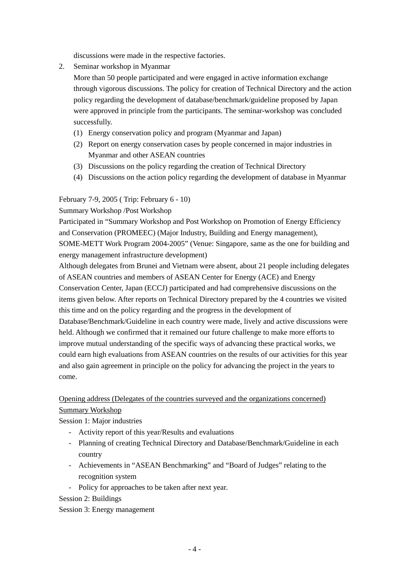discussions were made in the respective factories.

2. Seminar workshop in Myanmar

 More than 50 people participated and were engaged in active information exchange through vigorous discussions. The policy for creation of Technical Directory and the action policy regarding the development of database/benchmark/guideline proposed by Japan were approved in principle from the participants. The seminar-workshop was concluded successfully.

- (1) Energy conservation policy and program (Myanmar and Japan)
- (2) Report on energy conservation cases by people concerned in major industries in Myanmar and other ASEAN countries
- (3) Discussions on the policy regarding the creation of Technical Directory
- (4) Discussions on the action policy regarding the development of database in Myanmar

# February 7-9, 2005 ( Trip: February 6 - 10)

# Summary Workshop /Post Workshop

Participated in "Summary Workshop and Post Workshop on Promotion of Energy Efficiency and Conservation (PROMEEC) (Major Industry, Building and Energy management), SOME-METT Work Program 2004-2005" (Venue: Singapore, same as the one for building and energy management infrastructure development)

Although delegates from Brunei and Vietnam were absent, about 21 people including delegates of ASEAN countries and members of ASEAN Center for Energy (ACE) and Energy Conservation Center, Japan (ECCJ) participated and had comprehensive discussions on the items given below. After reports on Technical Directory prepared by the 4 countries we visited this time and on the policy regarding and the progress in the development of Database/Benchmark/Guideline in each country were made, lively and active discussions were

held. Although we confirmed that it remained our future challenge to make more efforts to improve mutual understanding of the specific ways of advancing these practical works, we could earn high evaluations from ASEAN countries on the results of our activities for this year and also gain agreement in principle on the policy for advancing the project in the years to come.

# Opening address (Delegates of the countries surveyed and the organizations concerned) Summary Workshop

# Session 1: Major industries

- Activity report of this year/Results and evaluations
- Planning of creating Technical Directory and Database/Benchmark/Guideline in each country
- Achievements in "ASEAN Benchmarking" and "Board of Judges" relating to the recognition system
- Policy for approaches to be taken after next year.

Session 2: Buildings

Session 3: Energy management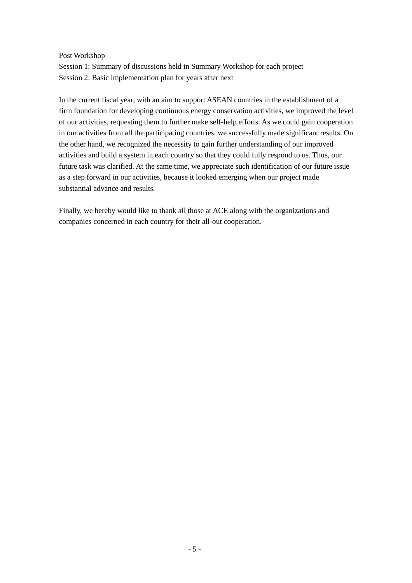# Post Workshop

Session 1: Summary of discussions held in Summary Workshop for each project Session 2: Basic implementation plan for years after next

In the current fiscal year, with an aim to support ASEAN countries in the establishment of a firm foundation for developing continuous energy conservation activities, we improved the level of our activities, requesting them to further make self-help efforts. As we could gain cooperation in our activities from all the participating countries, we successfully made significant results. On the other hand, we recognized the necessity to gain further understanding of our improved activities and build a system in each country so that they could fully respond to us. Thus, our future task was clarified. At the same time, we appreciate such identification of our future issue as a step forward in our activities, because it looked emerging when our project made substantial advance and results.

Finally, we hereby would like to thank all those at ACE along with the organizations and companies concerned in each country for their all-out cooperation.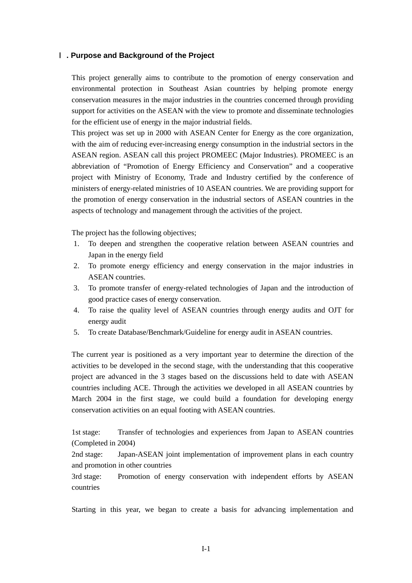## Ⅰ**. Purpose and Background of the Project**

This project generally aims to contribute to the promotion of energy conservation and environmental protection in Southeast Asian countries by helping promote energy conservation measures in the major industries in the countries concerned through providing support for activities on the ASEAN with the view to promote and disseminate technologies for the efficient use of energy in the major industrial fields.

This project was set up in 2000 with ASEAN Center for Energy as the core organization, with the aim of reducing ever-increasing energy consumption in the industrial sectors in the ASEAN region. ASEAN call this project PROMEEC (Major Industries). PROMEEC is an abbreviation of "Promotion of Energy Efficiency and Conservation" and a cooperative project with Ministry of Economy, Trade and Industry certified by the conference of ministers of energy-related ministries of 10 ASEAN countries. We are providing support for the promotion of energy conservation in the industrial sectors of ASEAN countries in the aspects of technology and management through the activities of the project.

The project has the following objectives;

- 1. To deepen and strengthen the cooperative relation between ASEAN countries and Japan in the energy field
- 2. To promote energy efficiency and energy conservation in the major industries in ASEAN countries.
- 3. To promote transfer of energy-related technologies of Japan and the introduction of good practice cases of energy conservation.
- 4. To raise the quality level of ASEAN countries through energy audits and OJT for energy audit
- 5. To create Database/Benchmark/Guideline for energy audit in ASEAN countries.

The current year is positioned as a very important year to determine the direction of the activities to be developed in the second stage, with the understanding that this cooperative project are advanced in the 3 stages based on the discussions held to date with ASEAN countries including ACE. Through the activities we developed in all ASEAN countries by March 2004 in the first stage, we could build a foundation for developing energy conservation activities on an equal footing with ASEAN countries.

1st stage: Transfer of technologies and experiences from Japan to ASEAN countries (Completed in 2004)

2nd stage: Japan-ASEAN joint implementation of improvement plans in each country and promotion in other countries

3rd stage: Promotion of energy conservation with independent efforts by ASEAN countries

Starting in this year, we began to create a basis for advancing implementation and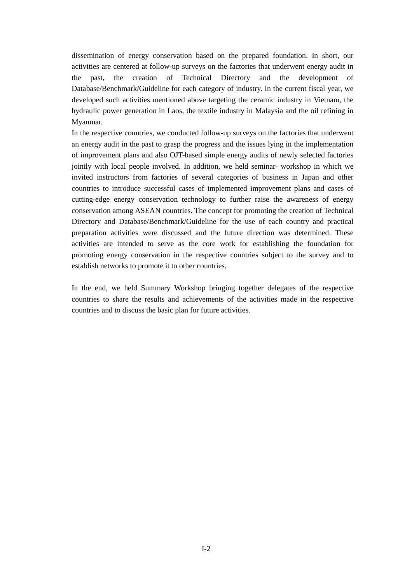dissemination of energy conservation based on the prepared foundation. In short, our activities are centered at follow-up surveys on the factories that underwent energy audit in the past, the creation of Technical Directory and the development of Database/Benchmark/Guideline for each category of industry. In the current fiscal year, we developed such activities mentioned above targeting the ceramic industry in Vietnam, the hydraulic power generation in Laos, the textile industry in Malaysia and the oil refining in Myanmar.

In the respective countries, we conducted follow-up surveys on the factories that underwent an energy audit in the past to grasp the progress and the issues lying in the implementation of improvement plans and also OJT-based simple energy audits of newly selected factories jointly with local people involved. In addition, we held seminar- workshop in which we invited instructors from factories of several categories of business in Japan and other countries to introduce successful cases of implemented improvement plans and cases of cutting-edge energy conservation technology to further raise the awareness of energy conservation among ASEAN countries. The concept for promoting the creation of Technical Directory and Database/Benchmark/Guideline for the use of each country and practical preparation activities were discussed and the future direction was determined. These activities are intended to serve as the core work for establishing the foundation for promoting energy conservation in the respective countries subject to the survey and to establish networks to promote it to other countries.

In the end, we held Summary Workshop bringing together delegates of the respective countries to share the results and achievements of the activities made in the respective countries and to discuss the basic plan for future activities.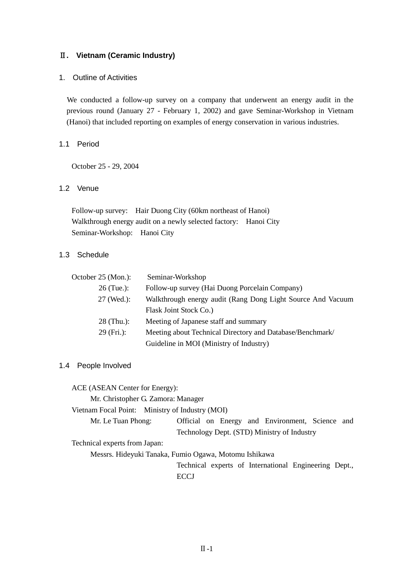# Ⅱ**. Vietnam (Ceramic Industry)**

### 1. Outline of Activities

We conducted a follow-up survey on a company that underwent an energy audit in the previous round (January 27 - February 1, 2002) and gave Seminar-Workshop in Vietnam (Hanoi) that included reporting on examples of energy conservation in various industries.

# 1.1 Period

October 25 - 29, 2004

# 1.2 Venue

Follow-up survey: Hair Duong City (60km northeast of Hanoi) Walkthrough energy audit on a newly selected factory: Hanoi City Seminar-Workshop: Hanoi City

# 1.3 Schedule

| October 25 (Mon.): | Seminar-Workshop                                            |
|--------------------|-------------------------------------------------------------|
| $26$ (Tue.):       | Follow-up survey (Hai Duong Porcelain Company)              |
| 27 (Wed.):         | Walkthrough energy audit (Rang Dong Light Source And Vacuum |
|                    | Flask Joint Stock Co.)                                      |
| $28$ (Thu.):       | Meeting of Japanese staff and summary                       |
| $29$ (Fri.):       | Meeting about Technical Directory and Database/Benchmark/   |
|                    | Guideline in MOI (Ministry of Industry)                     |

#### 1.4 People Involved

ACE (ASEAN Center for Energy):

Mr. Christopher G. Zamora: Manager

Vietnam Focal Point: Ministry of Industry (MOI)

Mr. Le Tuan Phong: Official on Energy and Environment, Science and Technology Dept. (STD) Ministry of Industry

Technical experts from Japan:

Messrs. Hideyuki Tanaka, Fumio Ogawa, Motomu Ishikawa

Technical experts of International Engineering Dept., **ECCJ**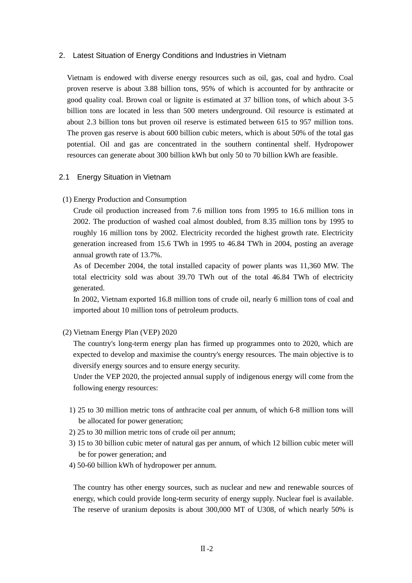## 2. Latest Situation of Energy Conditions and Industries in Vietnam

Vietnam is endowed with diverse energy resources such as oil, gas, coal and hydro. Coal proven reserve is about 3.88 billion tons, 95% of which is accounted for by anthracite or good quality coal. Brown coal or lignite is estimated at 37 billion tons, of which about 3-5 billion tons are located in less than 500 meters underground. Oil resource is estimated at about 2.3 billion tons but proven oil reserve is estimated between 615 to 957 million tons. The proven gas reserve is about 600 billion cubic meters, which is about 50% of the total gas potential. Oil and gas are concentrated in the southern continental shelf. Hydropower resources can generate about 300 billion kWh but only 50 to 70 billion kWh are feasible.

#### 2.1 Energy Situation in Vietnam

## (1) Energy Production and Consumption

Crude oil production increased from 7.6 million tons from 1995 to 16.6 million tons in 2002. The production of washed coal almost doubled, from 8.35 million tons by 1995 to roughly 16 million tons by 2002. Electricity recorded the highest growth rate. Electricity generation increased from 15.6 TWh in 1995 to 46.84 TWh in 2004, posting an average annual growth rate of 13.7%.

As of December 2004, the total installed capacity of power plants was 11,360 MW. The total electricity sold was about 39.70 TWh out of the total 46.84 TWh of electricity generated.

In 2002, Vietnam exported 16.8 million tons of crude oil, nearly 6 million tons of coal and imported about 10 million tons of petroleum products.

(2) Vietnam Energy Plan (VEP) 2020

The country's long-term energy plan has firmed up programmes onto to 2020, which are expected to develop and maximise the country's energy resources. The main objective is to diversify energy sources and to ensure energy security.

Under the VEP 2020, the projected annual supply of indigenous energy will come from the following energy resources:

- 1) 25 to 30 million metric tons of anthracite coal per annum, of which 6-8 million tons will be allocated for power generation;
- 2) 25 to 30 million metric tons of crude oil per annum;
- 3) 15 to 30 billion cubic meter of natural gas per annum, of which 12 billion cubic meter will be for power generation; and
- 4) 50-60 billion kWh of hydropower per annum.

The country has other energy sources, such as nuclear and new and renewable sources of energy, which could provide long-term security of energy supply. Nuclear fuel is available. The reserve of uranium deposits is about 300,000 MT of U308, of which nearly 50% is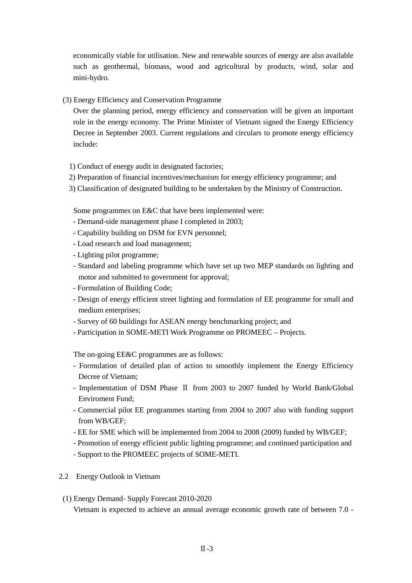economically viable for utilisation. New and renewable sources of energy are also available such as geothermal, biomass, wood and agricultural by products, wind, solar and mini-hydro.

(3) Energy Efficiency and Conservation Programme

Over the planning period, energy efficiency and consservation will be given an important role in the energy economy. The Prime Minister of Vietnam signed the Energy Efficiency Decree in September 2003. Current regulations and circulars to promote energy efficiency include:

- 1) Conduct of energy audit in designated factories;
- 2) Preparation of financial incentives/mechanism for energy efficiency programme; and
- 3) Classification of designated building to be undertaken by the Ministry of Construction.

Some programmes on E&C that have been implemented were:

- Demand-side management phase I completed in 2003;
- Capability building on DSM for EVN personnel;
- Load research and load management;
- Lighting pilot programme;
- Standard and labeling programme which have set up two MEP standards on lighting and motor and submitted to government for approval;
- Formulation of Building Code;
- Design of energy efficient street lighting and formulation of EE programme for small and medium enterprises;
- Survey of 60 buildings for ASEAN energy benchmarking project; and
- Participation in SOME-METI Work Programme on PROMEEC Projects.

The on-going EE&C programmes are as follows:

- Formulation of detailed plan of action to smoothly implement the Energy Efficiency Decree of Vietnam;
- Implementation of DSM Phase Ⅱ from 2003 to 2007 funded by World Bank/Global Enviroment Fund;
- Commercial pilot EE programmes starting from 2004 to 2007 also with funding support from WB/GEF;
- EE for SME which will be implemented from 2004 to 2008 (2009) funded by WB/GEF;
- Promotion of energy efficient public lighting programme; and continued participation and
- Support to the PROMEEC projects of SOME-METI.
- 2.2 Energy Outlook in Vietnam
- (1) Energy Demand- Supply Forecast 2010-2020 Vietnam is expected to achieve an annual average economic growth rate of between 7.0 -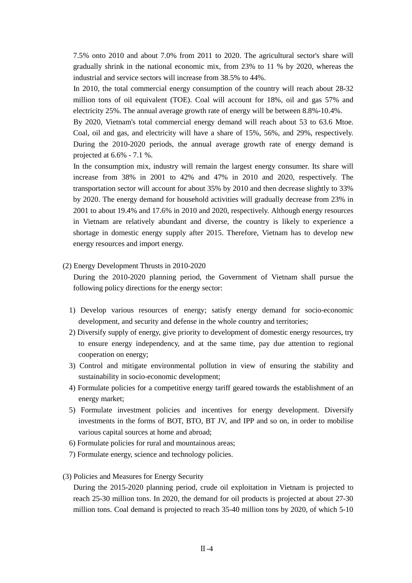7.5% onto 2010 and about 7.0% from 2011 to 2020. The agricultural sector's share will gradually shrink in the national economic mix, from 23% to 11 % by 2020, whereas the industrial and service sectors will increase from 38.5% to 44%.

In 2010, the total commercial energy consumption of the country will reach about 28-32 million tons of oil equivalent (TOE). Coal will account for 18%, oil and gas 57% and electricity 25%. The annual average growth rate of energy will be between 8.8%-10.4%.

By 2020, Vietnam's total commercial energy demand will reach about 53 to 63.6 Mtoe. Coal, oil and gas, and electricity will have a share of 15%, 56%, and 29%, respectively. During the 2010-2020 periods, the annual average growth rate of energy demand is projected at 6.6% - 7.1 %.

In the consumption mix, industry will remain the largest energy consumer. Its share will increase from 38% in 2001 to 42% and 47% in 2010 and 2020, respectively. The transportation sector will account for about 35% by 2010 and then decrease slightly to 33% by 2020. The energy demand for household activities will gradually decrease from 23% in 2001 to about 19.4% and 17.6% in 2010 and 2020, respectively. Although energy resources in Vietnam are relatively abundant and diverse, the country is likely to experience a shortage in domestic energy supply after 2015. Therefore, Vietnam has to develop new energy resources and import energy.

## (2) Energy Development Thrusts in 2010-2020

During the 2010-2020 planning period, the Government of Vietnam shall pursue the following policy directions for the energy sector:

- 1) Develop various resources of energy; satisfy energy demand for socio-economic development, and security and defense in the whole country and territories;
- 2) Diversify supply of energy, give priority to development of domestic energy resources, try to ensure energy independency, and at the same time, pay due attention to regional cooperation on energy;
- 3) Control and mitigate environmental pollution in view of ensuring the stability and sustainability in socio-economic development;
- 4) Formulate policies for a competitive energy tariff geared towards the establishment of an energy market;
- 5) Formulate investment policies and incentives for energy development. Diversify investments in the forms of BOT, BTO, BT JV, and IPP and so on, in order to mobilise various capital sources at home and abroad;
- 6) Formulate policies for rural and mountainous areas;
- 7) Formulate energy, science and technology policies.
- (3) Policies and Measures for Energy Security

During the 2015-2020 planning period, crude oil exploitation in Vietnam is projected to reach 25-30 million tons. In 2020, the demand for oil products is projected at about 27-30 million tons. Coal demand is projected to reach 35-40 million tons by 2020, of which 5-10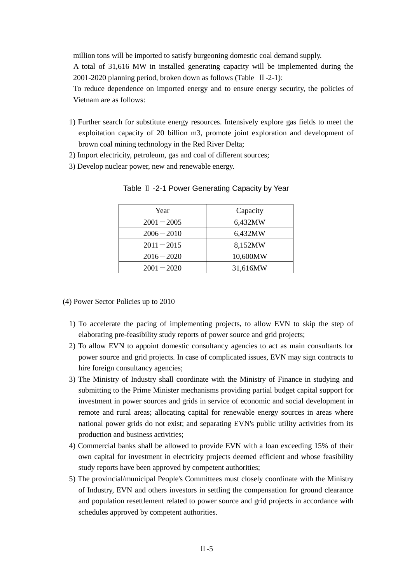million tons will be imported to satisfy burgeoning domestic coal demand supply.

A total of 31,616 MW in installed generating capacity will be implemented during the 2001-2020 planning period, broken down as follows (Table Ⅱ-2-1):

To reduce dependence on imported energy and to ensure energy security, the policies of Vietnam are as follows:

- 1) Further search for substitute energy resources. Intensively explore gas fields to meet the exploitation capacity of 20 billion m3, promote joint exploration and development of brown coal mining technology in the Red River Delta;
- 2) Import electricity, petroleum, gas and coal of different sources;
- 3) Develop nuclear power, new and renewable energy.

| Year          | Capacity |
|---------------|----------|
| $2001 - 2005$ | 6,432MW  |
| $2006 - 2010$ | 6,432MW  |
| $2011 - 2015$ | 8,152MW  |
| $2016 - 2020$ | 10,600MW |
| $2001 - 2020$ | 31,616MW |

Table ∐ -2-1 Power Generating Capacity by Year

(4) Power Sector Policies up to 2010

- 1) To accelerate the pacing of implementing projects, to allow EVN to skip the step of elaborating pre-feasibility study reports of power source and grid projects;
- 2) To allow EVN to appoint domestic consultancy agencies to act as main consultants for power source and grid projects. In case of complicated issues, EVN may sign contracts to hire foreign consultancy agencies;
- 3) The Ministry of Industry shall coordinate with the Ministry of Finance in studying and submitting to the Prime Minister mechanisms providing partial budget capital support for investment in power sources and grids in service of economic and social development in remote and rural areas; allocating capital for renewable energy sources in areas where national power grids do not exist; and separating EVN's public utility activities from its production and business activities;
- 4) Commercial banks shall be allowed to provide EVN with a loan exceeding 15% of their own capital for investment in electricity projects deemed efficient and whose feasibility study reports have been approved by competent authorities;
- 5) The provincial/municipal People's Committees must closely coordinate with the Ministry of Industry, EVN and others investors in settling the compensation for ground clearance and population resettlement related to power source and grid projects in accordance with schedules approved by competent authorities.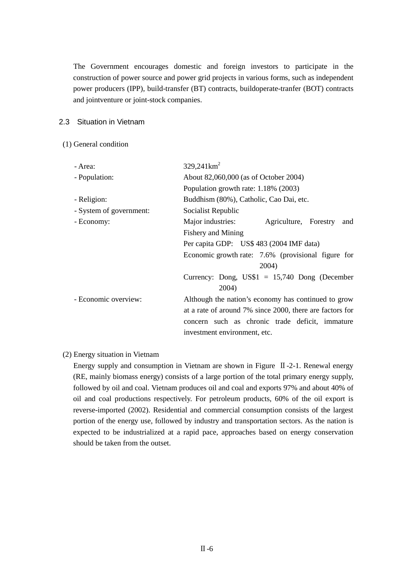The Government encourages domestic and foreign investors to participate in the construction of power source and power grid projects in various forms, such as independent power producers (IPP), build-transfer (BT) contracts, buildoperate-tranfer (BOT) contracts and jointventure or joint-stock companies.

### 2.3 Situation in Vietnam

## (1) General condition

| - Area:                 | $329,241 \text{km}^2$                                    |  |  |  |
|-------------------------|----------------------------------------------------------|--|--|--|
| - Population:           | About 82,060,000 (as of October 2004)                    |  |  |  |
|                         | Population growth rate: 1.18% (2003)                     |  |  |  |
| - Religion:             | Buddhism (80%), Catholic, Cao Dai, etc.                  |  |  |  |
| - System of government: | Socialist Republic                                       |  |  |  |
| - Economy:              | Major industries:<br>Agriculture, Forestry<br>and        |  |  |  |
|                         | Fishery and Mining                                       |  |  |  |
|                         | Per capita GDP: US\$ 483 (2004 IMF data)                 |  |  |  |
|                         | Economic growth rate: 7.6% (provisional figure for       |  |  |  |
|                         | 2004)                                                    |  |  |  |
|                         | Currency: Dong, $U S $1 = 15,740$ Dong (December         |  |  |  |
|                         | 2004)                                                    |  |  |  |
| - Economic overview:    | Although the nation's economy has continued to grow      |  |  |  |
|                         | at a rate of around 7% since 2000, there are factors for |  |  |  |
|                         | concern such as chronic trade deficit, immature          |  |  |  |
|                         | investment environment, etc.                             |  |  |  |

# (2) Energy situation in Vietnam

Energy supply and consumption in Vietnam are shown in Figure Ⅱ-2-1. Renewal energy (RE, mainly biomass energy) consists of a large portion of the total primary energy supply, followed by oil and coal. Vietnam produces oil and coal and exports 97% and about 40% of oil and coal productions respectively. For petroleum products, 60% of the oil export is reverse-imported (2002). Residential and commercial consumption consists of the largest portion of the energy use, followed by industry and transportation sectors. As the nation is expected to be industrialized at a rapid pace, approaches based on energy conservation should be taken from the outset.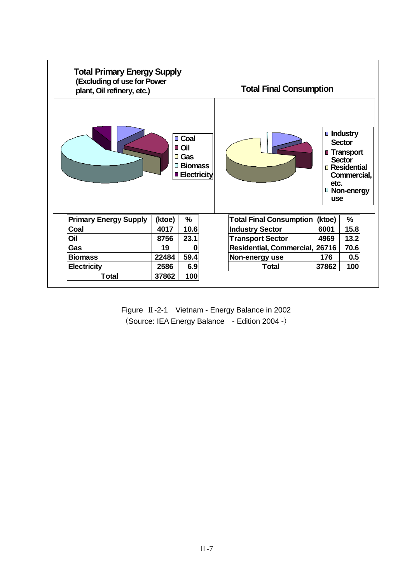| <b>Total Primary Energy Supply</b><br>(Excluding of use for Power<br>plant, Oil refinery, etc.) |        |                                                                    | <b>Total Final Consumption</b>                                                                                                                              |
|-------------------------------------------------------------------------------------------------|--------|--------------------------------------------------------------------|-------------------------------------------------------------------------------------------------------------------------------------------------------------|
|                                                                                                 |        | ■ Coal<br>■ Oil<br><b>□ Gas</b><br>□ Biomass<br><b>Electricity</b> | <b>Industry</b><br><b>Sector</b><br><b>Transport</b><br><b>Sector</b><br><b>Residential</b><br>Commercial,<br>etc.<br><sup>D</sup> Non-energy<br><b>use</b> |
| <b>Primary Energy Supply</b>                                                                    | (ktoe) | $\%$                                                               | <b>Total Final Consumption</b><br>$\%$<br>(ktoe)                                                                                                            |
| Coal                                                                                            | 4017   | 10.6                                                               | 15.8<br>6001<br><b>Industry Sector</b>                                                                                                                      |
| Oil                                                                                             | 8756   | 23.1                                                               | 13.2<br>4969<br><b>Transport Sector</b>                                                                                                                     |
| Gas                                                                                             | 19     | 0                                                                  | 26716<br>Residential, Commercial,<br>70.6                                                                                                                   |
| <b>Biomass</b>                                                                                  | 22484  | 59.4                                                               | 0.5<br>Non-energy use<br>176                                                                                                                                |
| <b>Electricity</b>                                                                              | 2586   | 6.9                                                                | <b>Total</b><br>100<br>37862                                                                                                                                |
| Total                                                                                           | 37862  | 100                                                                |                                                                                                                                                             |

Figure Ⅱ-2-1 Vietnam - Energy Balance in 2002 (Source: IEA Energy Balance - Edition 2004 -)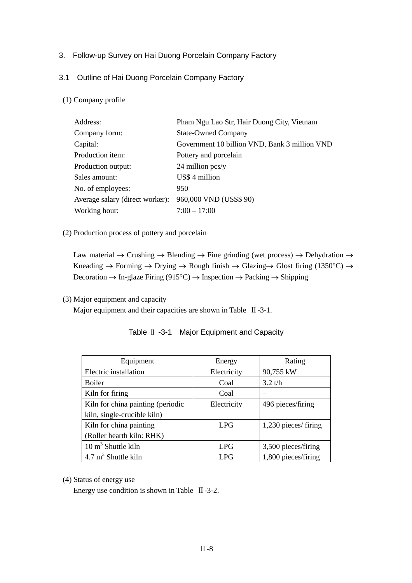# 3. Follow-up Survey on Hai Duong Porcelain Company Factory

# 3.1 Outline of Hai Duong Porcelain Company Factory

# (1) Company profile

| Address:                        | Pham Ngu Lao Str, Hair Duong City, Vietnam    |
|---------------------------------|-----------------------------------------------|
| Company form:                   | <b>State-Owned Company</b>                    |
| Capital:                        | Government 10 billion VND, Bank 3 million VND |
| Production item:                | Pottery and porcelain                         |
| Production output:              | $24$ million pcs/y                            |
| Sales amount:                   | US\$ 4 million                                |
| No. of employees:               | 950                                           |
| Average salary (direct worker): | 960,000 VND (USS\$ 90)                        |
| Working hour:                   | $7:00 - 17:00$                                |

#### (2) Production process of pottery and porcelain

Law material  $\rightarrow$  Crushing  $\rightarrow$  Blending  $\rightarrow$  Fine grinding (wet process)  $\rightarrow$  Dehydration  $\rightarrow$ Kneading  $\rightarrow$  Forming  $\rightarrow$  Drying  $\rightarrow$  Rough finish  $\rightarrow$  Glazing $\rightarrow$  Glost firing (1350°C)  $\rightarrow$ Decoration  $\rightarrow$  In-glaze Firing (915<sup>o</sup>C)  $\rightarrow$  Inspection  $\rightarrow$  Packing  $\rightarrow$  Shipping

#### (3) Major equipment and capacity

Major equipment and their capacities are shown in Table II-3-1.

| Equipment                         | Energy      | Rating               |
|-----------------------------------|-------------|----------------------|
| Electric installation             | Electricity | 90,755 kW            |
| <b>Boiler</b>                     | Coal        | 3.2 t/h              |
| Kiln for firing                   | Coal        |                      |
| Kiln for china painting (periodic | Electricity | 496 pieces/firing    |
| kiln, single-crucible kiln)       |             |                      |
| Kiln for china painting           | <b>LPG</b>  | 1,230 pieces/ firing |
| (Roller hearth kiln: RHK)         |             |                      |
| $10 \text{ m}^3$ Shuttle kiln     | <b>LPG</b>  | 3,500 pieces/firing  |
| $4.7 \text{ m}^3$ Shuttle kiln    | LPG         | 1,800 pieces/firing  |

|  | Table II -3-1 Major Equipment and Capacity |  |
|--|--------------------------------------------|--|
|--|--------------------------------------------|--|

(4) Status of energy use

Energy use condition is shown in Table Ⅱ-3-2.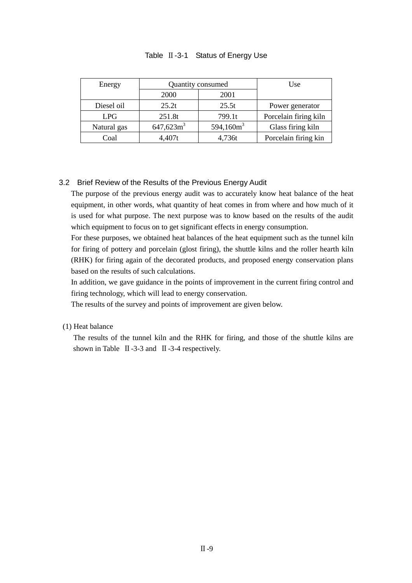| Energy      | Quantity consumed |               | Use                   |  |
|-------------|-------------------|---------------|-----------------------|--|
|             | 2001<br>2000      |               |                       |  |
| Diesel oil  | 25.2t             | 25.5t         | Power generator       |  |
| <b>LPG</b>  | 251.8t            | 799.1t        | Porcelain firing kiln |  |
| Natural gas | $647,623m^3$      | 594,160 $m^3$ | Glass firing kiln     |  |
| Coal        | 4,407t            | 4,736t        | Porcelain firing kin  |  |

## Table Ⅱ-3-1 Status of Energy Use

# 3.2 Brief Review of the Results of the Previous Energy Audit

The purpose of the previous energy audit was to accurately know heat balance of the heat equipment, in other words, what quantity of heat comes in from where and how much of it is used for what purpose. The next purpose was to know based on the results of the audit which equipment to focus on to get significant effects in energy consumption.

For these purposes, we obtained heat balances of the heat equipment such as the tunnel kiln for firing of pottery and porcelain (glost firing), the shuttle kilns and the roller hearth kiln (RHK) for firing again of the decorated products, and proposed energy conservation plans based on the results of such calculations.

In addition, we gave guidance in the points of improvement in the current firing control and firing technology, which will lead to energy conservation.

The results of the survey and points of improvement are given below.

#### (1) Heat balance

The results of the tunnel kiln and the RHK for firing, and those of the shuttle kilns are shown in Table Ⅱ-3-3 and Ⅱ-3-4 respectively.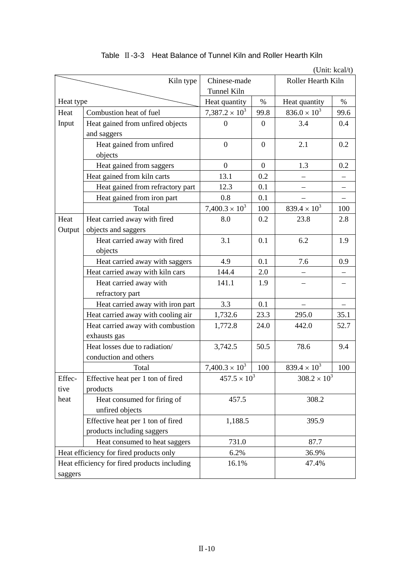|                                              |                                    | (Unit: kcal/t)        |                |                       |      |
|----------------------------------------------|------------------------------------|-----------------------|----------------|-----------------------|------|
| Kiln type                                    |                                    | Chinese-made          |                | Roller Hearth Kiln    |      |
|                                              |                                    | <b>Tunnel Kiln</b>    |                |                       |      |
| Heat type                                    |                                    | Heat quantity         | $\%$           | Heat quantity         | $\%$ |
| Heat                                         | Combustion heat of fuel            | $7,387.2 \times 10^3$ | 99.8           | $836.0 \times 10^3$   | 99.6 |
| Input                                        | Heat gained from unfired objects   | $\boldsymbol{0}$      | $\overline{0}$ | 3.4                   | 0.4  |
|                                              | and saggers                        |                       |                |                       |      |
|                                              | Heat gained from unfired           | $\boldsymbol{0}$      | $\theta$       | 2.1                   | 0.2  |
|                                              | objects                            |                       |                |                       |      |
|                                              | Heat gained from saggers           | $\boldsymbol{0}$      | $\mathbf{0}$   | 1.3                   | 0.2  |
|                                              | Heat gained from kiln carts        | 13.1                  | 0.2            |                       |      |
|                                              | Heat gained from refractory part   | 12.3                  | 0.1            |                       |      |
|                                              | Heat gained from iron part         | 0.8                   | 0.1            |                       |      |
|                                              | Total                              | $7,400.3 \times 10^3$ | 100            | $839.4 \times 10^{3}$ | 100  |
| Heat                                         | Heat carried away with fired       | 8.0                   | 0.2            | 23.8                  | 2.8  |
| Output                                       | objects and saggers                |                       |                |                       |      |
|                                              | Heat carried away with fired       | 3.1                   | 0.1            | 6.2                   | 1.9  |
|                                              | objects                            |                       |                |                       |      |
|                                              | Heat carried away with saggers     | 4.9                   | 0.1            | 7.6                   | 0.9  |
| Heat carried away with kiln cars             |                                    | 144.4                 | 2.0            |                       |      |
|                                              | Heat carried away with             | 141.1                 | 1.9            |                       |      |
|                                              | refractory part                    |                       |                |                       |      |
|                                              | Heat carried away with iron part   | 3.3                   | 0.1            |                       |      |
|                                              | Heat carried away with cooling air | 1,732.6               | 23.3           | 295.0                 | 35.1 |
|                                              | Heat carried away with combustion  | 1,772.8               | 24.0           | 442.0                 | 52.7 |
|                                              | exhausts gas                       |                       |                |                       |      |
|                                              | Heat losses due to radiation/      | 3,742.5               | 50.5           | 78.6                  | 9.4  |
|                                              | conduction and others              |                       |                |                       |      |
|                                              | Total                              | $7,400.3 \times 10^3$ | 100            | $839.4 \times 10^{3}$ | 100  |
| Effec-                                       | Effective heat per 1 ton of fired  | $457.5 \times 10^{3}$ |                | $308.2 \times 10^3$   |      |
| tive                                         | products                           |                       |                |                       |      |
| heat                                         | Heat consumed for firing of        | 457.5<br>1,188.5      |                | 308.2<br>395.9        |      |
|                                              | unfired objects                    |                       |                |                       |      |
|                                              | Effective heat per 1 ton of fired  |                       |                |                       |      |
|                                              | products including saggers         |                       |                |                       |      |
|                                              | Heat consumed to heat saggers      | 731.0                 |                | 87.7                  |      |
| Heat efficiency for fired products only      |                                    | 6.2%                  |                | 36.9%                 |      |
| Heat efficiency for fired products including |                                    | 16.1%                 |                | 47.4%                 |      |
| saggers                                      |                                    |                       |                |                       |      |

# Table II-3-3 Heat Balance of Tunnel Kiln and Roller Hearth Kiln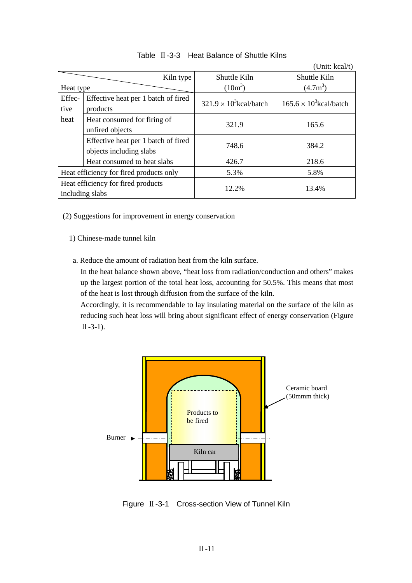|                                                       |                                                                |                                | (Unit: $kcal/t$ )              |
|-------------------------------------------------------|----------------------------------------------------------------|--------------------------------|--------------------------------|
|                                                       | Kiln type                                                      | Shuttle Kiln                   | Shuttle Kiln                   |
| Heat type                                             |                                                                | $(10m^3)$                      | $(4.7m^3)$                     |
| Effec-<br>tive                                        | Effective heat per 1 batch of fired<br>products                | $321.9 \times 10^3$ kcal/batch | $165.6 \times 10^3$ kcal/batch |
| heat                                                  | Heat consumed for firing of<br>unfired objects                 | 321.9                          | 165.6                          |
|                                                       | Effective heat per 1 batch of fired<br>objects including slabs | 748.6                          | 384.2                          |
|                                                       | Heat consumed to heat slabs                                    | 426.7                          | 218.6                          |
| Heat efficiency for fired products only               |                                                                | 5.3%                           | 5.8%                           |
| Heat efficiency for fired products<br>including slabs |                                                                | 12.2%                          | 13.4%                          |

# Table Ⅱ-3-3 Heat Balance of Shuttle Kilns

- (2) Suggestions for improvement in energy conservation
	- 1) Chinese-made tunnel kiln
	- a. Reduce the amount of radiation heat from the kiln surface.

In the heat balance shown above, "heat loss from radiation/conduction and others" makes up the largest portion of the total heat loss, accounting for 50.5%. This means that most of the heat is lost through diffusion from the surface of the kiln.

Accordingly, it is recommendable to lay insulating material on the surface of the kiln as reducing such heat loss will bring about significant effect of energy conservation (Figure  $\Pi -3-1$ ).



Figure Ⅱ-3-1 Cross-section View of Tunnel Kiln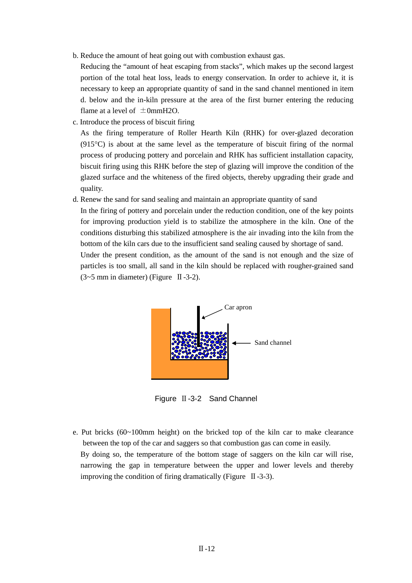b. Reduce the amount of heat going out with combustion exhaust gas.

Reducing the "amount of heat escaping from stacks", which makes up the second largest portion of the total heat loss, leads to energy conservation. In order to achieve it, it is necessary to keep an appropriate quantity of sand in the sand channel mentioned in item d. below and the in-kiln pressure at the area of the first burner entering the reducing flame at a level of  $\pm 0$ mmH2O.

c. Introduce the process of biscuit firing

As the firing temperature of Roller Hearth Kiln (RHK) for over-glazed decoration (915°C) is about at the same level as the temperature of biscuit firing of the normal process of producing pottery and porcelain and RHK has sufficient installation capacity, biscuit firing using this RHK before the step of glazing will improve the condition of the glazed surface and the whiteness of the fired objects, thereby upgrading their grade and quality.

d. Renew the sand for sand sealing and maintain an appropriate quantity of sand

In the firing of pottery and porcelain under the reduction condition, one of the key points for improving production yield is to stabilize the atmosphere in the kiln. One of the conditions disturbing this stabilized atmosphere is the air invading into the kiln from the bottom of the kiln cars due to the insufficient sand sealing caused by shortage of sand. Under the present condition, as the amount of the sand is not enough and the size of

particles is too small, all sand in the kiln should be replaced with rougher-grained sand  $(3~5~\text{mm})$  in diameter) (Figure II-3-2).



Figure Ⅱ-3-2 Sand Channel

e. Put bricks (60~100mm height) on the bricked top of the kiln car to make clearance between the top of the car and saggers so that combustion gas can come in easily. By doing so, the temperature of the bottom stage of saggers on the kiln car will rise, narrowing the gap in temperature between the upper and lower levels and thereby improving the condition of firing dramatically (Figure  $\,$  II -3-3).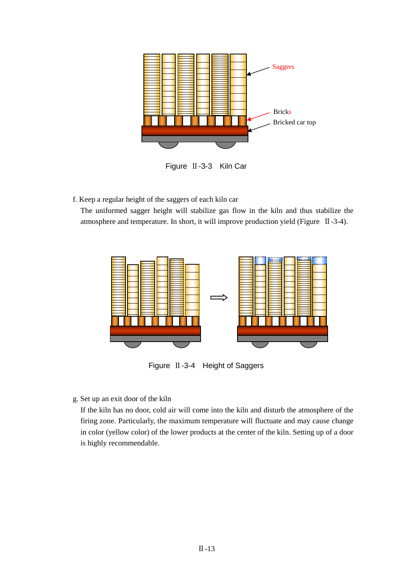

Figure Ⅱ-3-3 Kiln Car

f. Keep a regular height of the saggers of each kiln car

The uniformed sagger height will stabilize gas flow in the kiln and thus stabilize the atmosphere and temperature. In short, it will improve production yield (Figure Ⅱ-3-4).



Figure Ⅱ-3-4 Height of Saggers

g. Set up an exit door of the kiln

If the kiln has no door, cold air will come into the kiln and disturb the atmosphere of the firing zone. Particularly, the maximum temperature will fluctuate and may cause change in color (yellow color) of the lower products at the center of the kiln. Setting up of a door is highly recommendable.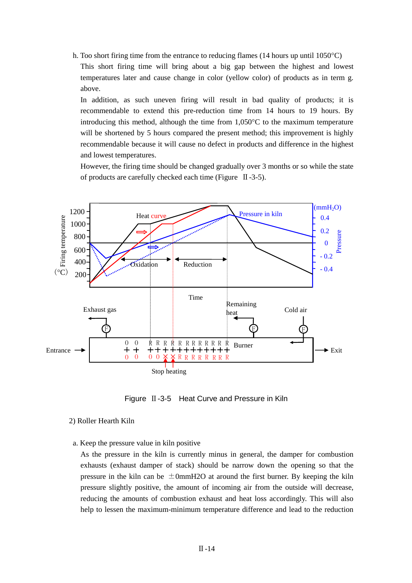h. Too short firing time from the entrance to reducing flames (14 hours up until 1050°C) This short firing time will bring about a big gap between the highest and lowest temperatures later and cause change in color (yellow color) of products as in term g. above.

In addition, as such uneven firing will result in bad quality of products; it is recommendable to extend this pre-reduction time from 14 hours to 19 hours. By introducing this method, although the time from  $1,050^{\circ}$ C to the maximum temperature will be shortened by 5 hours compared the present method; this improvement is highly recommendable because it will cause no defect in products and difference in the highest and lowest temperatures.

However, the firing time should be changed gradually over 3 months or so while the state of products are carefully checked each time (Figure Ⅱ-3-5).



Figure  $II -3-5$  Heat Curve and Pressure in Kiln

#### 2) Roller Hearth Kiln

a. Keep the pressure value in kiln positive

As the pressure in the kiln is currently minus in general, the damper for combustion exhausts (exhaust damper of stack) should be narrow down the opening so that the pressure in the kiln can be  $\pm 0$ mmH2O at around the first burner. By keeping the kiln pressure slightly positive, the amount of incoming air from the outside will decrease, reducing the amounts of combustion exhaust and heat loss accordingly. This will also help to lessen the maximum-minimum temperature difference and lead to the reduction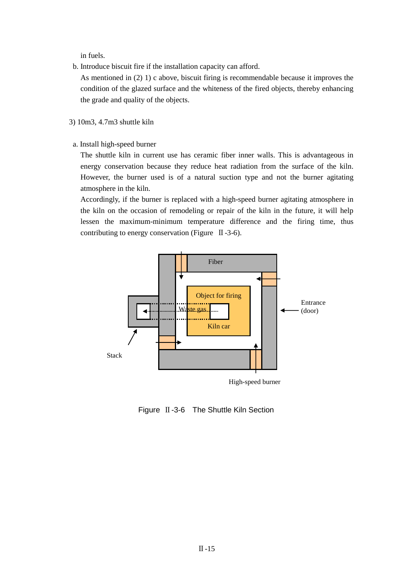in fuels.

b. Introduce biscuit fire if the installation capacity can afford.

As mentioned in (2) 1) c above, biscuit firing is recommendable because it improves the condition of the glazed surface and the whiteness of the fired objects, thereby enhancing the grade and quality of the objects.

- 3) 10m3, 4.7m3 shuttle kiln
- a. Install high-speed burner

The shuttle kiln in current use has ceramic fiber inner walls. This is advantageous in energy conservation because they reduce heat radiation from the surface of the kiln. However, the burner used is of a natural suction type and not the burner agitating atmosphere in the kiln.

Accordingly, if the burner is replaced with a high-speed burner agitating atmosphere in the kiln on the occasion of remodeling or repair of the kiln in the future, it will help lessen the maximum-minimum temperature difference and the firing time, thus contributing to energy conservation (Figure Ⅱ-3-6).



Figure Ⅱ-3-6 The Shuttle Kiln Section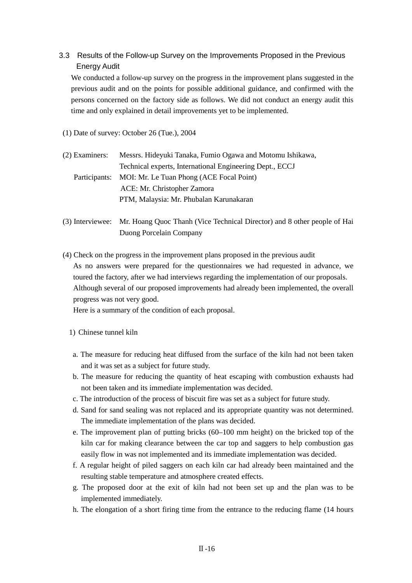# 3.3 Results of the Follow-up Survey on the Improvements Proposed in the Previous Energy Audit

We conducted a follow-up survey on the progress in the improvement plans suggested in the previous audit and on the points for possible additional guidance, and confirmed with the persons concerned on the factory side as follows. We did not conduct an energy audit this time and only explained in detail improvements yet to be implemented.

(1) Date of survey: October 26 (Tue.), 2004

| (2) Examiners: | Messrs. Hideyuki Tanaka, Fumio Ogawa and Motomu Ishikawa, |
|----------------|-----------------------------------------------------------|
|                | Technical experts, International Engineering Dept., ECCJ  |
|                | Participants: MOI: Mr. Le Tuan Phong (ACE Focal Point)    |
|                | ACE: Mr. Christopher Zamora                               |
|                | PTM, Malaysia: Mr. Phubalan Karunakaran                   |

(3) Interviewee: Mr. Hoang Quoc Thanh (Vice Technical Director) and 8 other people of Hai Duong Porcelain Company

(4) Check on the progress in the improvement plans proposed in the previous audit As no answers were prepared for the questionnaires we had requested in advance, we toured the factory, after we had interviews regarding the implementation of our proposals. Although several of our proposed improvements had already been implemented, the overall progress was not very good.

Here is a summary of the condition of each proposal.

- 1) Chinese tunnel kiln
- a. The measure for reducing heat diffused from the surface of the kiln had not been taken and it was set as a subject for future study.
- b. The measure for reducing the quantity of heat escaping with combustion exhausts had not been taken and its immediate implementation was decided.
- c. The introduction of the process of biscuit fire was set as a subject for future study.
- d. Sand for sand sealing was not replaced and its appropriate quantity was not determined. The immediate implementation of the plans was decided.
- e. The improvement plan of putting bricks (60–100 mm height) on the bricked top of the kiln car for making clearance between the car top and saggers to help combustion gas easily flow in was not implemented and its immediate implementation was decided.
- f. A regular height of piled saggers on each kiln car had already been maintained and the resulting stable temperature and atmosphere created effects.
- g. The proposed door at the exit of kiln had not been set up and the plan was to be implemented immediately.
- h. The elongation of a short firing time from the entrance to the reducing flame (14 hours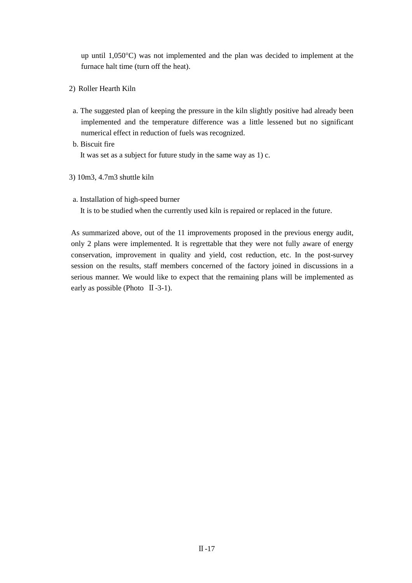up until 1,050°C) was not implemented and the plan was decided to implement at the furnace halt time (turn off the heat).

- 2) Roller Hearth Kiln
- a. The suggested plan of keeping the pressure in the kiln slightly positive had already been implemented and the temperature difference was a little lessened but no significant numerical effect in reduction of fuels was recognized.
- b. Biscuit fire It was set as a subject for future study in the same way as 1) c.
- 3) 10m3, 4.7m3 shuttle kiln
- a. Installation of high-speed burner

It is to be studied when the currently used kiln is repaired or replaced in the future.

As summarized above, out of the 11 improvements proposed in the previous energy audit, only 2 plans were implemented. It is regrettable that they were not fully aware of energy conservation, improvement in quality and yield, cost reduction, etc. In the post-survey session on the results, staff members concerned of the factory joined in discussions in a serious manner. We would like to expect that the remaining plans will be implemented as early as possible (Photo  $\text{II}-3-1$ ).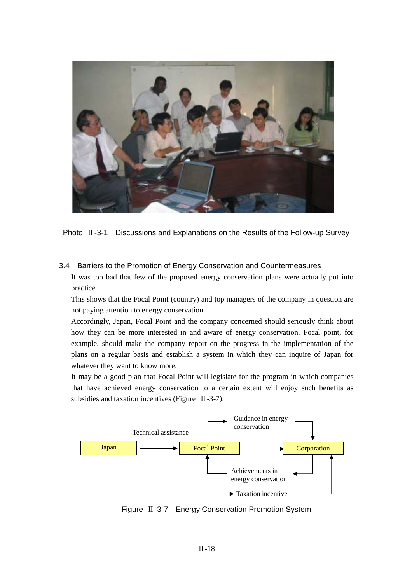

Photo Ⅱ-3-1 Discussions and Explanations on the Results of the Follow-up Survey

3.4 Barriers to the Promotion of Energy Conservation and Countermeasures It was too bad that few of the proposed energy conservation plans were actually put into practice.

This shows that the Focal Point (country) and top managers of the company in question are not paying attention to energy conservation.

Accordingly, Japan, Focal Point and the company concerned should seriously think about how they can be more interested in and aware of energy conservation. Focal point, for example, should make the company report on the progress in the implementation of the plans on a regular basis and establish a system in which they can inquire of Japan for whatever they want to know more.

It may be a good plan that Focal Point will legislate for the program in which companies that have achieved energy conservation to a certain extent will enjoy such benefits as subsidies and taxation incentives (Figure II-3-7).



Figure Ⅱ-3-7 Energy Conservation Promotion System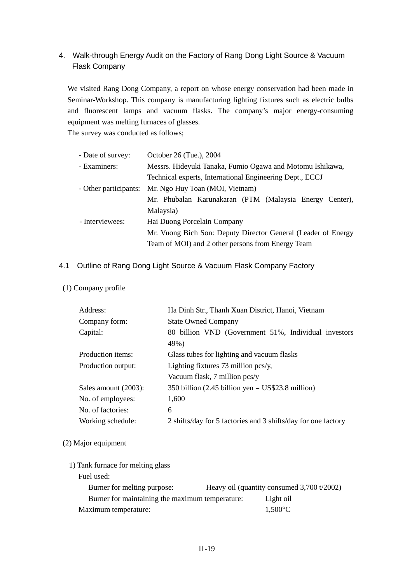# 4. Walk-through Energy Audit on the Factory of Rang Dong Light Source & Vacuum Flask Company

We visited Rang Dong Company, a report on whose energy conservation had been made in Seminar-Workshop. This company is manufacturing lighting fixtures such as electric bulbs and fluorescent lamps and vacuum flasks. The company's major energy-consuming equipment was melting furnaces of glasses.

The survey was conducted as follows;

| - Date of survey:                                             | October 26 (Tue.), 2004                                   |  |  |  |  |  |
|---------------------------------------------------------------|-----------------------------------------------------------|--|--|--|--|--|
| - Examiners:                                                  | Messrs. Hideyuki Tanaka, Fumio Ogawa and Motomu Ishikawa, |  |  |  |  |  |
|                                                               | Technical experts, International Engineering Dept., ECCJ  |  |  |  |  |  |
| - Other participants:                                         | Mr. Ngo Huy Toan (MOI, Vietnam)                           |  |  |  |  |  |
|                                                               | Mr. Phubalan Karunakaran (PTM (Malaysia Energy Center),   |  |  |  |  |  |
|                                                               | Malaysia)                                                 |  |  |  |  |  |
| - Interviewees:                                               | Hai Duong Porcelain Company                               |  |  |  |  |  |
| Mr. Vuong Bich Son: Deputy Director General (Leader of Energy |                                                           |  |  |  |  |  |
|                                                               | Team of MOI) and 2 other persons from Energy Team         |  |  |  |  |  |

# 4.1 Outline of Rang Dong Light Source & Vacuum Flask Company Factory

# (1) Company profile

| Address:             | Ha Dinh Str., Thanh Xuan District, Hanoi, Vietnam             |  |  |  |  |
|----------------------|---------------------------------------------------------------|--|--|--|--|
| Company form:        | <b>State Owned Company</b>                                    |  |  |  |  |
| Capital:             | 80 billion VND (Government 51%, Individual investors<br>49%)  |  |  |  |  |
| Production items:    | Glass tubes for lighting and vacuum flasks                    |  |  |  |  |
| Production output:   | Lighting fixtures 73 million $\text{pcs/y}$ ,                 |  |  |  |  |
|                      | Vacuum flask, 7 million pcs/y                                 |  |  |  |  |
| Sales amount (2003): | 350 billion (2.45 billion yen = $US$23.8$ million)            |  |  |  |  |
| No. of employees:    | 1,600                                                         |  |  |  |  |
| No. of factories:    | 6                                                             |  |  |  |  |
| Working schedule:    | 2 shifts/day for 5 factories and 3 shifts/day for one factory |  |  |  |  |

#### (2) Major equipment

| 1) Tank furnace for melting glass               |                                              |
|-------------------------------------------------|----------------------------------------------|
| Fuel used:                                      |                                              |
| Burner for melting purpose:                     | Heavy oil (quantity consumed $3,700$ t/2002) |
| Burner for maintaining the maximum temperature: | Light oil                                    |
| Maximum temperature:                            | $1.500\degree C$                             |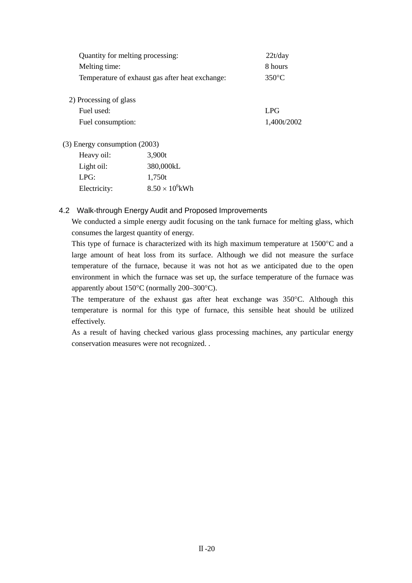| Quantity for melting processing:                |        | 22t/day         |  |
|-------------------------------------------------|--------|-----------------|--|
| Melting time:                                   |        | 8 hours         |  |
| Temperature of exhaust gas after heat exchange: |        | $350^{\circ}$ C |  |
|                                                 |        |                 |  |
| 2) Processing of glass                          |        |                 |  |
| Fuel used:                                      |        | LPG             |  |
| Fuel consumption:                               |        | 1,400t/2002     |  |
| (3) Energy consumption (2003)                   |        |                 |  |
| Heavy oil:                                      | 3.900t |                 |  |
|                                                 |        |                 |  |

| Light oil:   | 380,000kL              |
|--------------|------------------------|
| LPG:         | 1,750t                 |
| Electricity: | $8.50 \times 10^6$ kWh |

## 4.2 Walk-through Energy Audit and Proposed Improvements

We conducted a simple energy audit focusing on the tank furnace for melting glass, which consumes the largest quantity of energy.

This type of furnace is characterized with its high maximum temperature at 1500°C and a large amount of heat loss from its surface. Although we did not measure the surface temperature of the furnace, because it was not hot as we anticipated due to the open environment in which the furnace was set up, the surface temperature of the furnace was apparently about 150°C (normally 200–300°C).

The temperature of the exhaust gas after heat exchange was 350°C. Although this temperature is normal for this type of furnace, this sensible heat should be utilized effectively.

As a result of having checked various glass processing machines, any particular energy conservation measures were not recognized. .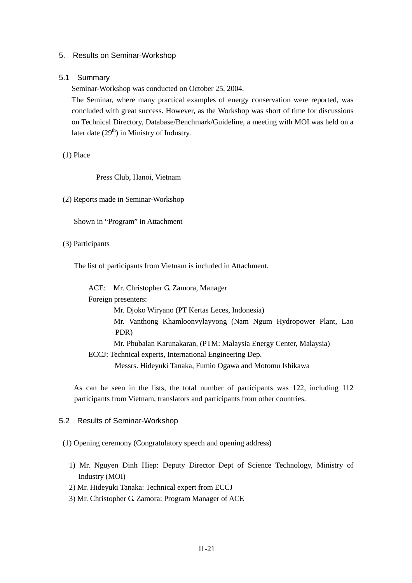#### 5. Results on Seminar-Workshop

#### 5.1 Summary

Seminar-Workshop was conducted on October 25, 2004.

The Seminar, where many practical examples of energy conservation were reported, was concluded with great success. However, as the Workshop was short of time for discussions on Technical Directory, Database/Benchmark/Guideline, a meeting with MOI was held on a later date  $(29<sup>th</sup>)$  in Ministry of Industry.

#### (1) Place

Press Club, Hanoi, Vietnam

(2) Reports made in Seminar-Workshop

Shown in "Program" in Attachment

#### (3) Participants

The list of participants from Vietnam is included in Attachment.

ACE: Mr. Christopher G. Zamora, Manager Foreign presenters: Mr. Djoko Wiryano (PT Kertas Leces, Indonesia) Mr. Vanthong Khamloonvylayvong (Nam Ngum Hydropower Plant, Lao PDR) Mr. Phubalan Karunakaran, (PTM: Malaysia Energy Center, Malaysia) ECCJ: Technical experts, International Engineering Dep. Messrs. Hideyuki Tanaka, Fumio Ogawa and Motomu Ishikawa

As can be seen in the lists, the total number of participants was 122, including 112 participants from Vietnam, translators and participants from other countries.

#### 5.2 Results of Seminar-Workshop

#### (1) Opening ceremony (Congratulatory speech and opening address)

- 1) Mr. Nguyen Dinh Hiep: Deputy Director Dept of Science Technology, Ministry of Industry (MOI)
- 2) Mr. Hideyuki Tanaka: Technical expert from ECCJ
- 3) Mr. Christopher G. Zamora: Program Manager of ACE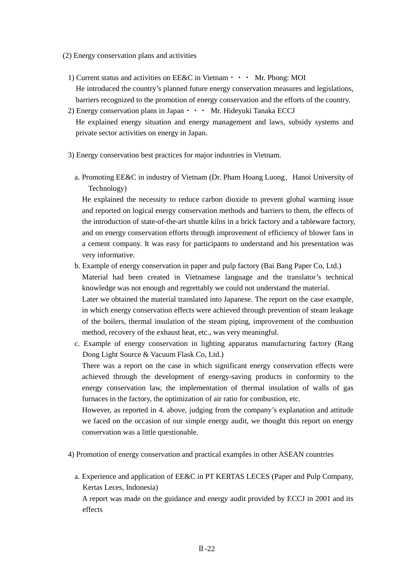- (2) Energy conservation plans and activities
	- 1) Current status and activities on EE&C in Vietnam  $\cdot \cdot \cdot$  Mr. Phong: MOI He introduced the country's planned future energy conservation measures and legislations, barriers recognized to the promotion of energy conservation and the efforts of the country.
	- 2) Energy conservation plans in Japan • Mr. Hideyuki Tanaka ECCJ He explained energy situation and energy management and laws, subsidy systems and private sector activities on energy in Japan.
	- 3) Energy conservation best practices for major industries in Vietnam.
		- a. Promoting EE&C in industry of Vietnam (Dr. Pham Hoang Luong、Hanoi University of Technology)

He explained the necessity to reduce carbon dioxide to prevent global warming issue and reported on logical energy conservation methods and barriers to them, the effects of the introduction of state-of-the-art shuttle kilns in a brick factory and a tableware factory, and on energy conservation efforts through improvement of efficiency of blower fans in a cement company. It was easy for participants to understand and his presentation was very informative.

- b. Example of energy conservation in paper and pulp factory (Bai Bang Paper Co, Ltd.) Material had been created in Vietnamese language and the translator's technical knowledge was not enough and regrettably we could not understand the material. Later we obtained the material translated into Japanese. The report on the case example, in which energy conservation effects were achieved through prevention of steam leakage of the boilers, thermal insulation of the steam piping, improvement of the combustion method, recovery of the exhaust heat, etc., was very meaningful.
- c. Example of energy conservation in lighting apparatus manufacturing factory (Rang Dong Light Source & Vacuum Flask Co, Ltd.) There was a report on the case in which significant energy conservation effects were achieved through the development of energy-saving products in conformity to the

energy conservation law, the implementation of thermal insulation of walls of gas furnaces in the factory, the optimization of air ratio for combustion, etc.

However, as reported in 4. above, judging from the company's explanation and attitude we faced on the occasion of our simple energy audit, we thought this report on energy conservation was a little questionable.

- 4) Promotion of energy conservation and practical examples in other ASEAN countries
	- a. Experience and application of EE&C in PT KERTAS LECES (Paper and Pulp Company, Kertas Leces, Indonesia)

A report was made on the guidance and energy audit provided by ECCJ in 2001 and its effects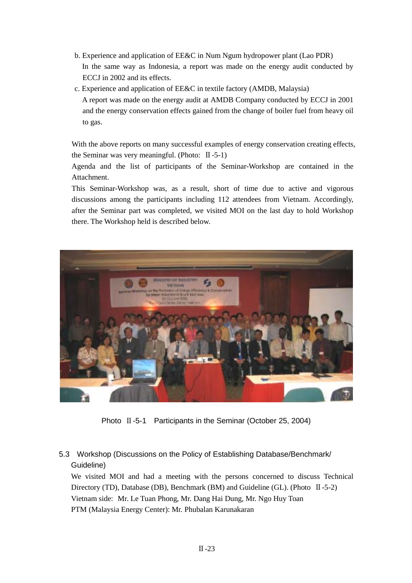- b. Experience and application of EE&C in Num Ngum hydropower plant (Lao PDR) In the same way as Indonesia, a report was made on the energy audit conducted by ECCJ in 2002 and its effects.
- c. Experience and application of EE&C in textile factory (AMDB, Malaysia) A report was made on the energy audit at AMDB Company conducted by ECCJ in 2001 and the energy conservation effects gained from the change of boiler fuel from heavy oil to gas.

With the above reports on many successful examples of energy conservation creating effects, the Seminar was very meaningful. (Photo:  $\text{II}$ -5-1)

Agenda and the list of participants of the Seminar-Workshop are contained in the Attachment.

This Seminar-Workshop was, as a result, short of time due to active and vigorous discussions among the participants including 112 attendees from Vietnam. Accordingly, after the Seminar part was completed, we visited MOI on the last day to hold Workshop there. The Workshop held is described below.



Photo Ⅱ-5-1 Participants in the Seminar (October 25, 2004)

# 5.3 Workshop (Discussions on the Policy of Establishing Database/Benchmark/ Guideline)

We visited MOI and had a meeting with the persons concerned to discuss Technical Directory (TD), Database (DB), Benchmark (BM) and Guideline (GL). (Photo Ⅱ-5-2) Vietnam side: Mr. Le Tuan Phong, Mr. Dang Hai Dung, Mr. Ngo Huy Toan PTM (Malaysia Energy Center): Mr. Phubalan Karunakaran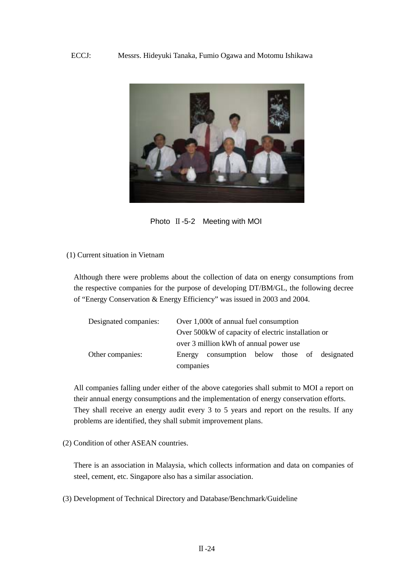

Photo Ⅱ-5-2 Meeting with MOI

#### (1) Current situation in Vietnam

Although there were problems about the collection of data on energy consumptions from the respective companies for the purpose of developing DT/BM/GL, the following decree of "Energy Conservation & Energy Efficiency" was issued in 2003 and 2004.

| Designated companies: | Over 1,000t of annual fuel consumption              |                                       |  |  |  |  |
|-----------------------|-----------------------------------------------------|---------------------------------------|--|--|--|--|
|                       | Over 500 kW of capacity of electric installation or |                                       |  |  |  |  |
|                       | over 3 million kWh of annual power use              |                                       |  |  |  |  |
| Other companies:      | Energy                                              | consumption below those of designated |  |  |  |  |
|                       | companies                                           |                                       |  |  |  |  |

All companies falling under either of the above categories shall submit to MOI a report on their annual energy consumptions and the implementation of energy conservation efforts. They shall receive an energy audit every 3 to 5 years and report on the results. If any problems are identified, they shall submit improvement plans.

(2) Condition of other ASEAN countries.

There is an association in Malaysia, which collects information and data on companies of steel, cement, etc. Singapore also has a similar association.

(3) Development of Technical Directory and Database/Benchmark/Guideline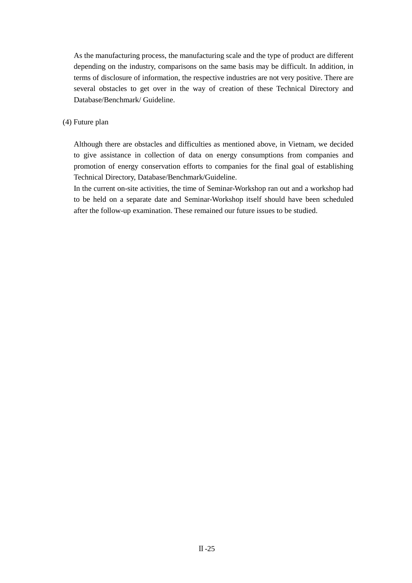As the manufacturing process, the manufacturing scale and the type of product are different depending on the industry, comparisons on the same basis may be difficult. In addition, in terms of disclosure of information, the respective industries are not very positive. There are several obstacles to get over in the way of creation of these Technical Directory and Database/Benchmark/ Guideline.

## (4) Future plan

Although there are obstacles and difficulties as mentioned above, in Vietnam, we decided to give assistance in collection of data on energy consumptions from companies and promotion of energy conservation efforts to companies for the final goal of establishing Technical Directory, Database/Benchmark/Guideline.

In the current on-site activities, the time of Seminar-Workshop ran out and a workshop had to be held on a separate date and Seminar-Workshop itself should have been scheduled after the follow-up examination. These remained our future issues to be studied.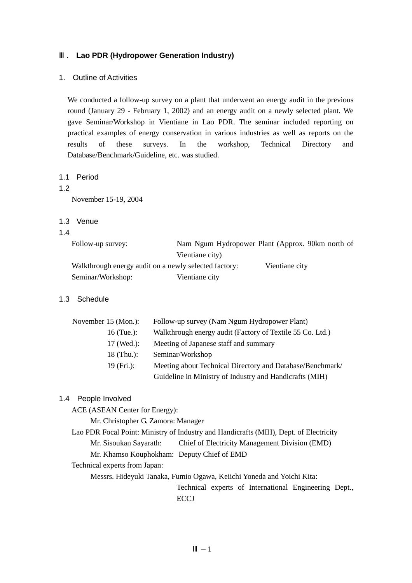### **. Lao PDR (Hydropower Generation Industry)**

1. Outline of Activities

We conducted a follow-up survey on a plant that underwent an energy audit in the previous round (January 29 - February 1, 2002) and an energy audit on a newly selected plant. We gave Seminar/Workshop in Vientiane in Lao PDR. The seminar included reporting on practical examples of energy conservation in various industries as well as reports on the results of these surveys. In the workshop, Technical Directory and Database/Benchmark/Guideline, etc. was studied.

1.1 Period

### 1.2

November 15-19, 2004

- 1.3 Venue
- 1.4

Follow-up survey: Nam Ngum Hydropower Plant (Approx. 90km north of Vientiane city)

Walkthrough energy audit on a newly selected factory: Vientiane city

Seminar/Workshop: Vientiane city

## 1.3 Schedule

| November 15 (Mon.): | Follow-up survey (Nam Ngum Hydropower Plant)              |
|---------------------|-----------------------------------------------------------|
| 16 (Tue.):          | Walkthrough energy audit (Factory of Textile 55 Co. Ltd.) |
| $17$ (Wed.):        | Meeting of Japanese staff and summary                     |
| 18 $(Thu.)$ :       | Seminar/Workshop                                          |
| 19(Fri.):           | Meeting about Technical Directory and Database/Benchmark/ |
|                     | Guideline in Ministry of Industry and Handicrafts (MIH)   |

## 1.4 People Involved

ACE (ASEAN Center for Energy):

Mr. Christopher G. Zamora: Manager

Lao PDR Focal Point: Ministry of Industry and Handicrafts (MIH), Dept. of Electricity Mr. Sisoukan Sayarath: Chief of Electricity Management Division (EMD) Mr. Khamso Kouphokham: Deputy Chief of EMD

Technical experts from Japan:

Messrs. Hideyuki Tanaka, Fumio Ogawa, Keiichi Yoneda and Yoichi Kita:

Technical experts of International Engineering Dept., **ECCJ**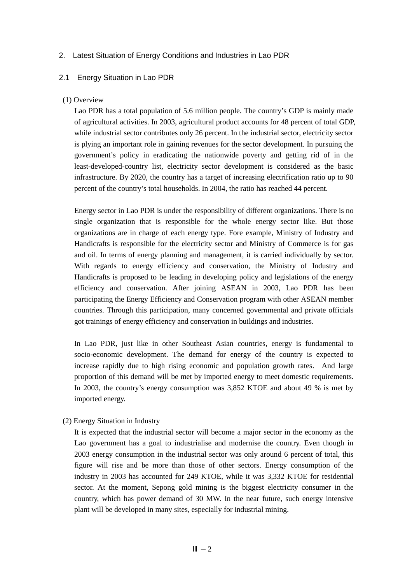### 2. Latest Situation of Energy Conditions and Industries in Lao PDR

#### 2.1 Energy Situation in Lao PDR

#### (1) Overview

Lao PDR has a total population of 5.6 million people. The country's GDP is mainly made of agricultural activities. In 2003, agricultural product accounts for 48 percent of total GDP, while industrial sector contributes only 26 percent. In the industrial sector, electricity sector is plying an important role in gaining revenues for the sector development. In pursuing the government's policy in eradicating the nationwide poverty and getting rid of in the least-developed-country list, electricity sector development is considered as the basic infrastructure. By 2020, the country has a target of increasing electrification ratio up to 90 percent of the country's total households. In 2004, the ratio has reached 44 percent.

Energy sector in Lao PDR is under the responsibility of different organizations. There is no single organization that is responsible for the whole energy sector like. But those organizations are in charge of each energy type. Fore example, Ministry of Industry and Handicrafts is responsible for the electricity sector and Ministry of Commerce is for gas and oil. In terms of energy planning and management, it is carried individually by sector. With regards to energy efficiency and conservation, the Ministry of Industry and Handicrafts is proposed to be leading in developing policy and legislations of the energy efficiency and conservation. After joining ASEAN in 2003, Lao PDR has been participating the Energy Efficiency and Conservation program with other ASEAN member countries. Through this participation, many concerned governmental and private officials got trainings of energy efficiency and conservation in buildings and industries.

In Lao PDR, just like in other Southeast Asian countries, energy is fundamental to socio-economic development. The demand for energy of the country is expected to increase rapidly due to high rising economic and population growth rates. And large proportion of this demand will be met by imported energy to meet domestic requirements. In 2003, the country's energy consumption was 3,852 KTOE and about 49 % is met by imported energy.

(2) Energy Situation in Industry

It is expected that the industrial sector will become a major sector in the economy as the Lao government has a goal to industrialise and modernise the country. Even though in 2003 energy consumption in the industrial sector was only around 6 percent of total, this figure will rise and be more than those of other sectors. Energy consumption of the industry in 2003 has accounted for 249 KTOE, while it was 3,332 KTOE for residential sector. At the moment, Sepong gold mining is the biggest electricity consumer in the country, which has power demand of 30 MW. In the near future, such energy intensive plant will be developed in many sites, especially for industrial mining.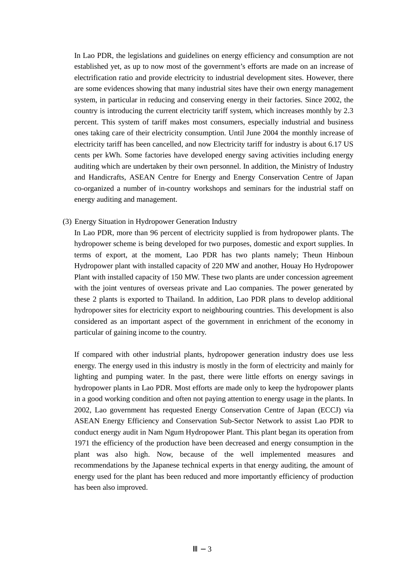In Lao PDR, the legislations and guidelines on energy efficiency and consumption are not established yet, as up to now most of the government's efforts are made on an increase of electrification ratio and provide electricity to industrial development sites. However, there are some evidences showing that many industrial sites have their own energy management system, in particular in reducing and conserving energy in their factories. Since 2002, the country is introducing the current electricity tariff system, which increases monthly by 2.3 percent. This system of tariff makes most consumers, especially industrial and business ones taking care of their electricity consumption. Until June 2004 the monthly increase of electricity tariff has been cancelled, and now Electricity tariff for industry is about 6.17 US cents per kWh. Some factories have developed energy saving activities including energy auditing which are undertaken by their own personnel. In addition, the Ministry of Industry and Handicrafts, ASEAN Centre for Energy and Energy Conservation Centre of Japan co-organized a number of in-country workshops and seminars for the industrial staff on energy auditing and management.

(3) Energy Situation in Hydropower Generation Industry

In Lao PDR, more than 96 percent of electricity supplied is from hydropower plants. The hydropower scheme is being developed for two purposes, domestic and export supplies. In terms of export, at the moment, Lao PDR has two plants namely; Theun Hinboun Hydropower plant with installed capacity of 220 MW and another, Houay Ho Hydropower Plant with installed capacity of 150 MW. These two plants are under concession agreement with the joint ventures of overseas private and Lao companies. The power generated by these 2 plants is exported to Thailand. In addition, Lao PDR plans to develop additional hydropower sites for electricity export to neighbouring countries. This development is also considered as an important aspect of the government in enrichment of the economy in particular of gaining income to the country.

If compared with other industrial plants, hydropower generation industry does use less energy. The energy used in this industry is mostly in the form of electricity and mainly for lighting and pumping water. In the past, there were little efforts on energy savings in hydropower plants in Lao PDR. Most efforts are made only to keep the hydropower plants in a good working condition and often not paying attention to energy usage in the plants. In 2002, Lao government has requested Energy Conservation Centre of Japan (ECCJ) via ASEAN Energy Efficiency and Conservation Sub-Sector Network to assist Lao PDR to conduct energy audit in Nam Ngum Hydropower Plant. This plant began its operation from 1971 the efficiency of the production have been decreased and energy consumption in the plant was also high. Now, because of the well implemented measures and recommendations by the Japanese technical experts in that energy auditing, the amount of energy used for the plant has been reduced and more importantly efficiency of production has been also improved.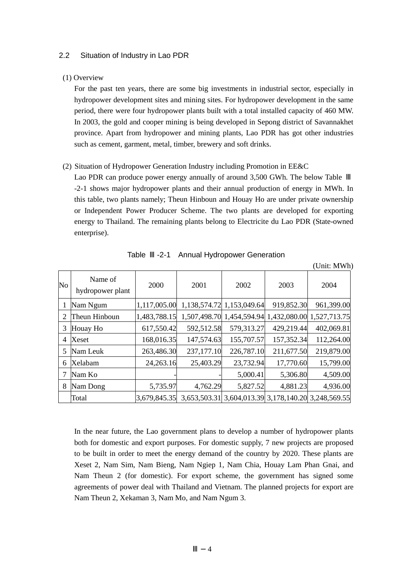### 2.2 Situation of Industry in Lao PDR

#### (1) Overview

For the past ten years, there are some big investments in industrial sector, especially in hydropower development sites and mining sites. For hydropower development in the same period, there were four hydropower plants built with a total installed capacity of 460 MW. In 2003, the gold and cooper mining is being developed in Sepong district of Savannakhet province. Apart from hydropower and mining plants, Lao PDR has got other industries such as cement, garment, metal, timber, brewery and soft drinks.

### (2) Situation of Hydropower Generation Industry including Promotion in EE&C

Lao PDR can produce power energy annually of around 3,500 GWh. The below Table -2-1 shows major hydropower plants and their annual production of energy in MWh. In this table, two plants namely; Theun Hinboun and Houay Ho are under private ownership or Independent Power Producer Scheme. The two plants are developed for exporting energy to Thailand. The remaining plants belong to Electricite du Lao PDR (State-owned enterprise).

|                |                             |              |            |                           |            | $\sqrt{2}$ . Thus is the set of $\mathbf{H}$        |
|----------------|-----------------------------|--------------|------------|---------------------------|------------|-----------------------------------------------------|
| $\rm No$       | Name of<br>hydropower plant | 2000         | 2001       | 2002                      | 2003       | 2004                                                |
|                | Nam Ngum                    | 1,117,005.00 |            | 1,138,574.72 1,153,049.64 | 919,852.30 | 961,399.00                                          |
| 2              | Theun Hinboun               | 1,483,788.15 |            | 1,507,498.70 1,454,594.94 |            | 1,432,080.00 1,527,713.75                           |
| 3              | Houay Ho                    | 617,550.42   | 592,512.58 | 579,313.27                | 429,219.44 | 402,069.81                                          |
| $\overline{4}$ | Xeset                       | 168,016.35   | 147,574.63 | 155,707.57                | 157,352.34 | 112,264.00                                          |
| 5              | Nam Leuk                    | 263,486.30   | 237,177.10 | 226,787.10                | 211,677.50 | 219,879.00                                          |
| 6              | Xelabam                     | 24, 263. 16  | 25,403.29  | 23,732.94                 | 17,770.60  | 15,799.00                                           |
| 7              | Nam Ko                      |              |            | 5,000.41                  | 5,306.80   | 4,509.00                                            |
| 8              | Nam Dong                    | 5,735.97     | 4,762.29   | 5,827.52                  | 4,881.23   | 4,936.00                                            |
|                | Total                       | 3,679,845.35 |            |                           |            | 3,653,503.31 3,604,013.39 3,178,140.20 3,248,569.55 |

Table -2-1 Annual Hydropower Generation

(Unit: MWh)

In the near future, the Lao government plans to develop a number of hydropower plants both for domestic and export purposes. For domestic supply, 7 new projects are proposed to be built in order to meet the energy demand of the country by 2020. These plants are Xeset 2, Nam Sim, Nam Bieng, Nam Ngiep 1, Nam Chia, Houay Lam Phan Gnai, and Nam Theun 2 (for domestic). For export scheme, the government has signed some agreements of power deal with Thailand and Vietnam. The planned projects for export are Nam Theun 2, Xekaman 3, Nam Mo, and Nam Ngum 3.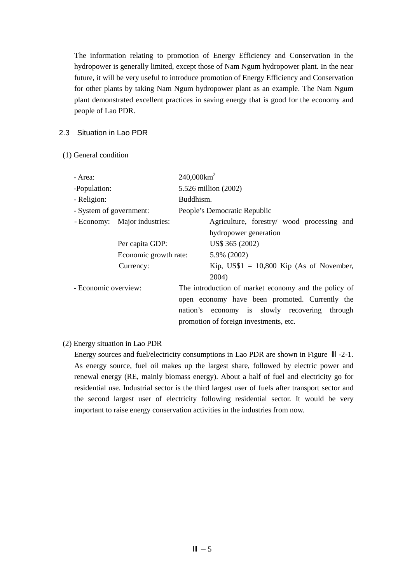The information relating to promotion of Energy Efficiency and Conservation in the hydropower is generally limited, except those of Nam Ngum hydropower plant. In the near future, it will be very useful to introduce promotion of Energy Efficiency and Conservation for other plants by taking Nam Ngum hydropower plant as an example. The Nam Ngum plant demonstrated excellent practices in saving energy that is good for the economy and people of Lao PDR.

## 2.3 Situation in Lao PDR

(1) General condition

| - Area:                      | $240,000$ km <sup>2</sup> |                                                      |  |  |
|------------------------------|---------------------------|------------------------------------------------------|--|--|
| -Population:                 |                           | 5.526 million (2002)                                 |  |  |
| - Religion:                  |                           | Buddhism.                                            |  |  |
| - System of government:      |                           | People's Democratic Republic                         |  |  |
| - Economy: Major industries: |                           | Agriculture, forestry/ wood processing and           |  |  |
|                              |                           | hydropower generation                                |  |  |
| Per capita GDP:              |                           | US\$ 365 (2002)                                      |  |  |
|                              | Economic growth rate:     | 5.9% (2002)                                          |  |  |
| Currency:                    |                           | Kip, $US$1 = 10,800$ Kip (As of November,            |  |  |
|                              |                           | 2004)                                                |  |  |
| - Economic overview:         |                           | The introduction of market economy and the policy of |  |  |
|                              |                           | open economy have been promoted. Currently the       |  |  |
|                              |                           | nation's economy is slowly recovering<br>through     |  |  |
|                              |                           | promotion of foreign investments, etc.               |  |  |

(2) Energy situation in Lao PDR

Energy sources and fuel/electricity consumptions in Lao PDR are shown in Figure  $-2-1$ . As energy source, fuel oil makes up the largest share, followed by electric power and renewal energy (RE, mainly biomass energy). About a half of fuel and electricity go for residential use. Industrial sector is the third largest user of fuels after transport sector and the second largest user of electricity following residential sector. It would be very important to raise energy conservation activities in the industries from now.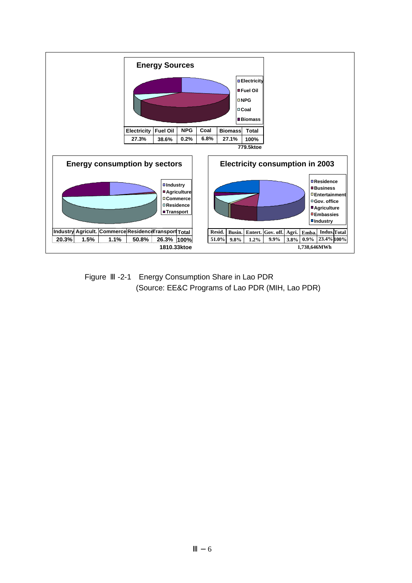

Figure -2-1 Energy Consumption Share in Lao PDR (Source: EE&C Programs of Lao PDR (MIH, Lao PDR)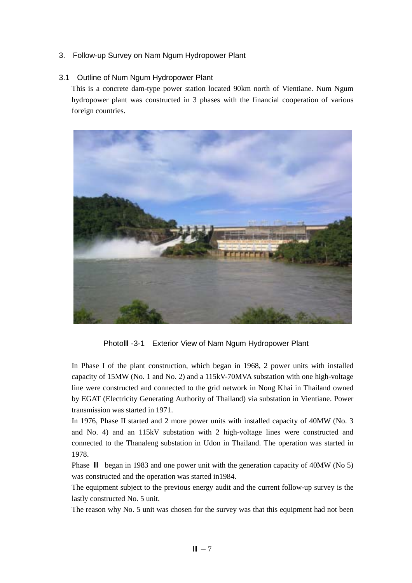## 3. Follow-up Survey on Nam Ngum Hydropower Plant

## 3.1 Outline of Num Ngum Hydropower Plant

This is a concrete dam-type power station located 90km north of Vientiane. Num Ngum hydropower plant was constructed in 3 phases with the financial cooperation of various foreign countries.



Photo -3-1 Exterior View of Nam Ngum Hydropower Plant

In Phase I of the plant construction, which began in 1968, 2 power units with installed capacity of 15MW (No. 1 and No. 2) and a 115kV-70MVA substation with one high-voltage line were constructed and connected to the grid network in Nong Khai in Thailand owned by EGAT (Electricity Generating Authority of Thailand) via substation in Vientiane. Power transmission was started in 1971.

In 1976, Phase II started and 2 more power units with installed capacity of 40MW (No. 3 and No. 4) and an 115kV substation with 2 high-voltage lines were constructed and connected to the Thanaleng substation in Udon in Thailand. The operation was started in 1978.

Phase began in 1983 and one power unit with the generation capacity of 40MW (No 5) was constructed and the operation was started in1984.

The equipment subject to the previous energy audit and the current follow-up survey is the lastly constructed No. 5 unit.

The reason why No. 5 unit was chosen for the survey was that this equipment had not been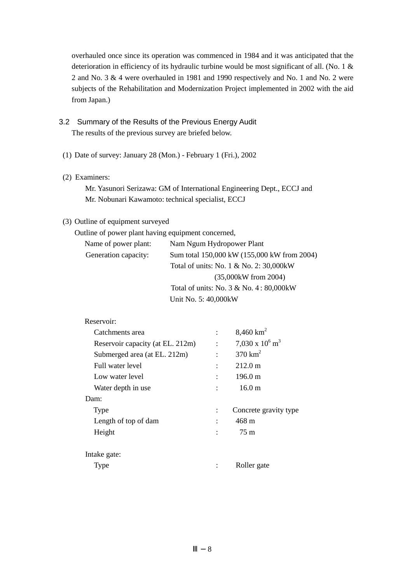overhauled once since its operation was commenced in 1984 and it was anticipated that the deterioration in efficiency of its hydraulic turbine would be most significant of all. (No. 1 & 2 and No. 3 & 4 were overhauled in 1981 and 1990 respectively and No. 1 and No. 2 were subjects of the Rehabilitation and Modernization Project implemented in 2002 with the aid from Japan.)

- 3.2 Summary of the Results of the Previous Energy Audit The results of the previous survey are briefed below.
- (1) Date of survey: January 28 (Mon.) February 1 (Fri.), 2002
- (2) Examiners:

Mr. Yasunori Serizawa: GM of International Engineering Dept., ECCJ and Mr. Nobunari Kawamoto: technical specialist, ECCJ

## (3) Outline of equipment surveyed

Outline of power plant having equipment concerned, Name of power plant: Nam Ngum Hydropower Plant Generation capacity: Sum total 150,000 kW (155,000 kW from 2004) Total of units: No. 1 & No. 2: 30,000kW (35,000kW from 2004) Total of units: No. 3 & No. 4 : 80,000kW Unit No. 5: 40,000kW

## Reservoir:

| Catchments area                  | 8,460 $km^2$                  |
|----------------------------------|-------------------------------|
| Reservoir capacity (at EL. 212m) | 7,030 x $10^6$ m <sup>3</sup> |
| Submerged area (at EL. 212m)     | $370 \text{ km}^2$            |
| Full water level                 | $212.0 \text{ m}$             |
| Low water level                  | 196.0 m                       |
| Water depth in use.              | 16.0 <sub>m</sub>             |
| Dam:                             |                               |
| Type                             | Concrete gravity type         |
| Length of top of dam             | 468 m                         |
| Height                           | 75 m                          |
|                                  |                               |
| Intake gate:                     |                               |
| Type                             | Roller gate                   |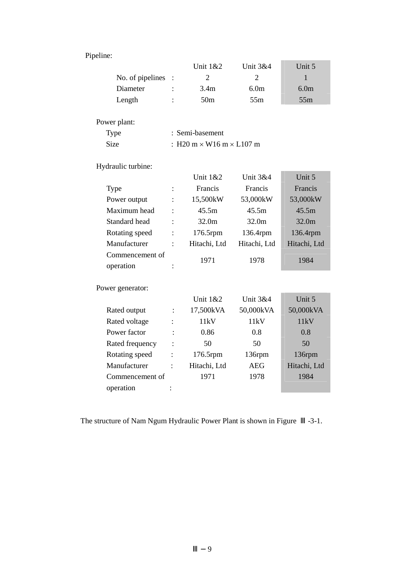## Pipeline:

|                    |                                        | Unit $1&&2$      | Unit $3&4$       | Unit 5           |
|--------------------|----------------------------------------|------------------|------------------|------------------|
| No. of pipelines : |                                        | 2                | 2                |                  |
| Diameter           |                                        | 3.4 <sub>m</sub> | 6.0 <sub>m</sub> | 6.0 <sub>m</sub> |
| Length             | $\ddot{\cdot}$                         | 50 <sub>m</sub>  | 55 <sub>m</sub>  | 55m              |
|                    |                                        |                  |                  |                  |
| Power plant:       |                                        |                  |                  |                  |
| Type               | : Semi-basement                        |                  |                  |                  |
| <b>Size</b>        | : H20 m $\times$ W16 m $\times$ L107 m |                  |                  |                  |

Hydraulic turbine:

|                 |                           | <b>Unit 1&amp;2</b> | <b>Unit 3&amp;4</b> | Unit 5            |
|-----------------|---------------------------|---------------------|---------------------|-------------------|
| <b>Type</b>     |                           | Francis             | Francis             | Francis           |
| Power output    |                           | 15,500kW            | 53,000kW            | 53,000kW          |
| Maximum head    | $\ddot{\cdot}$            | 45.5m               | 45.5m               | 45.5m             |
| Standard head   | $\ddot{\cdot}$            | 32.0 <sub>m</sub>   | 32.0m               | 32.0 <sub>m</sub> |
| Rotating speed  | $\ddot{\cdot}$            | $176.5$ rpm         | 136.4rpm            | 136.4rpm          |
| Manufacturer    | $\ddot{\phantom{a}}$      | Hitachi, Ltd        | Hitachi, Ltd        | Hitachi, Ltd      |
| Commencement of |                           | 1971                | 1978                | 1984              |
| operation       | ٠<br>$\ddot{\phantom{0}}$ |                     |                     |                   |

Power generator:

|                 |                | Unit 1&2     | Unit $3&4$ | Unit 5       |
|-----------------|----------------|--------------|------------|--------------|
| Rated output    | $\ddot{\cdot}$ | 17,500kVA    | 50,000kVA  | 50,000kVA    |
| Rated voltage   | ٠              | 11kV         | 11kV       | 11kV         |
| Power factor    | $\ddot{\cdot}$ | 0.86         | 0.8        | 0.8          |
| Rated frequency | $\ddot{\cdot}$ | 50           | 50         | 50           |
| Rotating speed  | $\ddot{\cdot}$ | $176.5$ rpm  | 136rpm     | 136rpm       |
| Manufacturer    | $\ddot{\cdot}$ | Hitachi, Ltd | AEG        | Hitachi, Ltd |
| Commencement of |                | 1971         | 1978       | 1984         |
| operation       |                |              |            |              |

The structure of Nam Ngum Hydraulic Power Plant is shown in Figure -3-1.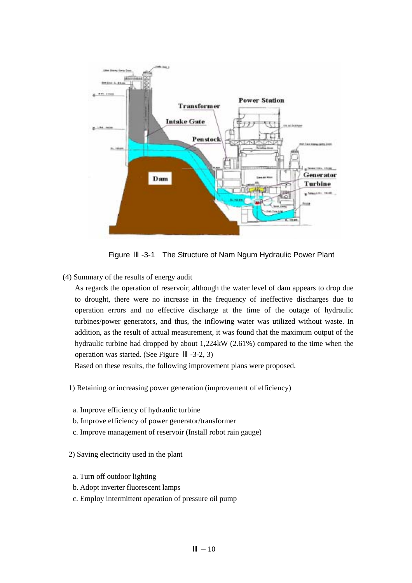

Figure -3-1 The Structure of Nam Ngum Hydraulic Power Plant

(4) Summary of the results of energy audit

As regards the operation of reservoir, although the water level of dam appears to drop due to drought, there were no increase in the frequency of ineffective discharges due to operation errors and no effective discharge at the time of the outage of hydraulic turbines/power generators, and thus, the inflowing water was utilized without waste. In addition, as the result of actual measurement, it was found that the maximum output of the hydraulic turbine had dropped by about 1,224kW (2.61%) compared to the time when the operation was started. (See Figure -3-2, 3)

Based on these results, the following improvement plans were proposed.

1) Retaining or increasing power generation (improvement of efficiency)

- a. Improve efficiency of hydraulic turbine
- b. Improve efficiency of power generator/transformer
- c. Improve management of reservoir (Install robot rain gauge)
- 2) Saving electricity used in the plant
- a. Turn off outdoor lighting
- b. Adopt inverter fluorescent lamps
- c. Employ intermittent operation of pressure oil pump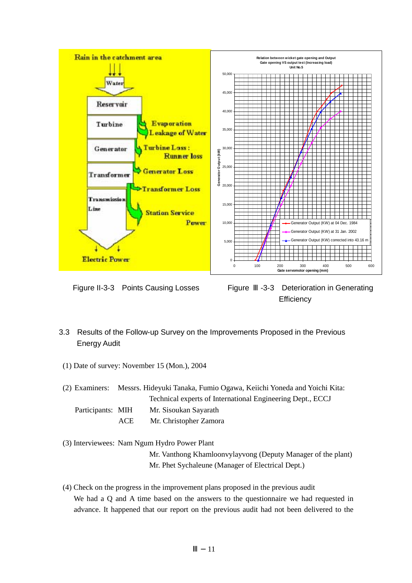

Figure II-3-3 Points Causing Losses Figure -3-3 Deterioration in Generating **Efficiency** 

## 3.3 Results of the Follow-up Survey on the Improvements Proposed in the Previous Energy Audit

(1) Date of survey: November 15 (Mon.), 2004

(2) Examiners: Messrs. Hideyuki Tanaka, Fumio Ogawa, Keiichi Yoneda and Yoichi Kita: Technical experts of International Engineering Dept., ECCJ Participants: MIH Mr. Sisoukan Sayarath ACE Mr. Christopher Zamora

(3) Interviewees: Nam Ngum Hydro Power Plant

Mr. Vanthong Khamloonvylayvong (Deputy Manager of the plant) Mr. Phet Sychaleune (Manager of Electrical Dept.)

(4) Check on the progress in the improvement plans proposed in the previous audit We had a Q and A time based on the answers to the questionnaire we had requested in advance. It happened that our report on the previous audit had not been delivered to the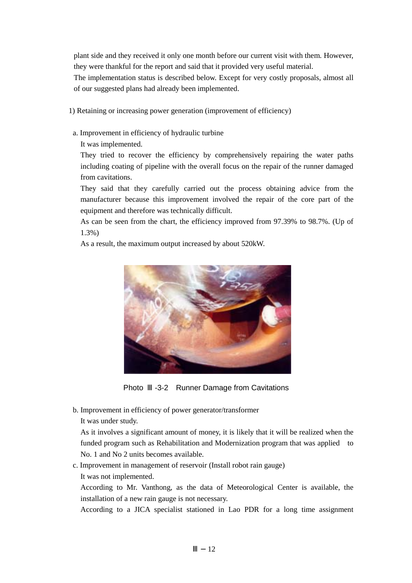plant side and they received it only one month before our current visit with them. However, they were thankful for the report and said that it provided very useful material.

The implementation status is described below. Except for very costly proposals, almost all of our suggested plans had already been implemented.

1) Retaining or increasing power generation (improvement of efficiency)

a. Improvement in efficiency of hydraulic turbine

It was implemented.

They tried to recover the efficiency by comprehensively repairing the water paths including coating of pipeline with the overall focus on the repair of the runner damaged from cavitations.

They said that they carefully carried out the process obtaining advice from the manufacturer because this improvement involved the repair of the core part of the equipment and therefore was technically difficult.

As can be seen from the chart, the efficiency improved from 97.39% to 98.7%. (Up of 1.3%)

As a result, the maximum output increased by about 520kW.



Photo -3-2 Runner Damage from Cavitations

b. Improvement in efficiency of power generator/transformer

It was under study.

As it involves a significant amount of money, it is likely that it will be realized when the funded program such as Rehabilitation and Modernization program that was applied to No. 1 and No 2 units becomes available.

c. Improvement in management of reservoir (Install robot rain gauge) It was not implemented.

According to Mr. Vanthong, as the data of Meteorological Center is available, the installation of a new rain gauge is not necessary.

According to a JICA specialist stationed in Lao PDR for a long time assignment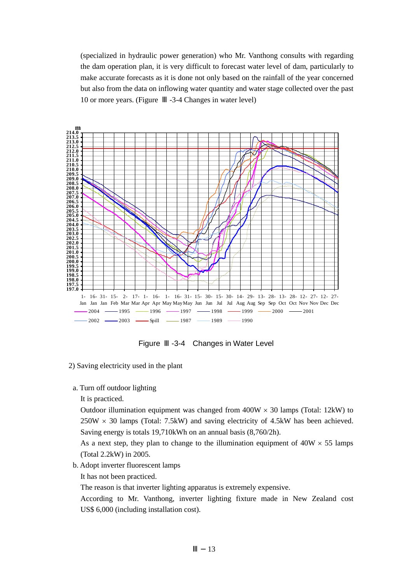(specialized in hydraulic power generation) who Mr. Vanthong consults with regarding the dam operation plan, it is very difficult to forecast water level of dam, particularly to make accurate forecasts as it is done not only based on the rainfall of the year concerned but also from the data on inflowing water quantity and water stage collected over the past 10 or more years. (Figure -3-4 Changes in water level)



Figure -3-4 Changes in Water Level

- 2) Saving electricity used in the plant
- a. Turn off outdoor lighting
	- It is practiced.

Outdoor illumination equipment was changed from  $400W \times 30$  lamps (Total: 12kW) to  $250W \times 30$  lamps (Total: 7.5kW) and saving electricity of 4.5kW has been achieved. Saving energy is totals 19,710kWh on an annual basis (8,760/2h).

As a next step, they plan to change to the illumination equipment of  $40W \times 55$  lamps (Total 2.2kW) in 2005.

b. Adopt inverter fluorescent lamps

It has not been practiced.

The reason is that inverter lighting apparatus is extremely expensive.

According to Mr. Vanthong, inverter lighting fixture made in New Zealand cost US\$ 6,000 (including installation cost).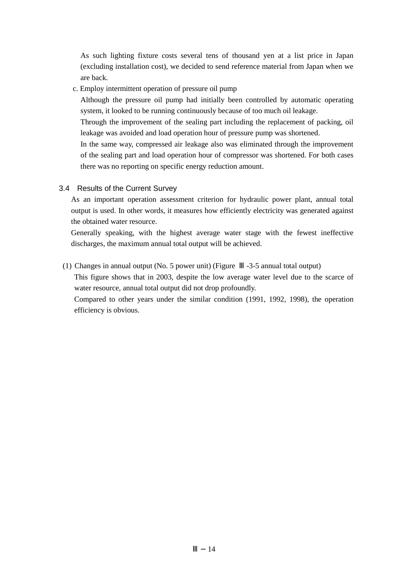As such lighting fixture costs several tens of thousand yen at a list price in Japan (excluding installation cost), we decided to send reference material from Japan when we are back.

c. Employ intermittent operation of pressure oil pump

Although the pressure oil pump had initially been controlled by automatic operating system, it looked to be running continuously because of too much oil leakage.

Through the improvement of the sealing part including the replacement of packing, oil leakage was avoided and load operation hour of pressure pump was shortened.

In the same way, compressed air leakage also was eliminated through the improvement of the sealing part and load operation hour of compressor was shortened. For both cases there was no reporting on specific energy reduction amount.

## 3.4 Results of the Current Survey

As an important operation assessment criterion for hydraulic power plant, annual total output is used. In other words, it measures how efficiently electricity was generated against the obtained water resource.

Generally speaking, with the highest average water stage with the fewest ineffective discharges, the maximum annual total output will be achieved.

(1) Changes in annual output (No. 5 power unit) (Figure -3-5 annual total output) This figure shows that in 2003, despite the low average water level due to the scarce of water resource, annual total output did not drop profoundly.

Compared to other years under the similar condition (1991, 1992, 1998), the operation efficiency is obvious.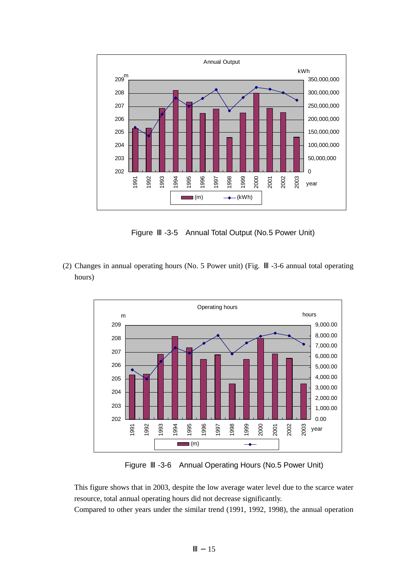

Figure -3-5 Annual Total Output (No.5 Power Unit)

(2) Changes in annual operating hours (No. 5 Power unit) (Fig. -3-6 annual total operating hours)



Figure -3-6 Annual Operating Hours (No.5 Power Unit)

This figure shows that in 2003, despite the low average water level due to the scarce water resource, total annual operating hours did not decrease significantly.

Compared to other years under the similar trend (1991, 1992, 1998), the annual operation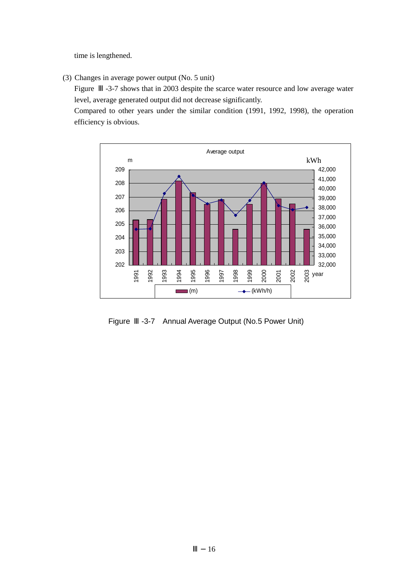time is lengthened.

(3) Changes in average power output (No. 5 unit)

Figure -3-7 shows that in 2003 despite the scarce water resource and low average water level, average generated output did not decrease significantly.

Compared to other years under the similar condition (1991, 1992, 1998), the operation efficiency is obvious.



Figure -3-7 Annual Average Output (No.5 Power Unit)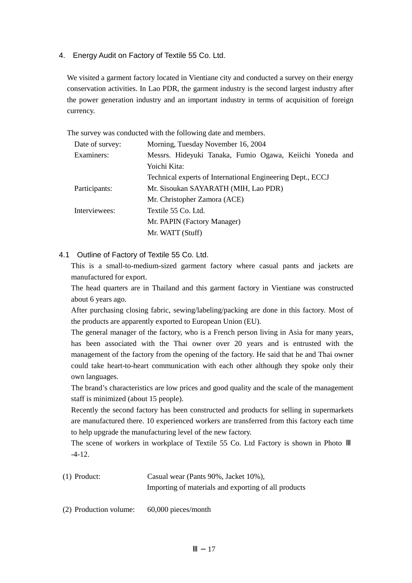4. Energy Audit on Factory of Textile 55 Co. Ltd.

We visited a garment factory located in Vientiane city and conducted a survey on their energy conservation activities. In Lao PDR, the garment industry is the second largest industry after the power generation industry and an important industry in terms of acquisition of foreign currency.

The survey was conducted with the following date and members.

| Morning, Tuesday November 16, 2004                         |  |  |  |
|------------------------------------------------------------|--|--|--|
| Messrs. Hideyuki Tanaka, Fumio Ogawa, Keiichi Yoneda and   |  |  |  |
| Yoichi Kita:                                               |  |  |  |
| Technical experts of International Engineering Dept., ECCJ |  |  |  |
| Mr. Sisoukan SAYARATH (MIH, Lao PDR)                       |  |  |  |
| Mr. Christopher Zamora (ACE)                               |  |  |  |
| Textile 55 Co. Ltd.                                        |  |  |  |
| Mr. PAPIN (Factory Manager)                                |  |  |  |
| Mr. WATT (Stuff)                                           |  |  |  |
|                                                            |  |  |  |

4.1 Outline of Factory of Textile 55 Co. Ltd.

This is a small-to-medium-sized garment factory where casual pants and jackets are manufactured for export.

The head quarters are in Thailand and this garment factory in Vientiane was constructed about 6 years ago.

After purchasing closing fabric, sewing/labeling/packing are done in this factory. Most of the products are apparently exported to European Union (EU).

The general manager of the factory, who is a French person living in Asia for many years, has been associated with the Thai owner over 20 years and is entrusted with the management of the factory from the opening of the factory. He said that he and Thai owner could take heart-to-heart communication with each other although they spoke only their own languages.

The brand's characteristics are low prices and good quality and the scale of the management staff is minimized (about 15 people).

Recently the second factory has been constructed and products for selling in supermarkets are manufactured there. 10 experienced workers are transferred from this factory each time to help upgrade the manufacturing level of the new factory.

The scene of workers in workplace of Textile 55 Co. Ltd Factory is shown in Photo -4-12.

(1) Product: Casual wear (Pants 90%, Jacket 10%), Importing of materials and exporting of all products

(2) Production volume: 60,000 pieces/month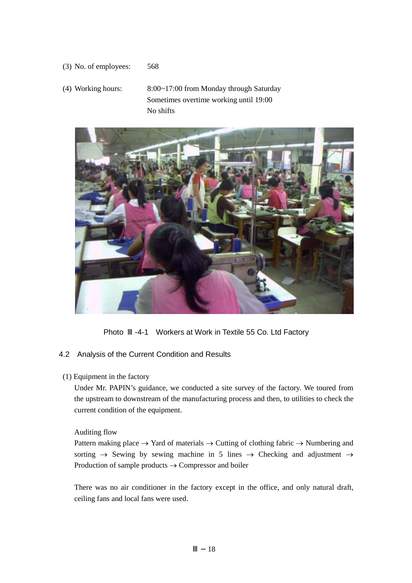(3) No. of employees: 568

(4) Working hours: 8:00~17:00 from Monday through Saturday Sometimes overtime working until 19:00 No shifts



Photo -4-1 Workers at Work in Textile 55 Co. Ltd Factory

## 4.2 Analysis of the Current Condition and Results

(1) Equipment in the factory

Under Mr. PAPIN's guidance, we conducted a site survey of the factory. We toured from the upstream to downstream of the manufacturing process and then, to utilities to check the current condition of the equipment.

Auditing flow

Pattern making place  $\rightarrow$  Yard of materials  $\rightarrow$  Cutting of clothing fabric  $\rightarrow$  Numbering and sorting  $\rightarrow$  Sewing by sewing machine in 5 lines  $\rightarrow$  Checking and adjustment  $\rightarrow$ Production of sample products → Compressor and boiler

There was no air conditioner in the factory except in the office, and only natural draft, ceiling fans and local fans were used.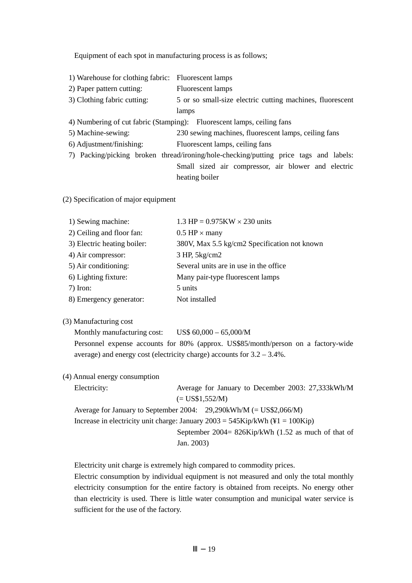Equipment of each spot in manufacturing process is as follows;

| <b>Fluorescent</b> lamps                                                              |  |  |
|---------------------------------------------------------------------------------------|--|--|
| <b>Fluorescent</b> lamps                                                              |  |  |
| 5 or so small-size electric cutting machines, fluorescent                             |  |  |
| lamps                                                                                 |  |  |
| 4) Numbering of cut fabric (Stamping): Fluorescent lamps, ceiling fans                |  |  |
| 230 sewing machines, fluorescent lamps, ceiling fans                                  |  |  |
| Fluorescent lamps, ceiling fans                                                       |  |  |
| 7) Packing/picking broken thread/ironing/hole-checking/putting price tags and labels: |  |  |
| Small sized air compressor, air blower and electric                                   |  |  |
| heating boiler                                                                        |  |  |
|                                                                                       |  |  |

(2) Specification of major equipment

| 1) Sewing machine:          | 1.3 HP = $0.975KW \times 230$ units          |
|-----------------------------|----------------------------------------------|
| 2) Ceiling and floor fan:   | $0.5$ HP $\times$ many                       |
| 3) Electric heating boiler: | 380V, Max 5.5 kg/cm2 Specification not known |
| 4) Air compressor:          | 3 HP, 5kg/cm2                                |
| 5) Air conditioning:        | Several units are in use in the office.      |
| 6) Lighting fixture:        | Many pair-type fluorescent lamps             |
| $7)$ Iron:                  | 5 units                                      |
| 8) Emergency generator:     | Not installed                                |

## (3) Manufacturing cost

Monthly manufacturing cost: US\$  $60,000 - 65,000/M$ Personnel expense accounts for 80% (approx. US\$85/month/person on a factory-wide average) and energy cost (electricity charge) accounts for 3.2 – 3.4%.

(4) Annual energy consumption

| Electricity:                                                          |            | Average for January to December 2003: 27,333kWh/M                               |
|-----------------------------------------------------------------------|------------|---------------------------------------------------------------------------------|
|                                                                       |            | $(= US$1,552/M)$                                                                |
| Average for January to September 2004: $29,290$ kWh/M (= US\$2,066/M) |            |                                                                                 |
|                                                                       |            | Increase in electricity unit charge: January $2003 = 545$ Kip/kWh (¥1 = 100Kip) |
|                                                                       |            | September 2004= $826Kip/kWh$ (1.52 as much of that of                           |
|                                                                       | Jan. 2003) |                                                                                 |

Electricity unit charge is extremely high compared to commodity prices.

Electric consumption by individual equipment is not measured and only the total monthly electricity consumption for the entire factory is obtained from receipts. No energy other than electricity is used. There is little water consumption and municipal water service is sufficient for the use of the factory.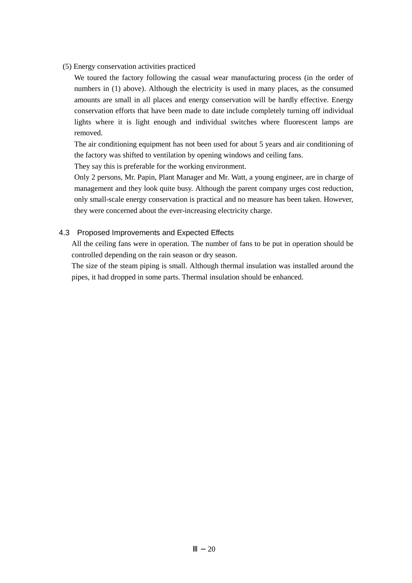(5) Energy conservation activities practiced

We toured the factory following the casual wear manufacturing process (in the order of numbers in (1) above). Although the electricity is used in many places, as the consumed amounts are small in all places and energy conservation will be hardly effective. Energy conservation efforts that have been made to date include completely turning off individual lights where it is light enough and individual switches where fluorescent lamps are removed.

The air conditioning equipment has not been used for about 5 years and air conditioning of the factory was shifted to ventilation by opening windows and ceiling fans.

They say this is preferable for the working environment.

Only 2 persons, Mr. Papin, Plant Manager and Mr. Watt, a young engineer, are in charge of management and they look quite busy. Although the parent company urges cost reduction, only small-scale energy conservation is practical and no measure has been taken. However, they were concerned about the ever-increasing electricity charge.

## 4.3 Proposed Improvements and Expected Effects

All the ceiling fans were in operation. The number of fans to be put in operation should be controlled depending on the rain season or dry season.

The size of the steam piping is small. Although thermal insulation was installed around the pipes, it had dropped in some parts. Thermal insulation should be enhanced.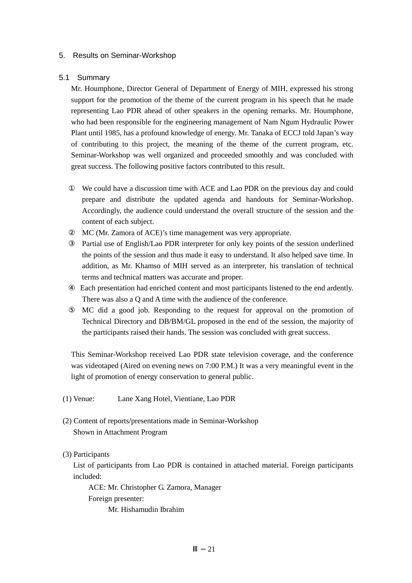#### 5. Results on Seminar-Workshop

#### 5.1 Summary

Mr. Houmphone, Director General of Department of Energy of MIH, expressed his strong support for the promotion of the theme of the current program in his speech that he made representing Lao PDR ahead of other speakers in the opening remarks. Mr. Houmphone, who had been responsible for the engineering management of Nam Ngum Hydraulic Power Plant until 1985, has a profound knowledge of energy. Mr. Tanaka of ECCJ told Japan's way of contributing to this project, the meaning of the theme of the current program, etc. Seminar-Workshop was well organized and proceeded smoothly and was concluded with great success. The following positive factors contributed to this result.

 We could have a discussion time with ACE and Lao PDR on the previous day and could prepare and distribute the updated agenda and handouts for Seminar-Workshop. Accordingly, the audience could understand the overall structure of the session and the content of each subject.

MC (Mr. Zamora of ACE)'s time management was very appropriate.

 Partial use of English/Lao PDR interpreter for only key points of the session underlined the points of the session and thus made it easy to understand. It also helped save time. In addition, as Mr. Khamso of MIH served as an interpreter, his translation of technical terms and technical matters was accurate and proper.

 Each presentation had enriched content and most participants listened to the end ardently. There was also a Q and A time with the audience of the conference.

 MC did a good job. Responding to the request for approval on the promotion of Technical Directory and DB/BM/GL proposed in the end of the session, the majority of the participants raised their hands. The session was concluded with great success.

This Seminar-Workshop received Lao PDR state television coverage, and the conference was videotaped (Aired on evening news on 7:00 P.M.) It was a very meaningful event in the light of promotion of energy conservation to general public.

- (1) Venue: Lane Xang Hotel, Vientiane, Lao PDR
- (2) Content of reports/presentations made in Seminar-Workshop Shown in Attachment Program

(3) Participants

List of participants from Lao PDR is contained in attached material. Foreign participants included:

ACE: Mr. Christopher G. Zamora, Manager Foreign presenter: Mr. Hishamudin Ibrahim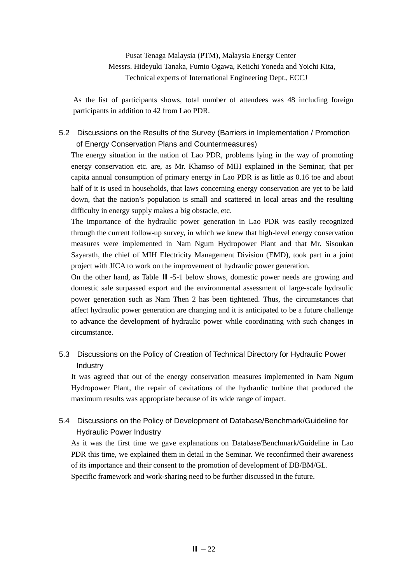Pusat Tenaga Malaysia (PTM), Malaysia Energy Center Messrs. Hideyuki Tanaka, Fumio Ogawa, Keiichi Yoneda and Yoichi Kita, Technical experts of International Engineering Dept., ECCJ

As the list of participants shows, total number of attendees was 48 including foreign participants in addition to 42 from Lao PDR.

## 5.2 Discussions on the Results of the Survey (Barriers in Implementation / Promotion of Energy Conservation Plans and Countermeasures)

The energy situation in the nation of Lao PDR, problems lying in the way of promoting energy conservation etc. are, as Mr. Khamso of MIH explained in the Seminar, that per capita annual consumption of primary energy in Lao PDR is as little as 0.16 toe and about half of it is used in households, that laws concerning energy conservation are yet to be laid down, that the nation's population is small and scattered in local areas and the resulting difficulty in energy supply makes a big obstacle, etc.

The importance of the hydraulic power generation in Lao PDR was easily recognized through the current follow-up survey, in which we knew that high-level energy conservation measures were implemented in Nam Ngum Hydropower Plant and that Mr. Sisoukan Sayarath, the chief of MIH Electricity Management Division (EMD), took part in a joint project with JICA to work on the improvement of hydraulic power generation.

On the other hand, as Table -5-1 below shows, domestic power needs are growing and domestic sale surpassed export and the environmental assessment of large-scale hydraulic power generation such as Nam Then 2 has been tightened. Thus, the circumstances that affect hydraulic power generation are changing and it is anticipated to be a future challenge to advance the development of hydraulic power while coordinating with such changes in circumstance.

## 5.3 Discussions on the Policy of Creation of Technical Directory for Hydraulic Power Industry

It was agreed that out of the energy conservation measures implemented in Nam Ngum Hydropower Plant, the repair of cavitations of the hydraulic turbine that produced the maximum results was appropriate because of its wide range of impact.

## 5.4 Discussions on the Policy of Development of Database/Benchmark/Guideline for Hydraulic Power Industry

As it was the first time we gave explanations on Database/Benchmark/Guideline in Lao PDR this time, we explained them in detail in the Seminar. We reconfirmed their awareness of its importance and their consent to the promotion of development of DB/BM/GL. Specific framework and work-sharing need to be further discussed in the future.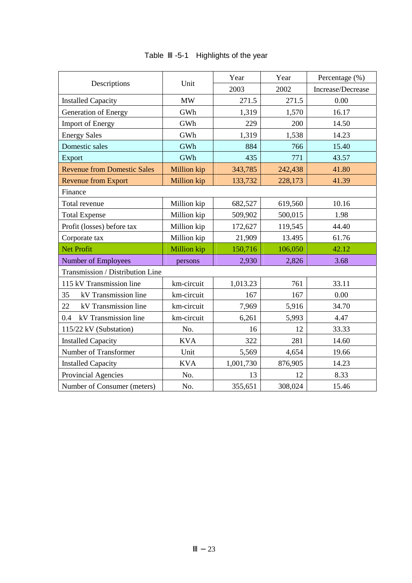|                                    |             | Year      | Year    | Percentage (%)    |
|------------------------------------|-------------|-----------|---------|-------------------|
| Descriptions                       | Unit        | 2003      | 2002    | Increase/Decrease |
| <b>Installed Capacity</b>          | <b>MW</b>   | 271.5     | 271.5   | 0.00              |
| Generation of Energy               | GWh         | 1,319     | 1,570   | 16.17             |
| <b>Import of Energy</b>            | GWh         | 229       | 200     | 14.50             |
| <b>Energy Sales</b>                | GWh         | 1,319     | 1,538   | 14.23             |
| Domestic sales                     | GWh         | 884       | 766     | 15.40             |
| Export                             | GWh         | 435       | 771     | 43.57             |
| <b>Revenue from Domestic Sales</b> | Million kip | 343,785   | 242,438 | 41.80             |
| <b>Revenue from Export</b>         | Million kip | 133,732   | 228,173 | 41.39             |
| Finance                            |             |           |         |                   |
| Total revenue                      | Million kip | 682,527   | 619,560 | 10.16             |
| <b>Total Expense</b>               | Million kip | 509,902   | 500,015 | 1.98              |
| Profit (losses) before tax         | Million kip | 172,627   | 119,545 | 44.40             |
| Corporate tax                      | Million kip | 21,909    | 13.495  | 61.76             |
| <b>Net Profit</b>                  | Million kip | 150,716   | 106,050 | 42.12             |
| <b>Number of Employees</b>         | persons     | 2,930     | 2,826   | 3.68              |
| Transmission / Distribution Line   |             |           |         |                   |
| 115 kV Transmission line           | km-circuit  | 1,013.23  | 761     | 33.11             |
| kV Transmission line<br>35         | km-circuit  | 167       | 167     | 0.00              |
| 22<br>kV Transmission line         | km-circuit  | 7,969     | 5,916   | 34.70             |
| kV Transmission line<br>0.4        | km-circuit  | 6,261     | 5,993   | 4.47              |
| 115/22 kV (Substation)             | No.         | 16        | 12      | 33.33             |
| <b>Installed Capacity</b>          | <b>KVA</b>  | 322       | 281     | 14.60             |
| Number of Transformer              | Unit        | 5,569     | 4,654   | 19.66             |
| <b>Installed Capacity</b>          | <b>KVA</b>  | 1,001,730 | 876,905 | 14.23             |
| Provincial Agencies                | No.         | 13        | 12      | 8.33              |
| Number of Consumer (meters)        | No.         | 355,651   | 308,024 | 15.46             |

# Table -5-1 Highlights of the year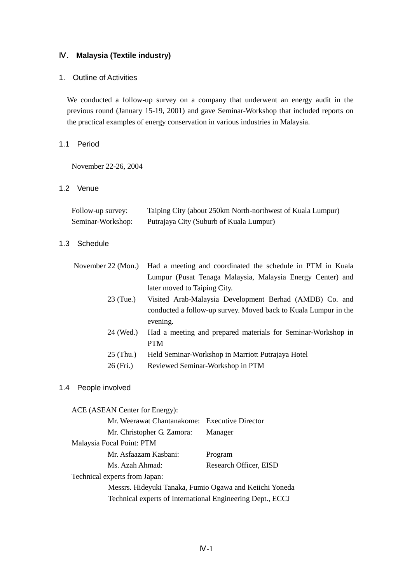## Ⅳ**. Malaysia (Textile industry)**

## 1. Outline of Activities

We conducted a follow-up survey on a company that underwent an energy audit in the previous round (January 15-19, 2001) and gave Seminar-Workshop that included reports on the practical examples of energy conservation in various industries in Malaysia.

## 1.1 Period

November 22-26, 2004

## 1.2 Venue

| Follow-up survey: | Taiping City (about 250km North-northwest of Kuala Lumpur) |
|-------------------|------------------------------------------------------------|
| Seminar-Workshop: | Putrajaya City (Suburb of Kuala Lumpur)                    |

### 1.3 Schedule

|           | November 22 (Mon.) Had a meeting and coordinated the schedule in PTM in Kuala |
|-----------|-------------------------------------------------------------------------------|
|           | Lumpur (Pusat Tenaga Malaysia, Malaysia Energy Center) and                    |
|           | later moved to Taiping City.                                                  |
| 23 (Tue.) | Visited Arab-Malaysia Development Berhad (AMDB) Co. and                       |
|           | conducted a follow-up survey. Moved back to Kuala Lumpur in the               |
|           | evening.                                                                      |
| 24 (Wed.) | Had a meeting and prepared materials for Seminar-Workshop in                  |
|           | PTM                                                                           |

- 25 (Thu.) Held Seminar-Workshop in Marriott Putrajaya Hotel
- 26 (Fri.) Reviewed Seminar-Workshop in PTM

### 1.4 People involved

ACE (ASEAN Center for Energy):

| Mr. Weerawat Chantanakome: Executive Director           |                        |
|---------------------------------------------------------|------------------------|
| Mr. Christopher G. Zamora:                              | Manager                |
| Malaysia Focal Point: PTM                               |                        |
| Mr. Asfaazam Kasbani:                                   | Program                |
| Ms. Azah Ahmad:                                         | Research Officer, EISD |
| Technical experts from Japan:                           |                        |
| Mosers, Hidarula Tenelse, Eumie Ogewe and Kejichi Venec |                        |

Messrs. Hideyuki Tanaka, Fumio Ogawa and Keiichi Yoneda Technical experts of International Engineering Dept., ECCJ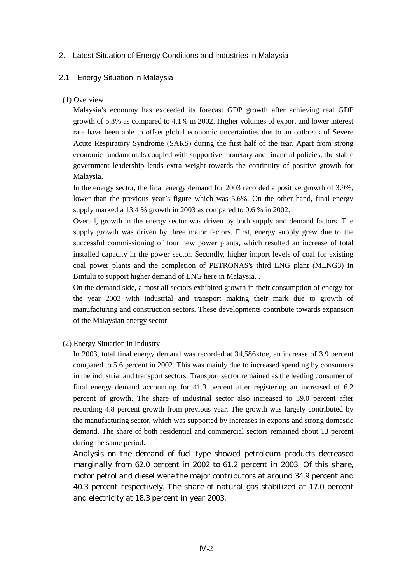## 2. Latest Situation of Energy Conditions and Industries in Malaysia

### 2.1 Energy Situation in Malaysia

### (1) Overview

Malaysia's economy has exceeded its forecast GDP growth after achieving real GDP growth of 5.3% as compared to 4.1% in 2002. Higher volumes of export and lower interest rate have been able to offset global economic uncertainties due to an outbreak of Severe Acute Respiratory Syndrome (SARS) during the first half of the tear. Apart from strong economic fundamentals coupled with supportive monetary and financial policies, the stable government leadership lends extra weight towards the continuity of positive growth for Malaysia.

In the energy sector, the final energy demand for 2003 recorded a positive growth of 3.9%, lower than the previous year's figure which was 5.6%. On the other hand, final energy supply marked a 13.4 % growth in 2003 as compared to 0.6 % in 2002.

Overall, growth in the energy sector was driven by both supply and demand factors. The supply growth was driven by three major factors. First, energy supply grew due to the successful commissioning of four new power plants, which resulted an increase of total installed capacity in the power sector. Secondly, higher import levels of coal for existing coal power plants and the completion of PETRONAS's third LNG plant (MLNG3) in Bintulu to support higher demand of LNG here in Malaysia. .

On the demand side, almost all sectors exhibited growth in their consumption of energy for the year 2003 with industrial and transport making their mark due to growth of manufacturing and construction sectors. These developments contribute towards expansion of the Malaysian energy sector

(2) Energy Situation in Industry

In 2003, total final energy demand was recorded at 34,586ktoe, an increase of 3.9 percent compared to 5.6 percent in 2002. This was mainly due to increased spending by consumers in the industrial and transport sectors. Transport sector remained as the leading consumer of final energy demand accounting for 41.3 percent after registering an increased of 6.2 percent of growth. The share of industrial sector also increased to 39.0 percent after recording 4.8 percent growth from previous year. The growth was largely contributed by the manufacturing sector, which was supported by increases in exports and strong domestic demand. The share of both residential and commercial sectors remained about 13 percent during the same period.

Analysis on the demand of fuel type showed petroleum products decreased marginally from 62.0 percent in 2002 to 61.2 percent in 2003. Of this share, motor petrol and diesel were the major contributors at around 34.9 percent and 40.3 percent respectively. The share of natural gas stabilized at 17.0 percent and electricity at 18.3 percent in year 2003.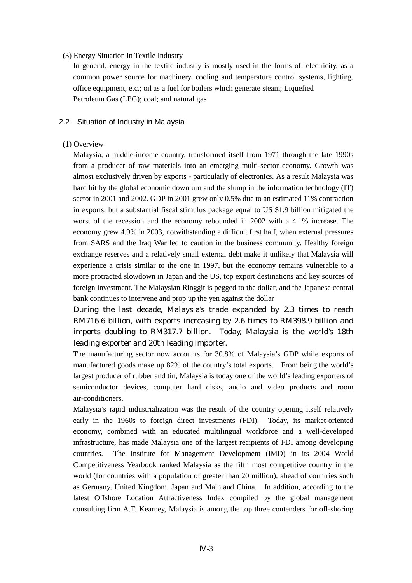### (3) Energy Situation in Textile Industry

In general, energy in the textile industry is mostly used in the forms of: electricity, as a common power source for machinery, cooling and temperature control systems, lighting, office equipment, etc.; oil as a fuel for boilers which generate steam; Liquefied Petroleum Gas (LPG); coal; and natural gas

### 2.2 Situation of Industry in Malaysia

### (1) Overview

Malaysia, a middle-income country, transformed itself from 1971 through the late 1990s from a producer of raw materials into an emerging multi-sector economy. Growth was almost exclusively driven by exports - particularly of electronics. As a result Malaysia was hard hit by the global economic downturn and the slump in the information technology (IT) sector in 2001 and 2002. GDP in 2001 grew only 0.5% due to an estimated 11% contraction in exports, but a substantial fiscal stimulus package equal to US \$1.9 billion mitigated the worst of the recession and the economy rebounded in 2002 with a 4.1% increase. The economy grew 4.9% in 2003, notwithstanding a difficult first half, when external pressures from SARS and the Iraq War led to caution in the business community. Healthy foreign exchange reserves and a relatively small external debt make it unlikely that Malaysia will experience a crisis similar to the one in 1997, but the economy remains vulnerable to a more protracted slowdown in Japan and the US, top export destinations and key sources of foreign investment. The Malaysian Ringgit is pegged to the dollar, and the Japanese central bank continues to intervene and prop up the yen against the dollar

During the last decade, Malaysia's trade expanded by 2.3 times to reach RM716.6 billion, with exports increasing by 2.6 times to RM398.9 billion and imports doubling to RM317.7 billion. Today, Malaysia is the world's 18th leading exporter and 20th leading importer.

The manufacturing sector now accounts for 30.8% of Malaysia's GDP while exports of manufactured goods make up 82% of the country's total exports. From being the world's largest producer of rubber and tin, Malaysia is today one of the world's leading exporters of semiconductor devices, computer hard disks, audio and video products and room air-conditioners.

Malaysia's rapid industrialization was the result of the country opening itself relatively early in the 1960s to foreign direct investments (FDI). Today, its market-oriented economy, combined with an educated multilingual workforce and a well-developed infrastructure, has made Malaysia one of the largest recipients of FDI among developing countries. The Institute for Management Development (IMD) in its 2004 World Competitiveness Yearbook ranked Malaysia as the fifth most competitive country in the world (for countries with a population of greater than 20 million), ahead of countries such as Germany, United Kingdom, Japan and Mainland China. In addition, according to the latest Offshore Location Attractiveness Index compiled by the global management consulting firm A.T. Kearney, Malaysia is among the top three contenders for off-shoring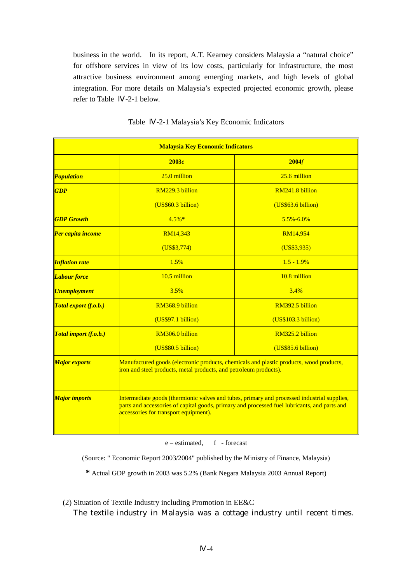business in the world. In its report, A.T. Kearney considers Malaysia a "natural choice" for offshore services in view of its low costs, particularly for infrastructure, the most attractive business environment among emerging markets, and high levels of global integration. For more details on Malaysia's expected projected economic growth, please refer to Table -2-1 below.

|                                   | <b>Malaysia Key Economic Indicators</b>                                                                                                                                                                                              |                     |  |  |  |
|-----------------------------------|--------------------------------------------------------------------------------------------------------------------------------------------------------------------------------------------------------------------------------------|---------------------|--|--|--|
|                                   | 2003e                                                                                                                                                                                                                                | 2004f               |  |  |  |
| <b><i>Population</i></b>          | 25.0 million                                                                                                                                                                                                                         | $25.6$ million      |  |  |  |
| <b>GDP</b>                        | RM229.3 billion                                                                                                                                                                                                                      | RM241.8 billion     |  |  |  |
|                                   | (US\$60.3 billion)                                                                                                                                                                                                                   | (US\$63.6 billion)  |  |  |  |
| <b>GDP</b> Growth                 | $4.5%$ *                                                                                                                                                                                                                             | 5.5%-6.0%           |  |  |  |
| <b>Per capita income</b>          | RM14,343                                                                                                                                                                                                                             | RM14,954            |  |  |  |
|                                   | (US\$3,774)                                                                                                                                                                                                                          | (US\$3,935)         |  |  |  |
| <b>Inflation rate</b>             | 1.5%                                                                                                                                                                                                                                 | $1.5 - 1.9\%$       |  |  |  |
| <b><i>Labour force</i></b>        | 10.5 million<br>10.8 million                                                                                                                                                                                                         |                     |  |  |  |
| <b><i><u>Unemployment</u></i></b> | 3.5%                                                                                                                                                                                                                                 | 3.4%                |  |  |  |
| Total export (f.o.b.)             | RM368.9 billion                                                                                                                                                                                                                      | RM392.5 billion     |  |  |  |
|                                   | (US\$97.1 billion)                                                                                                                                                                                                                   | (US\$103.3 billion) |  |  |  |
| Total import (f.o.b.)             | RM306.0 billion                                                                                                                                                                                                                      | RM325.2 billion     |  |  |  |
|                                   | (US\$80.5 billion)                                                                                                                                                                                                                   | (US\$85.6 billion)  |  |  |  |
| <b>Major exports</b>              | Manufactured goods (electronic products, chemicals and plastic products, wood products,<br>iron and steel products, metal products, and petroleum products).                                                                         |                     |  |  |  |
| <b>Major imports</b>              | Intermediate goods (thermionic valves and tubes, primary and processed industrial supplies,<br>parts and accessories of capital goods, primary and processed fuel lubricants, and parts and<br>accessories for transport equipment). |                     |  |  |  |

Table -2-1 Malaysia's Key Economic Indicators

e – estimated, f - forecast

(Source: " Economic Report 2003/2004" published by the Ministry of Finance, Malaysia)

**\*** Actual GDP growth in 2003 was 5.2% (Bank Negara Malaysia 2003 Annual Report)

(2) Situation of Textile Industry including Promotion in EE&C

The textile industry in Malaysia was a cottage industry until recent times.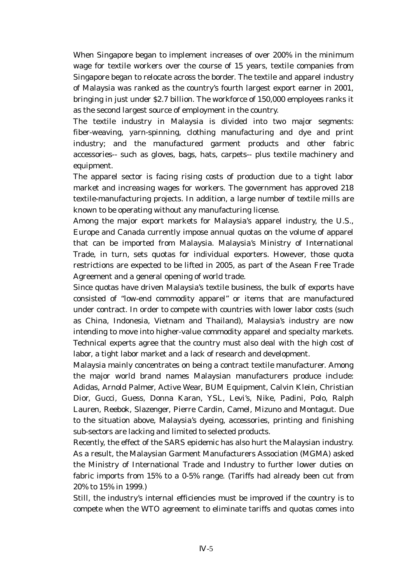When Singapore began to implement increases of over 200% in the minimum wage for textile workers over the course of 15 years, textile companies from Singapore began to relocate across the border. The textile and apparel industry of Malaysia was ranked as the country's fourth largest export earner in 2001, bringing in just under \$2.7 billion. The workforce of 150,000 employees ranks it as the second largest source of employment in the country.

The textile industry in Malaysia is divided into two major segments: fiber-weaving, yarn-spinning, clothing manufacturing and dye and print industry; and the manufactured garment products and other fabric accessories-- such as gloves, bags, hats, carpets-- plus textile machinery and equipment.

The apparel sector is facing rising costs of production due to a tight labor market and increasing wages for workers. The government has approved 218 textile-manufacturing projects. In addition, a large number of textile mills are known to be operating without any manufacturing license.

Among the major export markets for Malaysia's apparel industry, the U.S., Europe and Canada currently impose annual quotas on the volume of apparel that can be imported from Malaysia. Malaysia's Ministry of International Trade, in turn, sets quotas for individual exporters. However, those quota restrictions are expected to be lifted in 2005, as part of the Asean Free Trade Agreement and a general opening of world trade.

Since quotas have driven Malaysia's textile business, the bulk of exports have consisted of "low-end commodity apparel" or items that are manufactured under contract. In order to compete with countries with lower labor costs (such as China, Indonesia, Vietnam and Thailand), Malaysia's industry are now intending to move into higher-value commodity apparel and specialty markets. Technical experts agree that the country must also deal with the high cost of labor, a tight labor market and a lack of research and development.

Malaysia mainly concentrates on being a contract textile manufacturer. Among the major world brand names Malaysian manufacturers produce include: Adidas, Arnold Palmer, Active Wear, BUM Equipment, Calvin Klein, Christian Dior, Gucci, Guess, Donna Karan, YSL, Levi's, Nike, Padini, Polo, Ralph Lauren, Reebok, Slazenger, Pierre Cardin, Camel, Mizuno and Montagut. Due to the situation above, Malaysia's dyeing, accessories, printing and finishing sub-sectors are lacking and limited to selected products.

Recently, the effect of the SARS epidemic has also hurt the Malaysian industry. As a result, the Malaysian Garment Manufacturers Association (MGMA) asked the Ministry of International Trade and Industry to further lower duties on fabric imports from 15% to a 0-5% range. (Tariffs had already been cut from 20% to 15% in 1999.)

Still, the industry's internal efficiencies must be improved if the country is to compete when the WTO agreement to eliminate tariffs and quotas comes into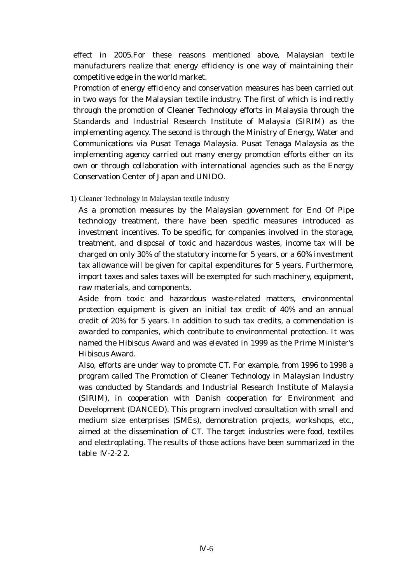effect in 2005.For these reasons mentioned above, Malaysian textile manufacturers realize that energy efficiency is one way of maintaining their competitive edge in the world market.

Promotion of energy efficiency and conservation measures has been carried out in two ways for the Malaysian textile industry. The first of which is indirectly through the promotion of Cleaner Technology efforts in Malaysia through the Standards and Industrial Research Institute of Malaysia (SIRIM) as the implementing agency. The second is through the Ministry of Energy, Water and Communications via Pusat Tenaga Malaysia. Pusat Tenaga Malaysia as the implementing agency carried out many energy promotion efforts either on its own or through collaboration with international agencies such as the Energy Conservation Center of Japan and UNIDO.

1) Cleaner Technology in Malaysian textile industry

As a promotion measures by the Malaysian government for End Of Pipe technology treatment, there have been specific measures introduced as investment incentives. To be specific, for companies involved in the storage, treatment, and disposal of toxic and hazardous wastes, income tax will be charged on only 30% of the statutory income for 5 years, or a 60% investment tax allowance will be given for capital expenditures for 5 years. Furthermore, import taxes and sales taxes will be exempted for such machinery, equipment, raw materials, and components.

Aside from toxic and hazardous waste-related matters, environmental protection equipment is given an initial tax credit of 40% and an annual credit of 20% for 5 years. In addition to such tax credits, a commendation is awarded to companies, which contribute to environmental protection. It was named the Hibiscus Award and was elevated in 1999 as the Prime Minister's Hibiscus Award.

Also, efforts are under way to promote CT. For example, from 1996 to 1998 a program called The Promotion of Cleaner Technology in Malaysian Industry was conducted by Standards and Industrial Research Institute of Malaysia (SIRIM), in cooperation with Danish cooperation for Environment and Development (DANCED). This program involved consultation with small and medium size enterprises (SMEs), demonstration projects, workshops, etc., aimed at the dissemination of CT. The target industries were food, textiles and electroplating. The results of those actions have been summarized in the table -2-2 2.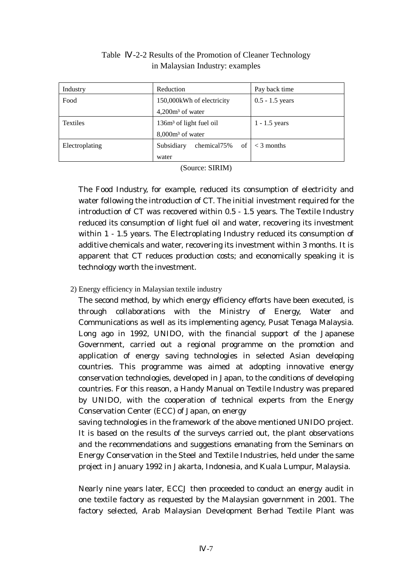| Industry        | Reduction                           | Pay back time     |
|-----------------|-------------------------------------|-------------------|
| Food            | 150,000kWh of electricity           | $0.5 - 1.5$ years |
|                 | $4,200m3$ of water                  |                   |
| <b>Textiles</b> | 136m <sup>3</sup> of light fuel oil | $1 - 1.5$ years   |
|                 | $8,000m3$ of water                  |                   |
| Electroplating  | chemical75%<br>of<br>Subsidiary     | $<$ 3 months      |
|                 | water                               |                   |

## Table -2-2 Results of the Promotion of Cleaner Technology in Malaysian Industry: examples

(Source: SIRIM)

The Food Industry, for example, reduced its consumption of electricity and water following the introduction of CT. The initial investment required for the introduction of CT was recovered within 0.5 - 1.5 years. The Textile Industry reduced its consumption of light fuel oil and water, recovering its investment within 1 - 1.5 years. The Electroplating Industry reduced its consumption of additive chemicals and water, recovering its investment within 3 months. It is apparent that CT reduces production costs; and economically speaking it is technology worth the investment.

## 2) Energy efficiency in Malaysian textile industry

The second method, by which energy efficiency efforts have been executed, is through collaborations with the Ministry of Energy, Water and Communications as well as its implementing agency, Pusat Tenaga Malaysia. Long ago in 1992, UNIDO, with the financial support of the Japanese Government, carried out a regional programme on the promotion and application of energy saving technologies in selected Asian developing countries. This programme was aimed at adopting innovative energy conservation technologies, developed in Japan, to the conditions of developing countries. For this reason, a Handy Manual on Textile Industry was prepared by UNIDO, with the cooperation of technical experts from the Energy Conservation Center (ECC) of Japan, on energy

saving technologies in the framework of the above mentioned UNIDO project. It is based on the results of the surveys carried out, the plant observations and the recommendations and suggestions emanating from the Seminars on Energy Conservation in the Steel and Textile Industries, held under the same project in January 1992 in Jakarta, Indonesia, and Kuala Lumpur, Malaysia.

Nearly nine years later, ECCJ then proceeded to conduct an energy audit in one textile factory as requested by the Malaysian government in 2001. The factory selected, Arab Malaysian Development Berhad Textile Plant was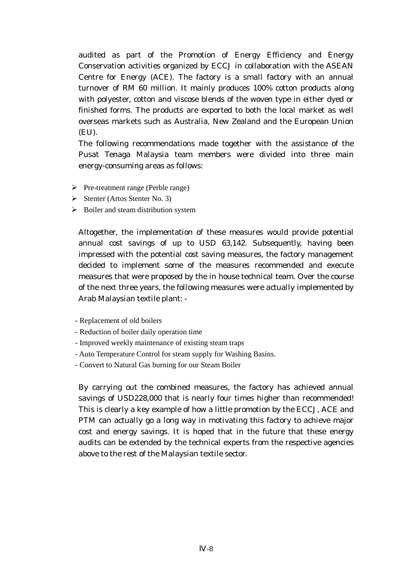audited as part of the Promotion of Energy Efficiency and Energy Conservation activities organized by ECCJ in collaboration with the ASEAN Centre for Energy (ACE). The factory is a small factory with an annual turnover of RM 60 million. It mainly produces 100% cotton products along with polyester, cotton and viscose blends of the woven type in either dyed or finished forms. The products are exported to both the local market as well overseas markets such as Australia, New Zealand and the European Union (EU).

The following recommendations made together with the assistance of the Pusat Tenaga Malaysia team members were divided into three main energy-consuming areas as follows:

- $\triangleright$  Pre-treatment range (Perble range)
- $\triangleright$  Stenter (Artos Stenter No. 3)
- $\triangleright$  Boiler and steam distribution system

Altogether, the implementation of these measures would provide potential annual cost savings of up to USD 63,142. Subsequently, having been impressed with the potential cost saving measures, the factory management decided to implement some of the measures recommended and execute measures that were proposed by the in house technical team. Over the course of the next three years, the following measures were actually implemented by Arab Malaysian textile plant: -

- Replacement of old boilers
- Reduction of boiler daily operation time
- Improved weekly maintenance of existing steam traps
- Auto Temperature Control for steam supply for Washing Basins.
- Convert to Natural Gas burning for our Steam Boiler

By carrying out the combined measures, the factory has achieved annual savings of USD228,000 that is nearly four times higher than recommended! This is clearly a key example of how a little promotion by the ECCJ, ACE and PTM can actually go a long way in motivating this factory to achieve major cost and energy savings. It is hoped that in the future that these energy audits can be extended by the technical experts from the respective agencies above to the rest of the Malaysian textile sector.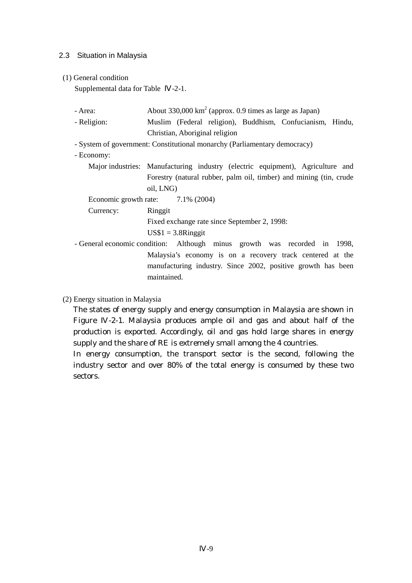## 2.3 Situation in Malaysia

(1) General condition

Supplemental data for Table -2-1.

- Area:  $\Delta b$ out 330,000 km<sup>2</sup> (approx. 0.9 times as large as Japan)
- Religion: Muslim (Federal religion), Buddhism, Confucianism, Hindu, Christian, Aboriginal religion
- System of government: Constitutional monarchy (Parliamentary democracy)

- Economy:

Major industries: Manufacturing industry (electric equipment), Agriculture and Forestry (natural rubber, palm oil, timber) and mining (tin, crude oil, LNG)

Economic growth rate:  $7.1\%$  (2004)

Currency: Ringgit

Fixed exchange rate since September 2, 1998:

 $US$1 = 3.8$ Ringgit

- General economic condition: Although minus growth was recorded in 1998, Malaysia's economy is on a recovery track centered at the manufacturing industry. Since 2002, positive growth has been maintained.

(2) Energy situation in Malaysia

The states of energy supply and energy consumption in Malaysia are shown in Figure -2-1. Malaysia produces ample oil and gas and about half of the production is exported. Accordingly, oil and gas hold large shares in energy supply and the share of RE is extremely small among the 4 countries.

In energy consumption, the transport sector is the second, following the industry sector and over 80% of the total energy is consumed by these two sectors.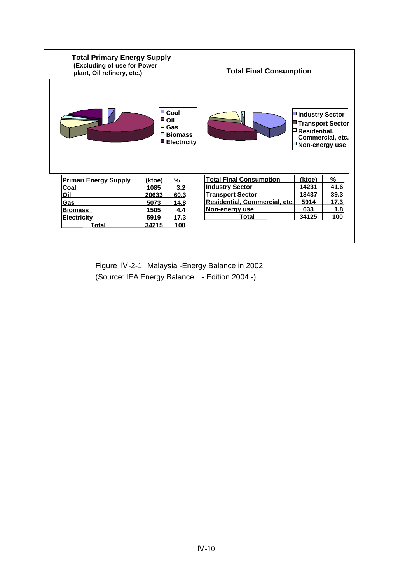| <b>Total Primary Energy Supply</b><br>(Excluding of use for Power<br>plant, Oil refinery, etc.) |                              |                                      | <b>Total Final Consumption</b> |                                                                                                                    |      |
|-------------------------------------------------------------------------------------------------|------------------------------|--------------------------------------|--------------------------------|--------------------------------------------------------------------------------------------------------------------|------|
|                                                                                                 | ■ Coal<br>∎oil<br>$\Box$ Gas | $\Box$ Biomass<br><b>Electricity</b> |                                | <b>■ Industry Sector</b><br><b>■ Transport Sector</b><br>$\Box$ Residential,<br>Commercial, etc.<br>Non-energy use |      |
| <b>Primari Energy Supply</b>                                                                    | (ktoe)                       | %                                    | <b>Total Final Consumption</b> | (ktoe)                                                                                                             | %    |
| <b>Coal</b>                                                                                     | 1085                         | 3.2                                  | <b>Industry Sector</b>         | 14231                                                                                                              | 41.6 |
| Oil                                                                                             | 20633                        | 60.3                                 | <b>Transport Sector</b>        | 13437                                                                                                              | 39.3 |
| Gas                                                                                             | 5073                         | 14.8                                 | Residential, Commercial, etc.  | 5914                                                                                                               | 17.3 |
| <b>Biomass</b>                                                                                  | 1505                         | 4.4                                  | Non-energy use                 | 633                                                                                                                | 1.8  |
| <b>Electricity</b>                                                                              | 5919                         | 17.3                                 | Total                          | 34125                                                                                                              | 100  |
|                                                                                                 | 34215                        | 100                                  |                                |                                                                                                                    |      |

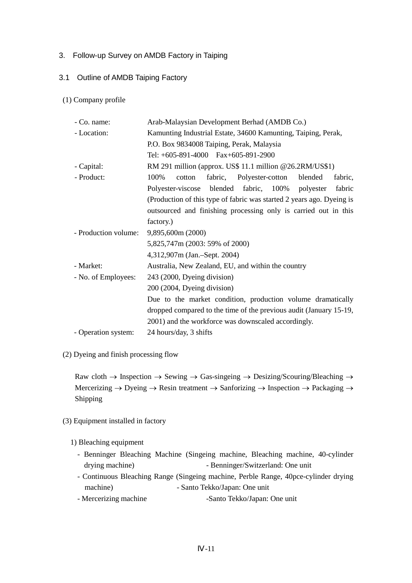## 3. Follow-up Survey on AMDB Factory in Taiping

### 3.1 Outline of AMDB Taiping Factory

## (1) Company profile

| - Co. name:          | Arab-Malaysian Development Berhad (AMDB Co.)                          |  |  |  |  |
|----------------------|-----------------------------------------------------------------------|--|--|--|--|
| - Location:          | Kamunting Industrial Estate, 34600 Kamunting, Taiping, Perak,         |  |  |  |  |
|                      | P.O. Box 9834008 Taiping, Perak, Malaysia                             |  |  |  |  |
|                      | Tel: $+605-891-4000$ Fax $+605-891-2900$                              |  |  |  |  |
| - Capital:           | RM 291 million (approx. US\$ 11.1 million @26.2RM/US\$1)              |  |  |  |  |
| - Product:           | fabric, Polyester-cotton<br>100%<br>blended<br>fabric,<br>cotton      |  |  |  |  |
|                      | Polyester-viscose blended fabric, 100% polyester<br>fabric            |  |  |  |  |
|                      | (Production of this type of fabric was started 2 years ago. Dyeing is |  |  |  |  |
|                      | outsourced and finishing processing only is carried out in this       |  |  |  |  |
|                      | factory.)                                                             |  |  |  |  |
| - Production volume: | 9,895,600m (2000)                                                     |  |  |  |  |
|                      | 5,825,747m (2003: 59% of 2000)                                        |  |  |  |  |
|                      | 4,312,907m (Jan.-Sept. 2004)                                          |  |  |  |  |
| - Market:            | Australia, New Zealand, EU, and within the country                    |  |  |  |  |
| - No. of Employees:  | 243 (2000, Dyeing division)                                           |  |  |  |  |
|                      | 200 (2004, Dyeing division)                                           |  |  |  |  |
|                      | Due to the market condition, production volume dramatically           |  |  |  |  |
|                      | dropped compared to the time of the previous audit (January 15-19,    |  |  |  |  |
|                      | 2001) and the workforce was downscaled accordingly.                   |  |  |  |  |
| - Operation system:  | 24 hours/day, 3 shifts                                                |  |  |  |  |

(2) Dyeing and finish processing flow

Raw cloth  $\rightarrow$  Inspection  $\rightarrow$  Sewing  $\rightarrow$  Gas-singeing  $\rightarrow$  Desizing/Scouring/Bleaching  $\rightarrow$ Mercerizing → Dyeing → Resin treatment → Sanforizing → Inspection → Packaging → Shipping

- (3) Equipment installed in factory
	- 1) Bleaching equipment
		- Benninger Bleaching Machine (Singeing machine, Bleaching machine, 40-cylinder drying machine) - Benninger/Switzerland: One unit
		- Continuous Bleaching Range (Singeing machine, Perble Range, 40pce-cylinder drying machine) - Santo Tekko/Japan: One unit
		- Mercerizing machine -Santo Tekko/Japan: One unit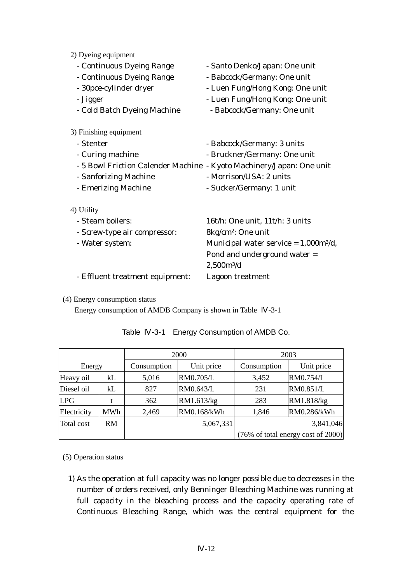2) Dyeing equipment

| $27 \nu$ young equipment        |                                                                      |
|---------------------------------|----------------------------------------------------------------------|
| - Continuous Dyeing Range       | - Santo Denko/Japan: One unit                                        |
| - Continuous Dyeing Range       | - Babcock/Germany: One unit                                          |
| - 30 pce-cylinder dryer         | - Luen Fung/Hong Kong: One unit                                      |
| - Jigger                        | - Luen Fung/Hong Kong: One unit                                      |
| - Cold Batch Dyeing Machine     | - Babcock/Germany: One unit                                          |
| 3) Finishing equipment          |                                                                      |
| - Stenter                       | - Babcock/Germany: 3 units                                           |
| - Curing machine                | - Bruckner/Germany: One unit                                         |
|                                 | - 5 Bowl Friction Calender Machine - Kyoto Machinery/Japan: One unit |
| - Sanforizing Machine           | - Morrison/USA: 2 units                                              |
| - Emerizing Machine             | - Sucker/Germany: 1 unit                                             |
| 4) Utility                      |                                                                      |
| - Steam boilers:                | 16t/h: One unit, 11t/h: 3 units                                      |
| - Screw-type air compressor:    | 8kg/cm <sup>2</sup> : One unit                                       |
| - Water system:                 | Municipal water service = $1,000m^{3}/d$ ,                           |
|                                 | Pond and underground water =                                         |
|                                 | $2,500m^{3}/d$                                                       |
| - Effluent treatment equipment: | Lagoon treatment                                                     |
|                                 |                                                                      |

(4) Energy consumption status

Energy consumption of AMDB Company is shown in Table -3-1

|                   |            | 2000        |             | 2003  |                                    |
|-------------------|------------|-------------|-------------|-------|------------------------------------|
| Energy            |            | Consumption | Unit price  |       | Unit price                         |
| Heavy oil         | kL         | 5,016       | RM0.705/L   | 3,452 | RM0.754/L                          |
| Diesel oil        | kL         | 827         | RM0.643/L   | 231   | RM0.851/L                          |
| <b>LPG</b>        |            | 362         | RM1.613/kg  | 283   | RM1.818/kg                         |
| Electricity       | <b>MWh</b> | 2,469       | RM0.168/kWh | 1,846 | RM0.286/kWh                        |
| <b>Total</b> cost | RM         |             | 5,067,331   |       | 3,841,046                          |
|                   |            |             |             |       | (76% of total energy cost of 2000) |

| Table |  | -3-1 Energy Consumption of AMDB Co. |  |
|-------|--|-------------------------------------|--|
|-------|--|-------------------------------------|--|

(5) Operation status

1) As the operation at full capacity was no longer possible due to decreases in the number of orders received, only Benninger Bleaching Machine was running at full capacity in the bleaching process and the capacity operating rate of Continuous Bleaching Range, which was the central equipment for the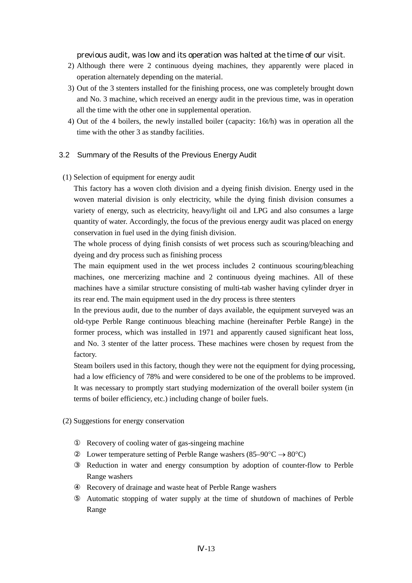previous audit, was low and its operation was halted at the time of our visit.

- 2) Although there were 2 continuous dyeing machines, they apparently were placed in operation alternately depending on the material.
- 3) Out of the 3 stenters installed for the finishing process, one was completely brought down and No. 3 machine, which received an energy audit in the previous time, was in operation all the time with the other one in supplemental operation.
- 4) Out of the 4 boilers, the newly installed boiler (capacity: 16t/h) was in operation all the time with the other 3 as standby facilities.

#### 3.2 Summary of the Results of the Previous Energy Audit

(1) Selection of equipment for energy audit

This factory has a woven cloth division and a dyeing finish division. Energy used in the woven material division is only electricity, while the dying finish division consumes a variety of energy, such as electricity, heavy/light oil and LPG and also consumes a large quantity of water. Accordingly, the focus of the previous energy audit was placed on energy conservation in fuel used in the dying finish division.

The whole process of dying finish consists of wet process such as scouring/bleaching and dyeing and dry process such as finishing process

The main equipment used in the wet process includes 2 continuous scouring/bleaching machines, one mercerizing machine and 2 continuous dyeing machines. All of these machines have a similar structure consisting of multi-tab washer having cylinder dryer in its rear end. The main equipment used in the dry process is three stenters

In the previous audit, due to the number of days available, the equipment surveyed was an old-type Perble Range continuous bleaching machine (hereinafter Perble Range) in the former process, which was installed in 1971 and apparently caused significant heat loss, and No. 3 stenter of the latter process. These machines were chosen by request from the factory.

Steam boilers used in this factory, though they were not the equipment for dying processing, had a low efficiency of 78% and were considered to be one of the problems to be improved. It was necessary to promptly start studying modernization of the overall boiler system (in terms of boiler efficiency, etc.) including change of boiler fuels.

(2) Suggestions for energy conservation

 Recovery of cooling water of gas-singeing machine Lower temperature setting of Perble Range washers (85–90 $\degree$ C  $\rightarrow$  80 $\degree$ C) Reduction in water and energy consumption by adoption of counter-flow to Perble Range washers Recovery of drainage and waste heat of Perble Range washers Automatic stopping of water supply at the time of shutdown of machines of Perble Range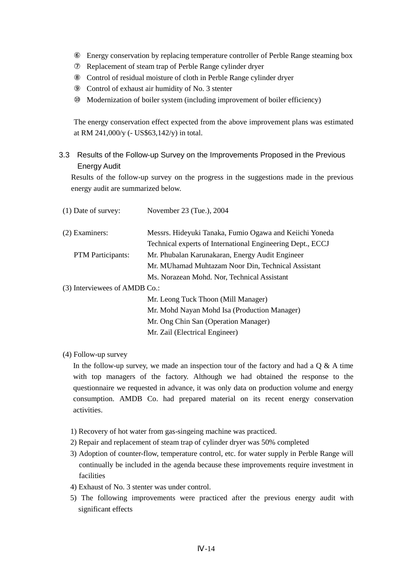Energy conservation by replacing temperature controller of Perble Range steaming box Replacement of steam trap of Perble Range cylinder dryer Control of residual moisture of cloth in Perble Range cylinder dryer Control of exhaust air humidity of No. 3 stenter Modernization of boiler system (including improvement of boiler efficiency)

The energy conservation effect expected from the above improvement plans was estimated at RM 241,000/y (- US\$63,142/y) in total.

# 3.3 Results of the Follow-up Survey on the Improvements Proposed in the Previous Energy Audit

Results of the follow-up survey on the progress in the suggestions made in the previous energy audit are summarized below.

| $(1)$ Date of survey:         | November 23 (Tue.), 2004                                   |
|-------------------------------|------------------------------------------------------------|
| $(2)$ Examiners:              | Messrs. Hideyuki Tanaka, Fumio Ogawa and Keiichi Yoneda    |
|                               | Technical experts of International Engineering Dept., ECCJ |
| <b>PTM</b> Participants:      | Mr. Phubalan Karunakaran, Energy Audit Engineer            |
|                               | Mr. MUhamad Muhtazam Noor Din, Technical Assistant         |
|                               | Ms. Norazean Mohd. Nor, Technical Assistant                |
| (3) Interviewees of AMDB Co.: |                                                            |
|                               | Mr. Leong Tuck Thoon (Mill Manager)                        |
|                               | Mr. Mohd Nayan Mohd Isa (Production Manager)               |
|                               | Mr. Ong Chin San (Operation Manager)                       |
|                               | Mr. Zail (Electrical Engineer)                             |

# (4) Follow-up survey

In the follow-up survey, we made an inspection tour of the factory and had a  $Q \& A$  time with top managers of the factory. Although we had obtained the response to the questionnaire we requested in advance, it was only data on production volume and energy consumption. AMDB Co. had prepared material on its recent energy conservation activities.

- 1) Recovery of hot water from gas-singeing machine was practiced.
- 2) Repair and replacement of steam trap of cylinder dryer was 50% completed
- 3) Adoption of counter-flow, temperature control, etc. for water supply in Perble Range will continually be included in the agenda because these improvements require investment in facilities
- 4) Exhaust of No. 3 stenter was under control.
- 5) The following improvements were practiced after the previous energy audit with significant effects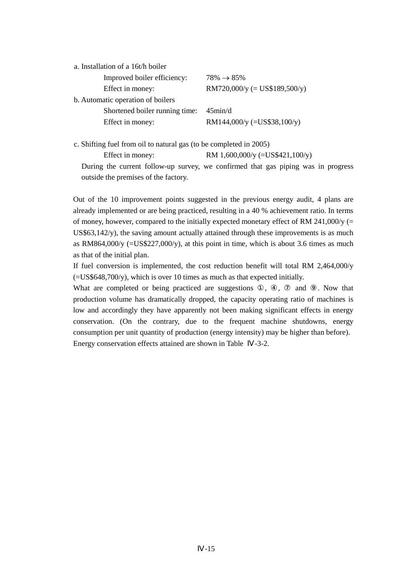| a. Installation of a 16t/h boiler |                                |
|-----------------------------------|--------------------------------|
| Improved boiler efficiency:       | $78\% \rightarrow 85\%$        |
| Effect in money:                  | $RM720,000/y (= US$189,500/y)$ |
| b. Automatic operation of boilers |                                |
| Shortened boiler running time:    | $45\text{min}/d$               |
| Effect in money:                  | RM144,000/y (=US\$38,100/y)    |

c. Shifting fuel from oil to natural gas (to be completed in 2005)

Effect in money: RM 1,600,000/y (=US\$421,100/y)

During the current follow-up survey, we confirmed that gas piping was in progress outside the premises of the factory.

Out of the 10 improvement points suggested in the previous energy audit, 4 plans are already implemented or are being practiced, resulting in a 40 % achievement ratio. In terms of money, however, compared to the initially expected monetary effect of RM 241,000/y (= US\$63,142/y), the saving amount actually attained through these improvements is as much as RM864,000/y  $(=US$227,000/y)$ , at this point in time, which is about 3.6 times as much as that of the initial plan.

If fuel conversion is implemented, the cost reduction benefit will total RM 2,464,000/y  $(=US$648,700/v)$ , which is over 10 times as much as that expected initially.

What are completed or being practiced are suggestions , , and . Now that production volume has dramatically dropped, the capacity operating ratio of machines is low and accordingly they have apparently not been making significant effects in energy conservation. (On the contrary, due to the frequent machine shutdowns, energy consumption per unit quantity of production (energy intensity) may be higher than before). Energy conservation effects attained are shown in Table -3-2.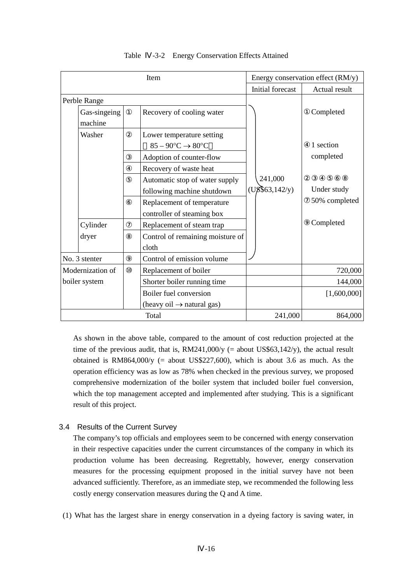| Item          |                  | Energy conservation effect (RM/y)     |                            |               |
|---------------|------------------|---------------------------------------|----------------------------|---------------|
|               |                  | Initial forecast                      | Actual result              |               |
| Perble Range  |                  |                                       |                            |               |
|               | Gas-singeing     | Recovery of cooling water             |                            | Completed     |
|               | machine          |                                       |                            |               |
|               | Washer           | Lower temperature setting             |                            |               |
|               |                  | $85 - 90$ °C $\rightarrow$ 80°C       |                            | 1 section     |
|               |                  | Adoption of counter-flow              |                            | completed     |
|               |                  | Recovery of waste heat                |                            |               |
|               |                  | Automatic stop of water supply        | 241,000                    |               |
|               |                  | following machine shutdown            | $(U\cancel{8}$ \$63,142/y) | Under study   |
|               |                  | Replacement of temperature            |                            | 50% completed |
|               |                  | controller of steaming box            |                            |               |
|               | Cylinder         | Replacement of steam trap             |                            | Completed     |
|               | dryer            | Control of remaining moisture of      |                            |               |
|               |                  | cloth                                 |                            |               |
| No. 3 stenter |                  | Control of emission volume            |                            |               |
|               | Modernization of | Replacement of boiler                 |                            | 720,000       |
|               | boiler system    | Shorter boiler running time           |                            | 144,000       |
|               |                  | Boiler fuel conversion                |                            | [1,600,000]   |
|               |                  | $(heavy oil \rightarrow natural gas)$ |                            |               |
|               |                  | Total                                 | 241,000                    | 864,000       |

### Table -3-2 Energy Conservation Effects Attained

As shown in the above table, compared to the amount of cost reduction projected at the time of the previous audit, that is,  $RM241,000/y$  (= about US\$63,142/y), the actual result obtained is RM864,000/y  $(=$  about US\$227,600), which is about 3.6 as much. As the operation efficiency was as low as 78% when checked in the previous survey, we proposed comprehensive modernization of the boiler system that included boiler fuel conversion, which the top management accepted and implemented after studying. This is a significant result of this project.

# 3.4 Results of the Current Survey

The company's top officials and employees seem to be concerned with energy conservation in their respective capacities under the current circumstances of the company in which its production volume has been decreasing. Regrettably, however, energy conservation measures for the processing equipment proposed in the initial survey have not been advanced sufficiently. Therefore, as an immediate step, we recommended the following less costly energy conservation measures during the Q and A time.

(1) What has the largest share in energy conservation in a dyeing factory is saving water, in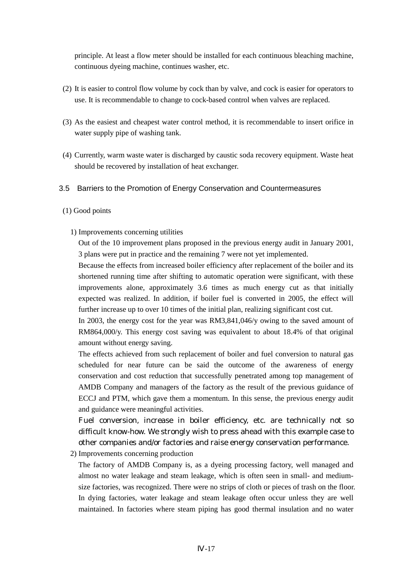principle. At least a flow meter should be installed for each continuous bleaching machine, continuous dyeing machine, continues washer, etc.

- (2) It is easier to control flow volume by cock than by valve, and cock is easier for operators to use. It is recommendable to change to cock-based control when valves are replaced.
- (3) As the easiest and cheapest water control method, it is recommendable to insert orifice in water supply pipe of washing tank.
- (4) Currently, warm waste water is discharged by caustic soda recovery equipment. Waste heat should be recovered by installation of heat exchanger.

#### 3.5 Barriers to the Promotion of Energy Conservation and Countermeasures

#### (1) Good points

1) Improvements concerning utilities

Out of the 10 improvement plans proposed in the previous energy audit in January 2001, 3 plans were put in practice and the remaining 7 were not yet implemented.

Because the effects from increased boiler efficiency after replacement of the boiler and its shortened running time after shifting to automatic operation were significant, with these improvements alone, approximately 3.6 times as much energy cut as that initially expected was realized. In addition, if boiler fuel is converted in 2005, the effect will further increase up to over 10 times of the initial plan, realizing significant cost cut.

In 2003, the energy cost for the year was RM3,841,046/y owing to the saved amount of RM864,000/y. This energy cost saving was equivalent to about 18.4% of that original amount without energy saving.

The effects achieved from such replacement of boiler and fuel conversion to natural gas scheduled for near future can be said the outcome of the awareness of energy conservation and cost reduction that successfully penetrated among top management of AMDB Company and managers of the factory as the result of the previous guidance of ECCJ and PTM, which gave them a momentum. In this sense, the previous energy audit and guidance were meaningful activities.

Fuel conversion, increase in boiler efficiency, etc. are technically not so difficult know-how. We strongly wish to press ahead with this example case to other companies and/or factories and raise energy conservation performance.

2) Improvements concerning production

The factory of AMDB Company is, as a dyeing processing factory, well managed and almost no water leakage and steam leakage, which is often seen in small- and mediumsize factories, was recognized. There were no strips of cloth or pieces of trash on the floor. In dying factories, water leakage and steam leakage often occur unless they are well maintained. In factories where steam piping has good thermal insulation and no water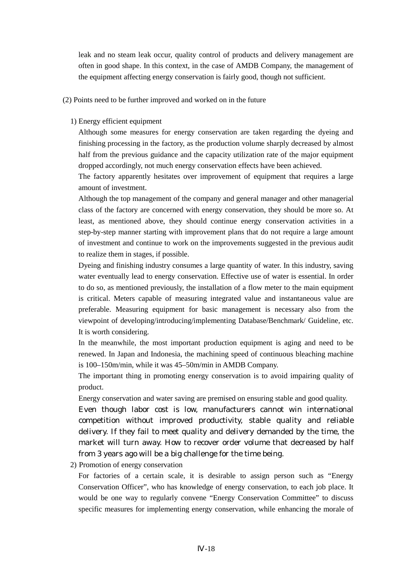leak and no steam leak occur, quality control of products and delivery management are often in good shape. In this context, in the case of AMDB Company, the management of the equipment affecting energy conservation is fairly good, though not sufficient.

(2) Points need to be further improved and worked on in the future

#### 1) Energy efficient equipment

Although some measures for energy conservation are taken regarding the dyeing and finishing processing in the factory, as the production volume sharply decreased by almost half from the previous guidance and the capacity utilization rate of the major equipment dropped accordingly, not much energy conservation effects have been achieved.

The factory apparently hesitates over improvement of equipment that requires a large amount of investment.

Although the top management of the company and general manager and other managerial class of the factory are concerned with energy conservation, they should be more so. At least, as mentioned above, they should continue energy conservation activities in a step-by-step manner starting with improvement plans that do not require a large amount of investment and continue to work on the improvements suggested in the previous audit to realize them in stages, if possible.

Dyeing and finishing industry consumes a large quantity of water. In this industry, saving water eventually lead to energy conservation. Effective use of water is essential. In order to do so, as mentioned previously, the installation of a flow meter to the main equipment is critical. Meters capable of measuring integrated value and instantaneous value are preferable. Measuring equipment for basic management is necessary also from the viewpoint of developing/introducing/implementing Database/Benchmark/ Guideline, etc. It is worth considering.

In the meanwhile, the most important production equipment is aging and need to be renewed. In Japan and Indonesia, the machining speed of continuous bleaching machine is 100–150m/min, while it was 45–50m/min in AMDB Company.

The important thing in promoting energy conservation is to avoid impairing quality of product.

Energy conservation and water saving are premised on ensuring stable and good quality.

Even though labor cost is low, manufacturers cannot win international competition without improved productivity, stable quality and reliable delivery. If they fail to meet quality and delivery demanded by the time, the market will turn away. How to recover order volume that decreased by half from 3 years ago will be a big challenge for the time being.

2) Promotion of energy conservation

For factories of a certain scale, it is desirable to assign person such as "Energy Conservation Officer", who has knowledge of energy conservation, to each job place. It would be one way to regularly convene "Energy Conservation Committee" to discuss specific measures for implementing energy conservation, while enhancing the morale of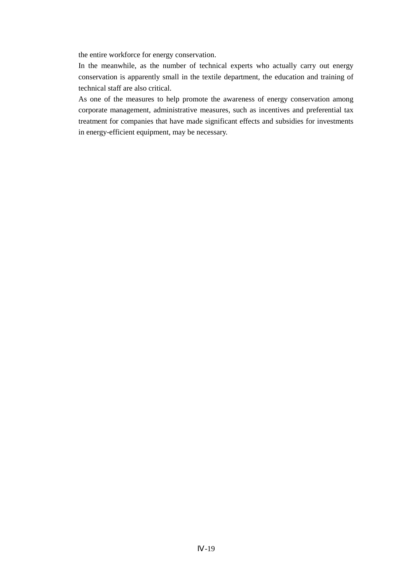the entire workforce for energy conservation.

In the meanwhile, as the number of technical experts who actually carry out energy conservation is apparently small in the textile department, the education and training of technical staff are also critical.

As one of the measures to help promote the awareness of energy conservation among corporate management, administrative measures, such as incentives and preferential tax treatment for companies that have made significant effects and subsidies for investments in energy-efficient equipment, may be necessary.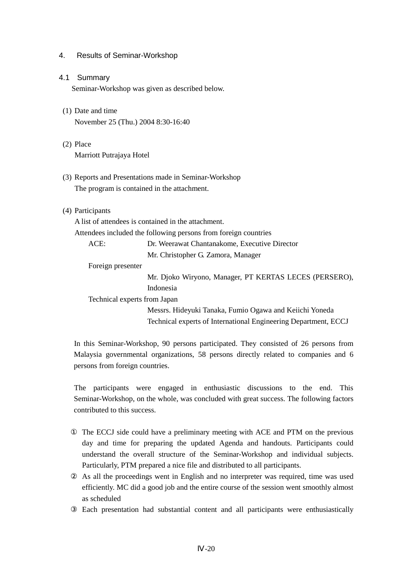### 4. Results of Seminar-Workshop

- 4.1 Summary Seminar-Workshop was given as described below.
- (1) Date and time November 25 (Thu.) 2004 8:30-16:40
- (2) Place Marriott Putrajaya Hotel
- (3) Reports and Presentations made in Seminar-Workshop The program is contained in the attachment.
- (4) Participants

|                              | A list of attendees is contained in the attachment.             |
|------------------------------|-----------------------------------------------------------------|
|                              | Attendees included the following persons from foreign countries |
| ACE:                         | Dr. Weerawat Chantanakome, Executive Director                   |
|                              | Mr. Christopher G. Zamora, Manager                              |
| Foreign presenter            |                                                                 |
|                              | Mr. Djoko Wiryono, Manager, PT KERTAS LECES (PERSERO),          |
|                              | Indonesia                                                       |
| Technical experts from Japan |                                                                 |
|                              | Messrs. Hideyuki Tanaka, Fumio Ogawa and Keiichi Yoneda         |
|                              | Technical experts of International Engineering Department, ECCJ |

In this Seminar-Workshop, 90 persons participated. They consisted of 26 persons from Malaysia governmental organizations, 58 persons directly related to companies and 6 persons from foreign countries.

The participants were engaged in enthusiastic discussions to the end. This Seminar-Workshop, on the whole, was concluded with great success. The following factors contributed to this success.

 The ECCJ side could have a preliminary meeting with ACE and PTM on the previous day and time for preparing the updated Agenda and handouts. Participants could understand the overall structure of the Seminar-Workshop and individual subjects. Particularly, PTM prepared a nice file and distributed to all participants.

 As all the proceedings went in English and no interpreter was required, time was used efficiently. MC did a good job and the entire course of the session went smoothly almost as scheduled

Each presentation had substantial content and all participants were enthusiastically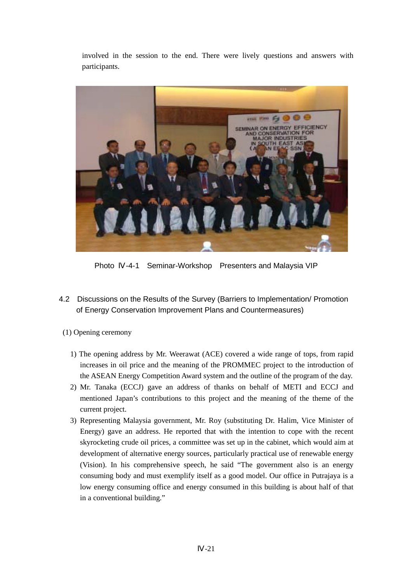involved in the session to the end. There were lively questions and answers with participants.



Photo -4-1 Seminar-Workshop Presenters and Malaysia VIP

- 4.2 Discussions on the Results of the Survey (Barriers to Implementation/ Promotion of Energy Conservation Improvement Plans and Countermeasures)
- (1) Opening ceremony
	- 1) The opening address by Mr. Weerawat (ACE) covered a wide range of tops, from rapid increases in oil price and the meaning of the PROMMEC project to the introduction of the ASEAN Energy Competition Award system and the outline of the program of the day.
	- 2) Mr. Tanaka (ECCJ) gave an address of thanks on behalf of METI and ECCJ and mentioned Japan's contributions to this project and the meaning of the theme of the current project.
	- 3) Representing Malaysia government, Mr. Roy (substituting Dr. Halim, Vice Minister of Energy) gave an address. He reported that with the intention to cope with the recent skyrocketing crude oil prices, a committee was set up in the cabinet, which would aim at development of alternative energy sources, particularly practical use of renewable energy (Vision). In his comprehensive speech, he said "The government also is an energy consuming body and must exemplify itself as a good model. Our office in Putrajaya is a low energy consuming office and energy consumed in this building is about half of that in a conventional building."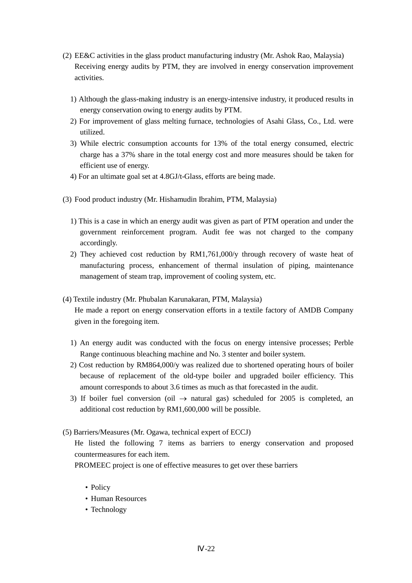- (2) EE&C activities in the glass product manufacturing industry (Mr. Ashok Rao, Malaysia) Receiving energy audits by PTM, they are involved in energy conservation improvement activities.
	- 1) Although the glass-making industry is an energy-intensive industry, it produced results in energy conservation owing to energy audits by PTM.
	- 2) For improvement of glass melting furnace, technologies of Asahi Glass, Co., Ltd. were utilized.
	- 3) While electric consumption accounts for 13% of the total energy consumed, electric charge has a 37% share in the total energy cost and more measures should be taken for efficient use of energy.
	- 4) For an ultimate goal set at 4.8GJ/t-Glass, efforts are being made.
- (3) Food product industry (Mr. Hishamudin Ibrahim, PTM, Malaysia)
	- 1) This is a case in which an energy audit was given as part of PTM operation and under the government reinforcement program. Audit fee was not charged to the company accordingly.
	- 2) They achieved cost reduction by RM1,761,000/y through recovery of waste heat of manufacturing process, enhancement of thermal insulation of piping, maintenance management of steam trap, improvement of cooling system, etc.
- (4) Textile industry (Mr. Phubalan Karunakaran, PTM, Malaysia) He made a report on energy conservation efforts in a textile factory of AMDB Company given in the foregoing item.
	- 1) An energy audit was conducted with the focus on energy intensive processes; Perble Range continuous bleaching machine and No. 3 stenter and boiler system.
	- 2) Cost reduction by RM864,000/y was realized due to shortened operating hours of boiler because of replacement of the old-type boiler and upgraded boiler efficiency. This amount corresponds to about 3.6 times as much as that forecasted in the audit.
	- 3) If boiler fuel conversion (oil  $\rightarrow$  natural gas) scheduled for 2005 is completed, an additional cost reduction by RM1,600,000 will be possible.
- (5) Barriers/Measures (Mr. Ogawa, technical expert of ECCJ)

He listed the following 7 items as barriers to energy conservation and proposed countermeasures for each item.

PROMEEC project is one of effective measures to get over these barriers

- Policy
- Human Resources
- Technology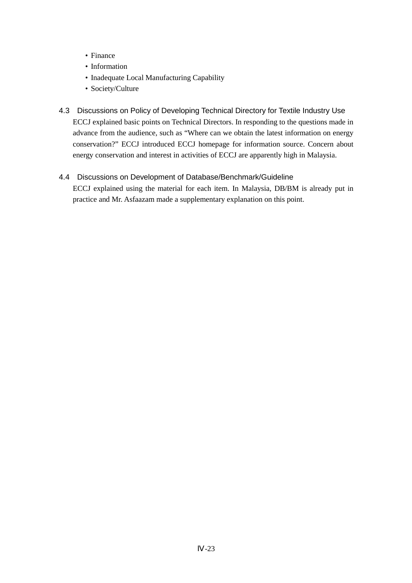- Finance
- Information
- Inadequate Local Manufacturing Capability
- Society/Culture
- 4.3 Discussions on Policy of Developing Technical Directory for Textile Industry Use ECCJ explained basic points on Technical Directors. In responding to the questions made in advance from the audience, such as "Where can we obtain the latest information on energy conservation?" ECCJ introduced ECCJ homepage for information source. Concern about energy conservation and interest in activities of ECCJ are apparently high in Malaysia.

# 4.4 Discussions on Development of Database/Benchmark/Guideline

ECCJ explained using the material for each item. In Malaysia, DB/BM is already put in practice and Mr. Asfaazam made a supplementary explanation on this point.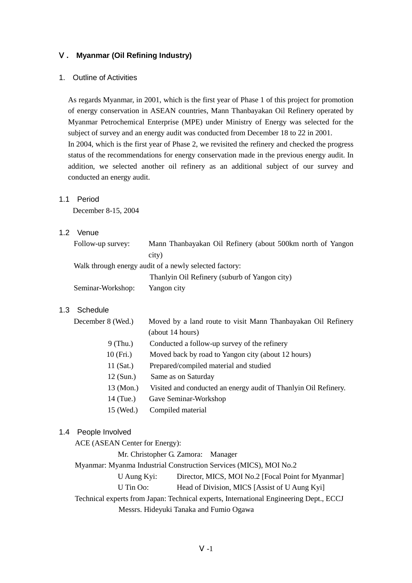#### Ⅴ**. Myanmar (Oil Refining Industry)**

#### 1. Outline of Activities

As regards Myanmar, in 2001, which is the first year of Phase 1 of this project for promotion of energy conservation in ASEAN countries, Mann Thanbayakan Oil Refinery operated by Myanmar Petrochemical Enterprise (MPE) under Ministry of Energy was selected for the subject of survey and an energy audit was conducted from December 18 to 22 in 2001. In 2004, which is the first year of Phase 2, we revisited the refinery and checked the progress status of the recommendations for energy conservation made in the previous energy audit. In addition, we selected another oil refinery as an additional subject of our survey and conducted an energy audit.

#### 1.1 Period

December 8-15, 2004

# 1.2 Venue

| Follow-up survey: | Mann Thanbayakan Oil Refinery (about 500km north of Yangon |
|-------------------|------------------------------------------------------------|
|                   | city)                                                      |
|                   | Walk through energy audit of a newly selected factory:     |
|                   | Thanlyin Oil Refinery (suburb of Yangon city)              |
| Seminar-Workshop: | Yangon city                                                |

#### 1.3 Schedule

| December 8 (Wed.) | Moved by a land route to visit Mann Thanbayakan Oil Refinery    |
|-------------------|-----------------------------------------------------------------|
|                   | (about 14 hours)                                                |
| $9$ (Thu.)        | Conducted a follow-up survey of the refinery                    |
| 10(Fri.)          | Moved back by road to Yangon city (about 12 hours)              |
| 11 $(Sat.)$       | Prepared/compiled material and studied                          |
| $12$ (Sun.)       | Same as on Saturday                                             |
| 13 (Mon.)         | Visited and conducted an energy audit of Thanlyin Oil Refinery. |
| 14 (Tue.)         | Gave Seminar-Workshop                                           |

15 (Wed.) Compiled material

### 1.4 People Involved

ACE (ASEAN Center for Energy):

Mr. Christopher G. Zamora: Manager

Myanmar: Myanma Industrial Construction Services (MICS), MOI No.2

U Aung Kyi: Director, MICS, MOI No.2 [Focal Point for Myanmar]

U Tin Oo: Head of Division, MICS [Assist of U Aung Kyi]

Technical experts from Japan: Technical experts, International Engineering Dept., ECCJ

Messrs. Hideyuki Tanaka and Fumio Ogawa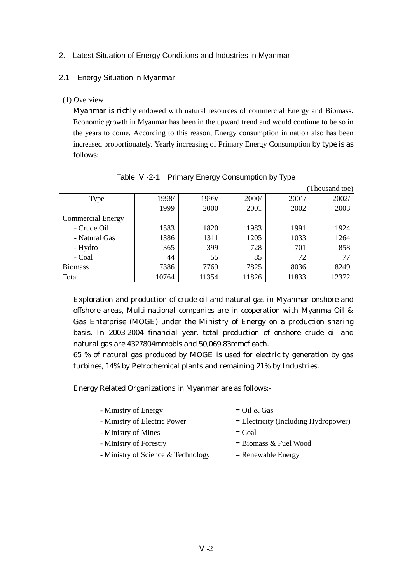# 2. Latest Situation of Energy Conditions and Industries in Myanmar

### 2.1 Energy Situation in Myanmar

(1) Overview

Myanmar is richly endowed with natural resources of commercial Energy and Biomass. Economic growth in Myanmar has been in the upward trend and would continue to be so in the years to come. According to this reason, Energy consumption in nation also has been increased proportionately. Yearly increasing of Primary Energy Consumption by type is as follows:

|                          |       |       |       |       | (Thousand toe) |
|--------------------------|-------|-------|-------|-------|----------------|
| <b>Type</b>              | 1998/ | 1999/ | 2000/ | 2001/ | 2002/          |
|                          | 1999  | 2000  | 2001  | 2002  | 2003           |
| <b>Commercial Energy</b> |       |       |       |       |                |
| - Crude Oil              | 1583  | 1820  | 1983  | 1991  | 1924           |
| - Natural Gas            | 1386  | 1311  | 1205  | 1033  | 1264           |
| - Hydro                  | 365   | 399   | 728   | 701   | 858            |
| - Coal                   | 44    | 55    | 85    | 72    | 77             |
| <b>Biomass</b>           | 7386  | 7769  | 7825  | 8036  | 8249           |
| Total                    | 10764 | 11354 | 11826 | 11833 | 12372          |

Table -2-1 Primary Energy Consumption by Type

Exploration and production of crude oil and natural gas in Myanmar onshore and offshore areas, Multi-national companies are in cooperation with Myanma Oil & Gas Enterprise (MOGE) under the Ministry of Energy on a production sharing basis. In 2003-2004 financial year, total production of onshore crude oil and natural gas are 4327804mmbbls and 50,069.83mmcf each.

65 % of natural gas produced by MOGE is used for electricity generation by gas turbines, 14% by Petrochemical plants and remaining 21% by Industries.

Energy Related Organizations in Myanmar are as follows:-

| - Ministry of Energy               | $=$ Oil & Gas                          |
|------------------------------------|----------------------------------------|
| - Ministry of Electric Power       | $=$ Electricity (Including Hydropower) |
| - Ministry of Mines                | $=$ Coal                               |
| - Ministry of Forestry             | $=$ Biomass & Fuel Wood                |
| - Ministry of Science & Technology | $=$ Renewable Energy                   |
|                                    |                                        |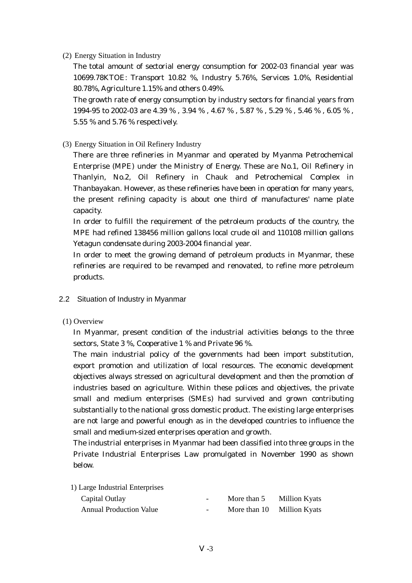### (2) Energy Situation in Industry

The total amount of sectorial energy consumption for 2002-03 financial year was 10699.78KTOE: Transport 10.82 %, Industry 5.76%, Services 1.0%, Residential 80.78%, Agriculture 1.15% and others 0.49%.

The growth rate of energy consumption by industry sectors for financial years from 1994-95 to 2002-03 are 4.39 % , 3.94 % , 4.67 % , 5.87 % , 5.29 % , 5.46 % , 6.05 % , 5.55 % and 5.76 % respectively.

# (3) Energy Situation in Oil Refinery Industry

There are three refineries in Myanmar and operated by Myanma Petrochemical Enterprise (MPE) under the Ministry of Energy. These are No.1, Oil Refinery in Thanlyin, No.2, Oil Refinery in Chauk and Petrochemical Complex in Thanbayakan. However, as these refineries have been in operation for many years, the present refining capacity is about one third of manufactures' name plate capacity.

In order to fulfill the requirement of the petroleum products of the country, the MPE had refined 138456 million gallons local crude oil and 110108 million gallons Yetagun condensate during 2003-2004 financial year.

In order to meet the growing demand of petroleum products in Myanmar, these refineries are required to be revamped and renovated, to refine more petroleum products.

- 2.2 Situation of Industry in Myanmar
- (1) Overview

In Myanmar, present condition of the industrial activities belongs to the three sectors, State 3 %, Cooperative 1 % and Private 96 %.

The main industrial policy of the governments had been import substitution, export promotion and utilization of local resources. The economic development objectives always stressed on agricultural development and then the promotion of industries based on agriculture. Within these polices and objectives, the private small and medium enterprises (SMEs) had survived and grown contributing substantially to the national gross domestic product. The existing large enterprises are not large and powerful enough as in the developed countries to influence the small and medium-sized enterprises operation and growth.

The industrial enterprises in Myanmar had been classified into three groups in the Private Industrial Enterprises Law promulgated in November 1990 as shown below.

| 1) Large Industrial Enterprises |  |
|---------------------------------|--|
|---------------------------------|--|

| Capital Outlay                 | $ -$   | More than 5  | <b>Million Kyats</b> |
|--------------------------------|--------|--------------|----------------------|
| <b>Annual Production Value</b> | $\sim$ | More than 10 | <b>Million Kyats</b> |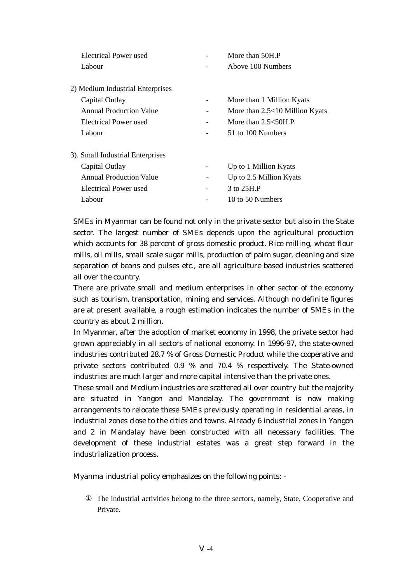| Electrical Power used            |                          | More than 50H.P                |
|----------------------------------|--------------------------|--------------------------------|
| Labour                           |                          | Above 100 Numbers              |
|                                  |                          |                                |
| 2) Medium Industrial Enterprises |                          |                                |
| Capital Outlay                   |                          | More than 1 Million Kyats      |
| <b>Annual Production Value</b>   |                          | More than 2.5<10 Million Kyats |
| Electrical Power used            | $\overline{\phantom{a}}$ | More than $2.5<50H$ . P        |
| Labour                           |                          | 51 to 100 Numbers              |
| 3). Small Industrial Enterprises |                          |                                |
| Capital Outlay                   |                          | Up to 1 Million Kyats          |
| <b>Annual Production Value</b>   | -                        | Up to 2.5 Million Kyats        |
| <b>Electrical Power used</b>     |                          | 3 to 25H.P                     |
| Labour                           |                          | 10 to 50 Numbers               |
|                                  |                          |                                |

SMEs in Myanmar can be found not only in the private sector but also in the State sector. The largest number of SMEs depends upon the agricultural production which accounts for 38 percent of gross domestic product. Rice milling, wheat flour mills, oil mills, small scale sugar mills, production of palm sugar, cleaning and size separation of beans and pulses etc., are all agriculture based industries scattered all over the country.

There are private small and medium enterprises in other sector of the economy such as tourism, transportation, mining and services. Although no definite figures are at present available, a rough estimation indicates the number of SMEs in the country as about 2 million.

In Myanmar, after the adoption of market economy in 1998, the private sector had grown appreciably in all sectors of national economy. In 1996-97, the state-owned industries contributed 28.7 % of Gross Domestic Product while the cooperative and private sectors contributed 0.9 % and 70.4 % respectively. The State-owned industries are much larger and more capital intensive than the private ones.

These small and Medium industries are scattered all over country but the majority are situated in Yangon and Mandalay. The government is now making arrangements to relocate these SMEs previously operating in residential areas, in industrial zones close to the cities and towns. Already 6 industrial zones in Yangon and 2 in Mandalay have been constructed with all necessary facilities. The development of these industrial estates was a great step forward in the industrialization process.

Myanma industrial policy emphasizes on the following points: -

 The industrial activities belong to the three sectors, namely, State, Cooperative and Private.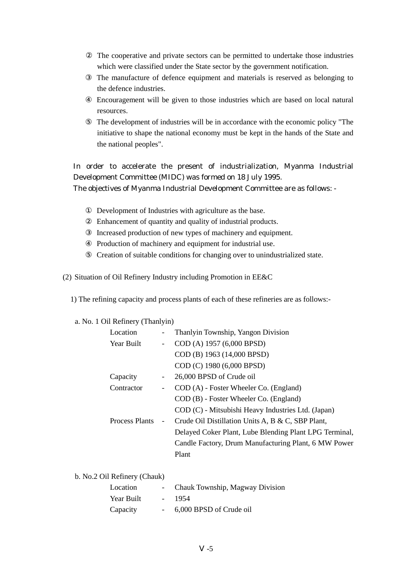The cooperative and private sectors can be permitted to undertake those industries which were classified under the State sector by the government notification.

 The manufacture of defence equipment and materials is reserved as belonging to the defence industries.

 Encouragement will be given to those industries which are based on local natural resources.

 The development of industries will be in accordance with the economic policy "The initiative to shape the national economy must be kept in the hands of the State and the national peoples".

In order to accelerate the present of industrialization, Myanma Industrial Development Committee (MIDC) was formed on 18 July 1995.

The objectives of Myanma Industrial Development Committee are as follows: -

 Development of Industries with agriculture as the base. Enhancement of quantity and quality of industrial products. Increased production of new types of machinery and equipment. Production of machinery and equipment for industrial use. Creation of suitable conditions for changing over to unindustrialized state.

(2) Situation of Oil Refinery Industry including Promotion in EE&C

1) The refining capacity and process plants of each of these refineries are as follows:-

### a. No. 1 Oil Refinery (Thanlyin)

Year Built - 1954

Capacity - 6,000 BPSD of Crude oil

| Location<br>$\overline{\phantom{a}}$   | Thanlyin Township, Yangon Division                     |  |
|----------------------------------------|--------------------------------------------------------|--|
| Year Built<br>$\overline{\phantom{0}}$ | COD (A) 1957 (6,000 BPSD)                              |  |
|                                        | COD (B) 1963 (14,000 BPSD)                             |  |
|                                        | COD (C) 1980 (6,000 BPSD)                              |  |
| Capacity<br>$\overline{\phantom{a}}$   | 26,000 BPSD of Crude oil                               |  |
| Contractor<br>$\overline{\phantom{a}}$ | COD (A) - Foster Wheeler Co. (England)                 |  |
|                                        | COD (B) - Foster Wheeler Co. (England)                 |  |
|                                        | COD (C) - Mitsubishi Heavy Industries Ltd. (Japan)     |  |
| <b>Process Plants</b>                  | Crude Oil Distillation Units A, B & C, SBP Plant,      |  |
|                                        | Delayed Coker Plant, Lube Blending Plant LPG Terminal, |  |
|                                        | Candle Factory, Drum Manufacturing Plant, 6 MW Power   |  |
|                                        | Plant                                                  |  |
| b. No.2 Oil Refinery (Chauk)           |                                                        |  |
|                                        |                                                        |  |
| Location                               | Chauk Township, Magway Division                        |  |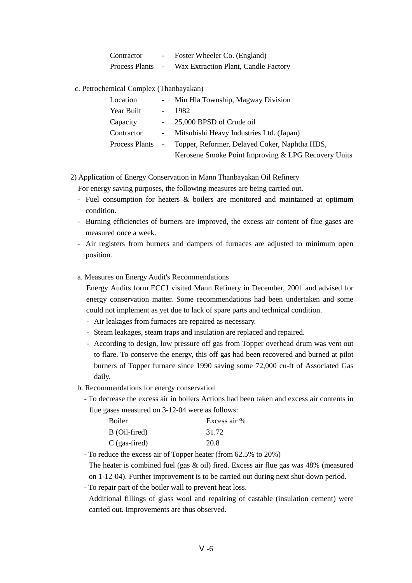| Contractor     | Foster Wheeler Co. (England)         |  |
|----------------|--------------------------------------|--|
| Process Plants | Wax Extraction Plant, Candle Factory |  |

c. Petrochemical Complex (Thanbayakan)

| Location         |            | - Min Hla Township, Magway Division                 |
|------------------|------------|-----------------------------------------------------|
| Year Built       |            | 1982                                                |
| Capacity         |            | - 25,000 BPSD of Crude oil                          |
| Contractor       | $\sim 100$ | Mitsubishi Heavy Industries Ltd. (Japan)            |
| Process Plants - |            | Topper, Reformer, Delayed Coker, Naphtha HDS,       |
|                  |            | Kerosene Smoke Point Improving & LPG Recovery Units |

# 2) Application of Energy Conservation in Mann Thanbayakan Oil Refinery

For energy saving purposes, the following measures are being carried out.

- Fuel consumption for heaters & boilers are monitored and maintained at optimum condition.
- Burning efficiencies of burners are improved, the excess air content of flue gases are measured once a week.
- Air registers from burners and dampers of furnaces are adjusted to minimum open position.

### a. Measures on Energy Audit's Recommendations

Energy Audits form ECCJ visited Mann Refinery in December, 2001 and advised for energy conservation matter. Some recommendations had been undertaken and some could not implement as yet due to lack of spare parts and technical condition.

- Air leakages from furnaces are repaired as necessary.
- Steam leakages, steam traps and insulation are replaced and repaired.
- According to design, low pressure off gas from Topper overhead drum was vent out to flare. To conserve the energy, this off gas had been recovered and burned at pilot burners of Topper furnace since 1990 saving some 72,000 cu-ft of Associated Gas daily.
- b. Recommendations for energy conservation
	- To decrease the excess air in boilers Actions had been taken and excess air contents in flue gases measured on 3-12-04 were as follows:

| <b>Boiler</b>   | Excess air % |
|-----------------|--------------|
| B (Oil-fired)   | 31.72        |
| $C$ (gas-fired) | 20.8         |

- To reduce the excess air of Topper heater (from 62.5% to 20%)

The heater is combined fuel (gas & oil) fired. Excess air flue gas was 48% (measured on 1-12-04). Further improvement is to be carried out during next shut-down period.

- To repair part of the boiler wall to prevent heat loss.

Additional fillings of glass wool and repairing of castable (insulation cement) were carried out. Improvements are thus observed.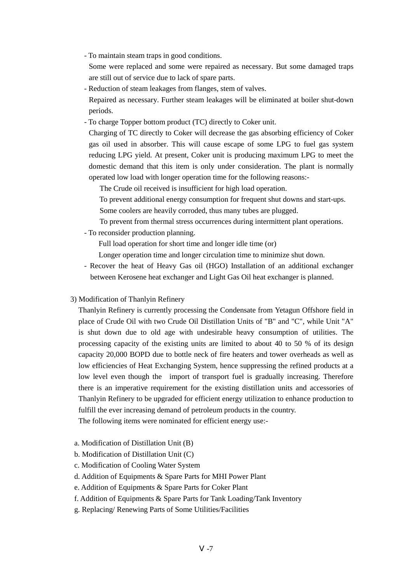- To maintain steam traps in good conditions.
- Some were replaced and some were repaired as necessary. But some damaged traps are still out of service due to lack of spare parts.
- Reduction of steam leakages from flanges, stem of valves. Repaired as necessary. Further steam leakages will be eliminated at boiler shut-down periods.
- To charge Topper bottom product (TC) directly to Coker unit.

Charging of TC directly to Coker will decrease the gas absorbing efficiency of Coker gas oil used in absorber. This will cause escape of some LPG to fuel gas system reducing LPG yield. At present, Coker unit is producing maximum LPG to meet the domestic demand that this item is only under consideration. The plant is normally operated low load with longer operation time for the following reasons:-

The Crude oil received is insufficient for high load operation.

To prevent additional energy consumption for frequent shut downs and start-ups.

Some coolers are heavily corroded, thus many tubes are plugged.

To prevent from thermal stress occurrences during intermittent plant operations.

- To reconsider production planning.

Full load operation for short time and longer idle time (or)

Longer operation time and longer circulation time to minimize shut down.

- Recover the heat of Heavy Gas oil (HGO) Installation of an additional exchanger between Kerosene heat exchanger and Light Gas Oil heat exchanger is planned.
- 3) Modification of Thanlyin Refinery

Thanlyin Refinery is currently processing the Condensate from Yetagun Offshore field in place of Crude Oil with two Crude Oil Distillation Units of "B" and "C", while Unit "A" is shut down due to old age with undesirable heavy consumption of utilities. The processing capacity of the existing units are limited to about 40 to 50 % of its design capacity 20,000 BOPD due to bottle neck of fire heaters and tower overheads as well as low efficiencies of Heat Exchanging System, hence suppressing the refined products at a low level even though the import of transport fuel is gradually increasing. Therefore there is an imperative requirement for the existing distillation units and accessories of Thanlyin Refinery to be upgraded for efficient energy utilization to enhance production to fulfill the ever increasing demand of petroleum products in the country.

The following items were nominated for efficient energy use:-

- a. Modification of Distillation Unit (B)
- b. Modification of Distillation Unit (C)
- c. Modification of Cooling Water System
- d. Addition of Equipments & Spare Parts for MHI Power Plant
- e. Addition of Equipments & Spare Parts for Coker Plant
- f. Addition of Equipments & Spare Parts for Tank Loading/Tank Inventory
- g. Replacing/ Renewing Parts of Some Utilities/Facilities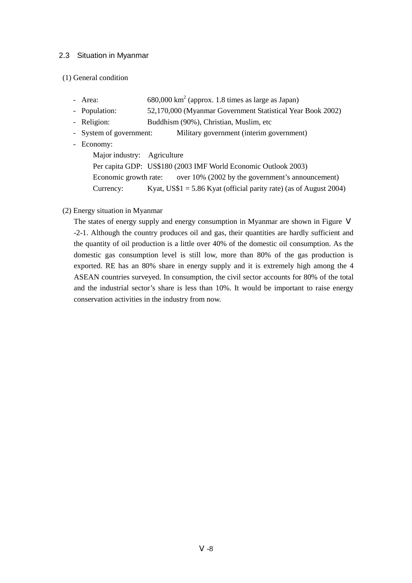### 2.3 Situation in Myanmar

#### (1) General condition

| - Area:                     | $680,000 \text{ km}^2$ (approx. 1.8 times as large as Japan)           |
|-----------------------------|------------------------------------------------------------------------|
| - Population:               | 52,170,000 (Myanmar Government Statistical Year Book 2002)             |
| - Religion:                 | Buddhism (90%), Christian, Muslim, etc                                 |
| - System of government:     | Military government (interim government)                               |
| - Economy:                  |                                                                        |
| Major industry: Agriculture |                                                                        |
|                             | Per capita GDP: US\$180 (2003 IMF World Economic Outlook 2003)         |
|                             | Economic growth rate: over 10% (2002 by the government's announcement) |
| Currency:                   | Kyat, US\$1 = $5.86$ Kyat (official parity rate) (as of August 2004)   |

### (2) Energy situation in Myanmar

The states of energy supply and energy consumption in Myanmar are shown in Figure -2-1. Although the country produces oil and gas, their quantities are hardly sufficient and the quantity of oil production is a little over 40% of the domestic oil consumption. As the domestic gas consumption level is still low, more than 80% of the gas production is exported. RE has an 80% share in energy supply and it is extremely high among the 4 ASEAN countries surveyed. In consumption, the civil sector accounts for 80% of the total and the industrial sector's share is less than 10%. It would be important to raise energy conservation activities in the industry from now.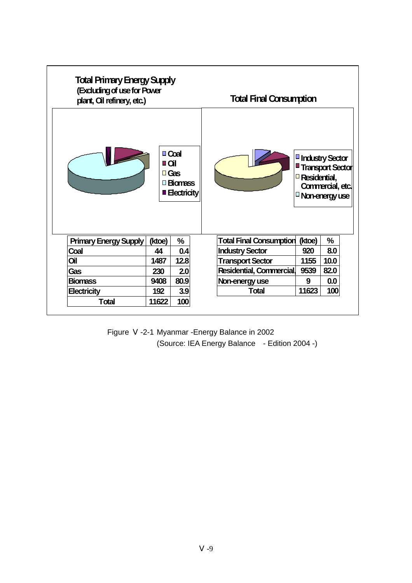

| Figure | -2-1 Myanmar -Energy Balance in 2002          |  |
|--------|-----------------------------------------------|--|
|        | (Source: IEA Energy Balance - Edition 2004 -) |  |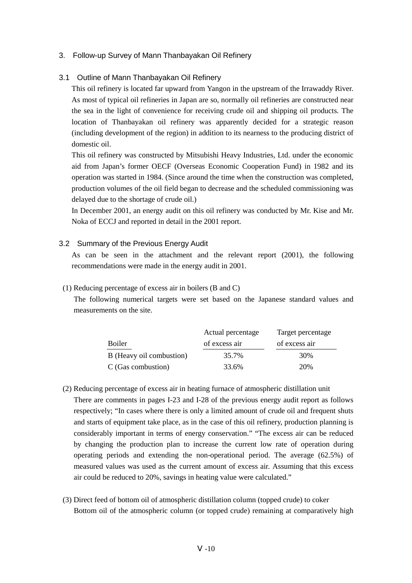### 3. Follow-up Survey of Mann Thanbayakan Oil Refinery

#### 3.1 Outline of Mann Thanbayakan Oil Refinery

This oil refinery is located far upward from Yangon in the upstream of the Irrawaddy River. As most of typical oil refineries in Japan are so, normally oil refineries are constructed near the sea in the light of convenience for receiving crude oil and shipping oil products. The location of Thanbayakan oil refinery was apparently decided for a strategic reason (including development of the region) in addition to its nearness to the producing district of domestic oil.

This oil refinery was constructed by Mitsubishi Heavy Industries, Ltd. under the economic aid from Japan's former OECF (Overseas Economic Cooperation Fund) in 1982 and its operation was started in 1984. (Since around the time when the construction was completed, production volumes of the oil field began to decrease and the scheduled commissioning was delayed due to the shortage of crude oil.)

In December 2001, an energy audit on this oil refinery was conducted by Mr. Kise and Mr. Noka of ECCJ and reported in detail in the 2001 report.

#### 3.2 Summary of the Previous Energy Audit

As can be seen in the attachment and the relevant report (2001), the following recommendations were made in the energy audit in 2001.

#### (1) Reducing percentage of excess air in boilers (B and C)

The following numerical targets were set based on the Japanese standard values and measurements on the site.

|                          | Actual percentage | Target percentage |
|--------------------------|-------------------|-------------------|
| Boiler                   | of excess air     | of excess air     |
| B (Heavy oil combustion) | 35.7%             | 30%               |
| C (Gas combustion)       | 33.6%             | 20%               |

- (2) Reducing percentage of excess air in heating furnace of atmospheric distillation unit There are comments in pages I-23 and I-28 of the previous energy audit report as follows respectively; "In cases where there is only a limited amount of crude oil and frequent shuts and starts of equipment take place, as in the case of this oil refinery, production planning is considerably important in terms of energy conservation." "The excess air can be reduced by changing the production plan to increase the current low rate of operation during operating periods and extending the non-operational period. The average (62.5%) of measured values was used as the current amount of excess air. Assuming that this excess air could be reduced to 20%, savings in heating value were calculated."
- (3) Direct feed of bottom oil of atmospheric distillation column (topped crude) to coker Bottom oil of the atmospheric column (or topped crude) remaining at comparatively high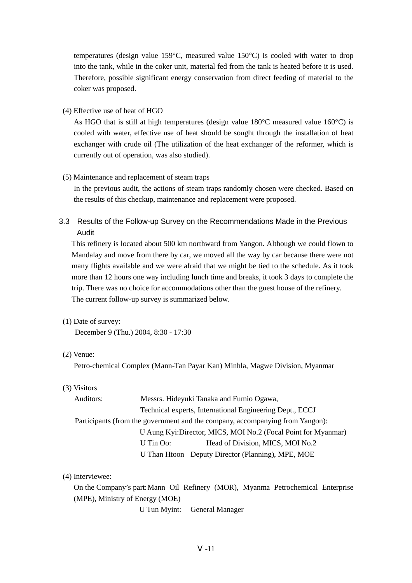temperatures (design value 159°C, measured value 150°C) is cooled with water to drop into the tank, while in the coker unit, material fed from the tank is heated before it is used. Therefore, possible significant energy conservation from direct feeding of material to the coker was proposed.

(4) Effective use of heat of HGO

As HGO that is still at high temperatures (design value  $180^{\circ}$ C measured value  $160^{\circ}$ C) is cooled with water, effective use of heat should be sought through the installation of heat exchanger with crude oil (The utilization of the heat exchanger of the reformer, which is currently out of operation, was also studied).

#### (5) Maintenance and replacement of steam traps

In the previous audit, the actions of steam traps randomly chosen were checked. Based on the results of this checkup, maintenance and replacement were proposed.

3.3 Results of the Follow-up Survey on the Recommendations Made in the Previous Audit

This refinery is located about 500 km northward from Yangon. Although we could flown to Mandalay and move from there by car, we moved all the way by car because there were not many flights available and we were afraid that we might be tied to the schedule. As it took more than 12 hours one way including lunch time and breaks, it took 3 days to complete the trip. There was no choice for accommodations other than the guest house of the refinery. The current follow-up survey is summarized below.

(1) Date of survey:

December 9 (Thu.) 2004, 8:30 - 17:30

#### (2) Venue:

Petro-chemical Complex (Mann-Tan Payar Kan) Minhla, Magwe Division, Myanmar

(3) Visitors

| Auditors:                                                      | Messrs. Hideyuki Tanaka and Fumio Ogawa,                                      |                                                   |  |  |
|----------------------------------------------------------------|-------------------------------------------------------------------------------|---------------------------------------------------|--|--|
|                                                                | Technical experts, International Engineering Dept., ECCJ                      |                                                   |  |  |
|                                                                | Participants (from the government and the company, accompanying from Yangon): |                                                   |  |  |
| U Aung Kyi: Director, MICS, MOI No.2 (Focal Point for Myanmar) |                                                                               |                                                   |  |  |
|                                                                | U Tin Oo:                                                                     | Head of Division, MICS, MOI No.2                  |  |  |
|                                                                |                                                                               | U Than Htoon Deputy Director (Planning), MPE, MOE |  |  |

#### (4) Interviewee:

On the Company's part: Mann Oil Refinery (MOR), Myanma Petrochemical Enterprise (MPE), Ministry of Energy (MOE)

U Tun Myint: General Manager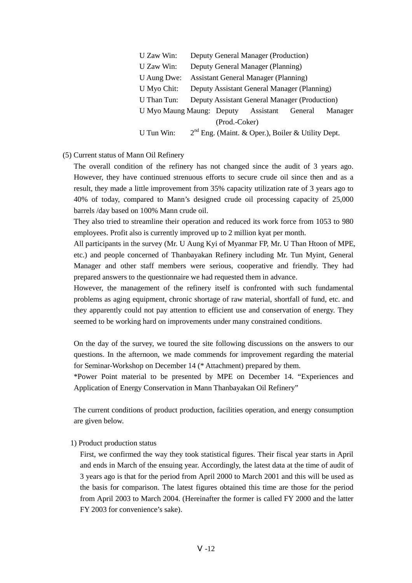| U Zaw Win:                                                   | Deputy General Manager (Production)         |                                             |                                                     |  |         |
|--------------------------------------------------------------|---------------------------------------------|---------------------------------------------|-----------------------------------------------------|--|---------|
| U Zaw Win:                                                   |                                             | Deputy General Manager (Planning)           |                                                     |  |         |
| U Aung Dwe:                                                  |                                             | <b>Assistant General Manager (Planning)</b> |                                                     |  |         |
| U Myo Chit:                                                  | Deputy Assistant General Manager (Planning) |                                             |                                                     |  |         |
| Deputy Assistant General Manager (Production)<br>U Than Tun: |                                             |                                             |                                                     |  |         |
| U Myo Maung Maung: Deputy Assistant General                  |                                             |                                             |                                                     |  | Manager |
| (Prod.-Coker)                                                |                                             |                                             |                                                     |  |         |
| U Tun Win:                                                   |                                             |                                             | $2nd$ Eng. (Maint. & Oper.), Boiler & Utility Dept. |  |         |

#### (5) Current status of Mann Oil Refinery

The overall condition of the refinery has not changed since the audit of 3 years ago. However, they have continued strenuous efforts to secure crude oil since then and as a result, they made a little improvement from 35% capacity utilization rate of 3 years ago to 40% of today, compared to Mann's designed crude oil processing capacity of 25,000 barrels /day based on 100% Mann crude oil.

They also tried to streamline their operation and reduced its work force from 1053 to 980 employees. Profit also is currently improved up to 2 million kyat per month.

All participants in the survey (Mr. U Aung Kyi of Myanmar FP, Mr. U Than Htoon of MPE, etc.) and people concerned of Thanbayakan Refinery including Mr. Tun Myint, General Manager and other staff members were serious, cooperative and friendly. They had prepared answers to the questionnaire we had requested them in advance.

However, the management of the refinery itself is confronted with such fundamental problems as aging equipment, chronic shortage of raw material, shortfall of fund, etc. and they apparently could not pay attention to efficient use and conservation of energy. They seemed to be working hard on improvements under many constrained conditions.

On the day of the survey, we toured the site following discussions on the answers to our questions. In the afternoon, we made commends for improvement regarding the material for Seminar-Workshop on December 14 (\* Attachment) prepared by them.

\*Power Point material to be presented by MPE on December 14. "Experiences and Application of Energy Conservation in Mann Thanbayakan Oil Refinery"

The current conditions of product production, facilities operation, and energy consumption are given below.

### 1) Product production status

First, we confirmed the way they took statistical figures. Their fiscal year starts in April and ends in March of the ensuing year. Accordingly, the latest data at the time of audit of 3 years ago is that for the period from April 2000 to March 2001 and this will be used as the basis for comparison. The latest figures obtained this time are those for the period from April 2003 to March 2004. (Hereinafter the former is called FY 2000 and the latter FY 2003 for convenience's sake).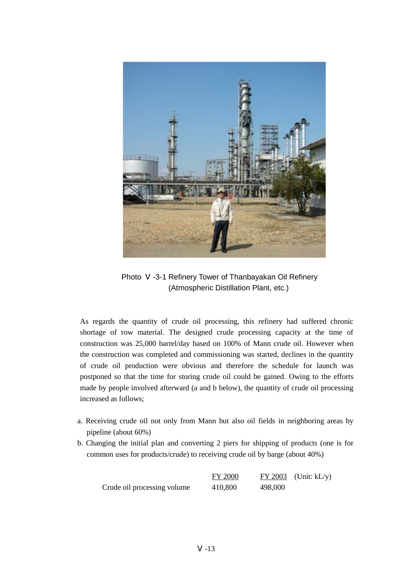

Photo -3-1 Refinery Tower of Thanbayakan Oil Refinery (Atmospheric Distillation Plant, etc.)

As regards the quantity of crude oil processing, this refinery had suffered chronic shortage of row material. The designed crude processing capacity at the time of construction was 25,000 barrel/day based on 100% of Mann crude oil. However when the construction was completed and commissioning was started, declines in the quantity of crude oil production were obvious and therefore the schedule for launch was postponed so that the time for storing crude oil could be gained. Owing to the efforts made by people involved afterward (a and b below), the quantity of crude oil processing increased as follows;

- a. Receiving crude oil not only from Mann but also oil fields in neighboring areas by pipeline (about 60%)
- b. Changing the initial plan and converting 2 piers for shipping of products (one is for common uses for products/crude) to receiving crude oil by barge (about 40%)

|                             | <b>FY 2000</b> |         | $FY$ 2003 (Unit: $kL/y$ ) |
|-----------------------------|----------------|---------|---------------------------|
| Crude oil processing volume | 410,800        | 498,000 |                           |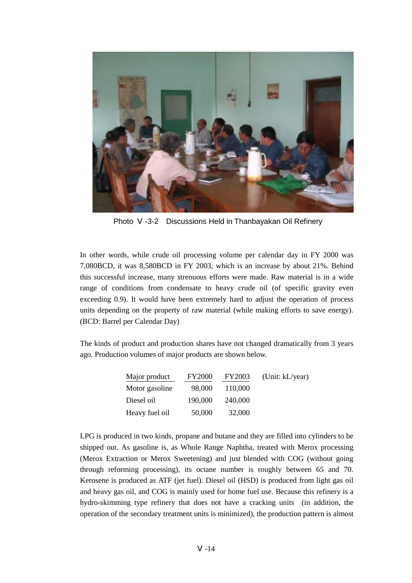

Photo -3-2 Discussions Held in Thanbayakan Oil Refinery

In other words, while crude oil processing volume per calendar day in FY 2000 was 7,080BCD, it was 8,580BCD in FY 2003, which is an increase by about 21%. Behind this successful increase, many strenuous efforts were made. Raw material is in a wide range of conditions from condensate to heavy crude oil (of specific gravity even exceeding 0.9). It would have been extremely hard to adjust the operation of process units depending on the property of raw material (while making efforts to save energy). (BCD: Barrel per Calendar Day)

The kinds of product and production shares have not changed dramatically from 3 years ago. Production volumes of major products are shown below.

| Major product  | <b>FY2000</b> | <b>FY2003</b> | (Unit: kL/year) |
|----------------|---------------|---------------|-----------------|
| Motor gasoline | 98,000        | 110,000       |                 |
| Diesel oil     | 190,000       | 240,000       |                 |
| Heavy fuel oil | 50,000        | 32,000        |                 |

LPG is produced in two kinds, propane and butane and they are filled into cylinders to be shipped out. As gasoline is, as Whole Range Naphtha, treated with Merox processing (Merox Extraction or Merox Sweetening) and just blended with COG (without going through reforming processing), its octane number is roughly between 65 and 70. Kerosene is produced as ATF (jet fuel). Diesel oil (HSD) is produced from light gas oil and heavy gas oil, and COG is mainly used for home fuel use. Because this refinery is a hydro-skimming type refinery that does not have a cracking units (in addition, the operation of the secondary treatment units is minimized), the production pattern is almost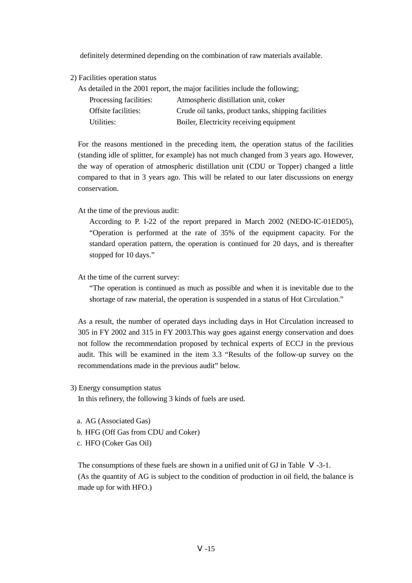definitely determined depending on the combination of raw materials available.

2) Facilities operation status

As detailed in the 2001 report, the major facilities include the following;

| Processing facilities: | Atmospheric distillation unit, coker                |
|------------------------|-----------------------------------------------------|
| Offsite facilities:    | Crude oil tanks, product tanks, shipping facilities |
| Utilities:             | Boiler, Electricity receiving equipment             |

For the reasons mentioned in the preceding item, the operation status of the facilities (standing idle of splitter, for example) has not much changed from 3 years ago. However, the way of operation of atmospheric distillation unit (CDU or Topper) changed a little compared to that in 3 years ago. This will be related to our later discussions on energy conservation.

At the time of the previous audit:

According to P. I-22 of the report prepared in March 2002 (NEDO-IC-01ED05), "Operation is performed at the rate of 35% of the equipment capacity. For the standard operation pattern, the operation is continued for 20 days, and is thereafter stopped for 10 days."

At the time of the current survey:

"The operation is continued as much as possible and when it is inevitable due to the shortage of raw material, the operation is suspended in a status of Hot Circulation."

As a result, the number of operated days including days in Hot Circulation increased to 305 in FY 2002 and 315 in FY 2003.This way goes against energy conservation and does not follow the recommendation proposed by technical experts of ECCJ in the previous audit. This will be examined in the item 3.3 "Results of the follow-up survey on the recommendations made in the previous audit" below.

3) Energy consumption status

In this refinery, the following 3 kinds of fuels are used.

- a. AG (Associated Gas)
- b. HFG (Off Gas from CDU and Coker)
- c. HFO (Coker Gas Oil)

The consumptions of these fuels are shown in a unified unit of GJ in Table -3-1. (As the quantity of AG is subject to the condition of production in oil field, the balance is made up for with HFO.)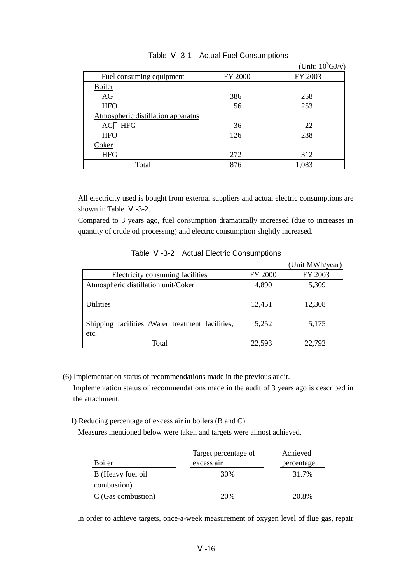|                                    |                | (Unit: $10^3$ GJ/y) |
|------------------------------------|----------------|---------------------|
| Fuel consuming equipment           | <b>FY 2000</b> | FY 2003             |
| <b>Boiler</b>                      |                |                     |
| AG                                 | 386            | 258                 |
| <b>HFO</b>                         | 56             | 253                 |
| Atmospheric distillation apparatus |                |                     |
| AG HFG                             | 36             | 22                  |
| <b>HFO</b>                         | 126            | 238                 |
| Coker                              |                |                     |
| <b>HFG</b>                         | 272            | 312                 |
| Total                              | 876            | 1,083               |

#### Table -3-1 Actual Fuel Consumptions

All electricity used is bought from external suppliers and actual electric consumptions are shown in Table -3-2.

Compared to 3 years ago, fuel consumption dramatically increased (due to increases in quantity of crude oil processing) and electric consumption slightly increased.

|                                                                              |                 | (Unit MWh/year) |
|------------------------------------------------------------------------------|-----------------|-----------------|
| Electricity consuming facilities                                             | <b>FY 2000</b>  | FY 2003         |
| Atmospheric distillation unit/Coker                                          | 4,890           | 5,309           |
| <b>Utilities</b><br>Shipping facilities /Water treatment facilities,<br>etc. | 12,451<br>5,252 | 12,308<br>5,175 |
| Total                                                                        | 22,593          | 22,792          |

| Table<br>-3-2 |  |  | <b>Actual Electric Consumptions</b> |
|---------------|--|--|-------------------------------------|
|---------------|--|--|-------------------------------------|

- (6) Implementation status of recommendations made in the previous audit. Implementation status of recommendations made in the audit of 3 years ago is described in the attachment.
	- 1) Reducing percentage of excess air in boilers (B and C)

Measures mentioned below were taken and targets were almost achieved.

|                    | Target percentage of | Achieved   |
|--------------------|----------------------|------------|
| <b>Boiler</b>      | excess air           | percentage |
| B (Heavy fuel oil  | 30%                  | 31.7%      |
| combustion)        |                      |            |
| C (Gas combustion) | 20%                  | 20.8%      |

In order to achieve targets, once-a-week measurement of oxygen level of flue gas, repair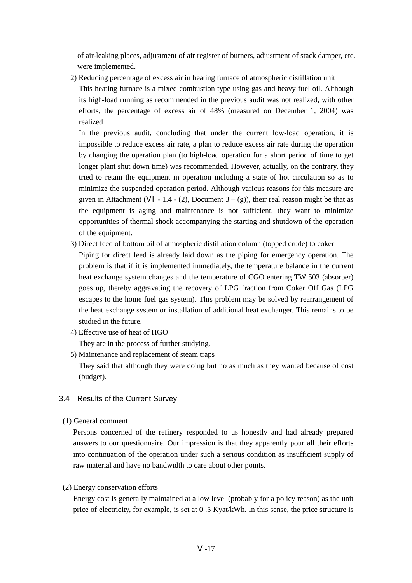of air-leaking places, adjustment of air register of burners, adjustment of stack damper, etc. were implemented.

2) Reducing percentage of excess air in heating furnace of atmospheric distillation unit

This heating furnace is a mixed combustion type using gas and heavy fuel oil. Although its high-load running as recommended in the previous audit was not realized, with other efforts, the percentage of excess air of 48% (measured on December 1, 2004) was realized

In the previous audit, concluding that under the current low-load operation, it is impossible to reduce excess air rate, a plan to reduce excess air rate during the operation by changing the operation plan (to high-load operation for a short period of time to get longer plant shut down time) was recommended. However, actually, on the contrary, they tried to retain the equipment in operation including a state of hot circulation so as to minimize the suspended operation period. Although various reasons for this measure are given in Attachment ( $-1.4 - (2)$ , Document 3 – (g)), their real reason might be that as the equipment is aging and maintenance is not sufficient, they want to minimize opportunities of thermal shock accompanying the starting and shutdown of the operation of the equipment.

3) Direct feed of bottom oil of atmospheric distillation column (topped crude) to coker

Piping for direct feed is already laid down as the piping for emergency operation. The problem is that if it is implemented immediately, the temperature balance in the current heat exchange system changes and the temperature of CGO entering TW 503 (absorber) goes up, thereby aggravating the recovery of LPG fraction from Coker Off Gas (LPG escapes to the home fuel gas system). This problem may be solved by rearrangement of the heat exchange system or installation of additional heat exchanger. This remains to be studied in the future.

4) Effective use of heat of HGO

They are in the process of further studying.

5) Maintenance and replacement of steam traps

They said that although they were doing but no as much as they wanted because of cost (budget).

# 3.4 Results of the Current Survey

(1) General comment

Persons concerned of the refinery responded to us honestly and had already prepared answers to our questionnaire. Our impression is that they apparently pour all their efforts into continuation of the operation under such a serious condition as insufficient supply of raw material and have no bandwidth to care about other points.

#### (2) Energy conservation efforts

Energy cost is generally maintained at a low level (probably for a policy reason) as the unit price of electricity, for example, is set at 0 .5 Kyat/kWh. In this sense, the price structure is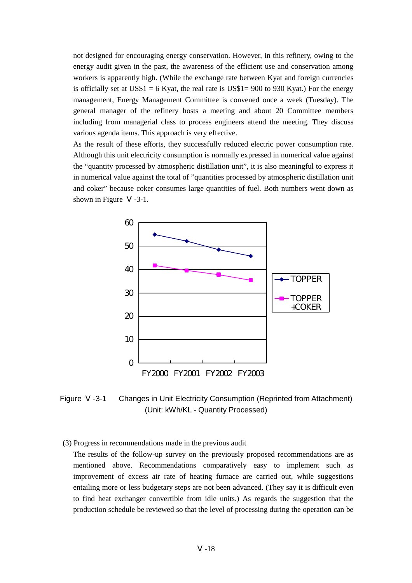not designed for encouraging energy conservation. However, in this refinery, owing to the energy audit given in the past, the awareness of the efficient use and conservation among workers is apparently high. (While the exchange rate between Kyat and foreign currencies is officially set at US\$1 = 6 Kyat, the real rate is US\$1= 900 to 930 Kyat.) For the energy management, Energy Management Committee is convened once a week (Tuesday). The general manager of the refinery hosts a meeting and about 20 Committee members including from managerial class to process engineers attend the meeting. They discuss various agenda items. This approach is very effective.

As the result of these efforts, they successfully reduced electric power consumption rate. Although this unit electricity consumption is normally expressed in numerical value against the "quantity processed by atmospheric distillation unit", it is also meaningful to express it in numerical value against the total of "quantities processed by atmospheric distillation unit and coker" because coker consumes large quantities of fuel. Both numbers went down as shown in Figure -3-1.



Figure -3-1 Changes in Unit Electricity Consumption (Reprinted from Attachment) (Unit: kWh/KL - Quantity Processed)

(3) Progress in recommendations made in the previous audit

The results of the follow-up survey on the previously proposed recommendations are as mentioned above. Recommendations comparatively easy to implement such as improvement of excess air rate of heating furnace are carried out, while suggestions entailing more or less budgetary steps are not been advanced. (They say it is difficult even to find heat exchanger convertible from idle units.) As regards the suggestion that the production schedule be reviewed so that the level of processing during the operation can be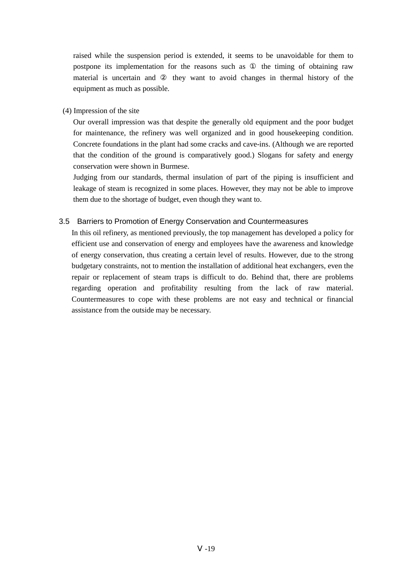raised while the suspension period is extended, it seems to be unavoidable for them to postpone its implementation for the reasons such as the timing of obtaining raw material is uncertain and they want to avoid changes in thermal history of the equipment as much as possible.

(4) Impression of the site

Our overall impression was that despite the generally old equipment and the poor budget for maintenance, the refinery was well organized and in good housekeeping condition. Concrete foundations in the plant had some cracks and cave-ins. (Although we are reported that the condition of the ground is comparatively good.) Slogans for safety and energy conservation were shown in Burmese.

Judging from our standards, thermal insulation of part of the piping is insufficient and leakage of steam is recognized in some places. However, they may not be able to improve them due to the shortage of budget, even though they want to.

#### 3.5 Barriers to Promotion of Energy Conservation and Countermeasures

In this oil refinery, as mentioned previously, the top management has developed a policy for efficient use and conservation of energy and employees have the awareness and knowledge of energy conservation, thus creating a certain level of results. However, due to the strong budgetary constraints, not to mention the installation of additional heat exchangers, even the repair or replacement of steam traps is difficult to do. Behind that, there are problems regarding operation and profitability resulting from the lack of raw material. Countermeasures to cope with these problems are not easy and technical or financial assistance from the outside may be necessary.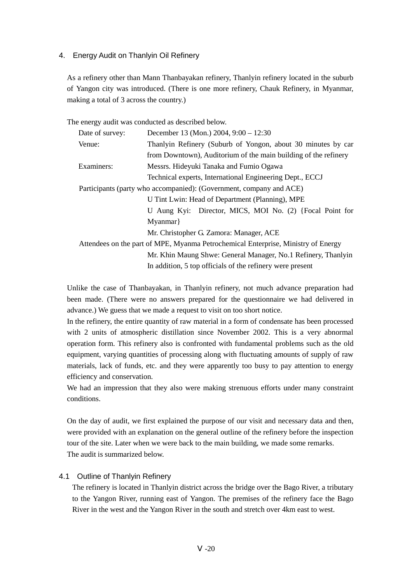### 4. Energy Audit on Thanlyin Oil Refinery

As a refinery other than Mann Thanbayakan refinery, Thanlyin refinery located in the suburb of Yangon city was introduced. (There is one more refinery, Chauk Refinery, in Myanmar, making a total of 3 across the country.)

The energy audit was conducted as described below.

| Date of survey:                                                                   | December 13 (Mon.) 2004, 9:00 - 12:30                               |  |
|-----------------------------------------------------------------------------------|---------------------------------------------------------------------|--|
| Venue:                                                                            | Thanlyin Refinery (Suburb of Yongon, about 30 minutes by car        |  |
|                                                                                   | from Downtown), Auditorium of the main building of the refinery     |  |
| Examiners:                                                                        | Messrs. Hideyuki Tanaka and Fumio Ogawa                             |  |
|                                                                                   | Technical experts, International Engineering Dept., ECCJ            |  |
|                                                                                   | Participants (party who accompanied): (Government, company and ACE) |  |
|                                                                                   | U Tint Lwin: Head of Department (Planning), MPE                     |  |
|                                                                                   | U Aung Kyi: Director, MICS, MOI No. (2) {Focal Point for            |  |
|                                                                                   | Myanmar                                                             |  |
|                                                                                   | Mr. Christopher G. Zamora: Manager, ACE                             |  |
| Attendees on the part of MPE, Myanma Petrochemical Enterprise, Ministry of Energy |                                                                     |  |
| Mr. Khin Maung Shwe: General Manager, No.1 Refinery, Thanlyin                     |                                                                     |  |
| In addition, 5 top officials of the refinery were present                         |                                                                     |  |

Unlike the case of Thanbayakan, in Thanlyin refinery, not much advance preparation had been made. (There were no answers prepared for the questionnaire we had delivered in advance.) We guess that we made a request to visit on too short notice.

In the refinery, the entire quantity of raw material in a form of condensate has been processed with 2 units of atmospheric distillation since November 2002. This is a very abnormal operation form. This refinery also is confronted with fundamental problems such as the old equipment, varying quantities of processing along with fluctuating amounts of supply of raw materials, lack of funds, etc. and they were apparently too busy to pay attention to energy efficiency and conservation.

We had an impression that they also were making strenuous efforts under many constraint conditions.

On the day of audit, we first explained the purpose of our visit and necessary data and then, were provided with an explanation on the general outline of the refinery before the inspection tour of the site. Later when we were back to the main building, we made some remarks. The audit is summarized below.

### 4.1 Outline of Thanlyin Refinery

The refinery is located in Thanlyin district across the bridge over the Bago River, a tributary to the Yangon River, running east of Yangon. The premises of the refinery face the Bago River in the west and the Yangon River in the south and stretch over 4km east to west.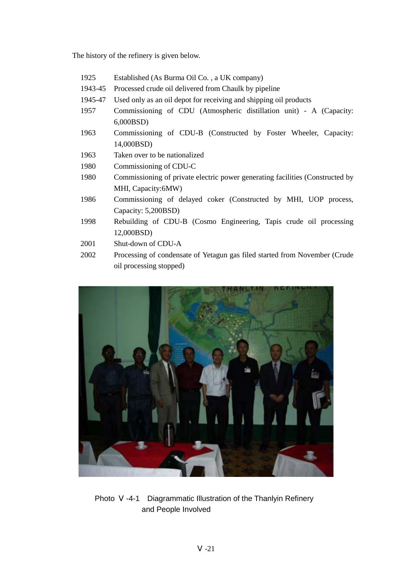The history of the refinery is given below.

- 1925 Established (As Burma Oil Co. , a UK company)
- 1943-45 Processed crude oil delivered from Chaulk by pipeline
- 1945-47 Used only as an oil depot for receiving and shipping oil products
- 1957 Commissioning of CDU (Atmospheric distillation unit) A (Capacity: 6,000BSD)
- 1963 Commissioning of CDU-B (Constructed by Foster Wheeler, Capacity: 14,000BSD)
- 1963 Taken over to be nationalized
- 1980 Commissioning of CDU-C
- 1980 Commissioning of private electric power generating facilities (Constructed by MHI, Capacity:6MW)
- 1986 Commissioning of delayed coker (Constructed by MHI, UOP process, Capacity: 5,200BSD)
- 1998 Rebuilding of CDU-B (Cosmo Engineering, Tapis crude oil processing 12,000BSD)
- 2001 Shut-down of CDU-A
- 2002 Processing of condensate of Yetagun gas filed started from November (Crude oil processing stopped)



Photo -4-1 Diagrammatic Illustration of the Thanlyin Refinery and People Involved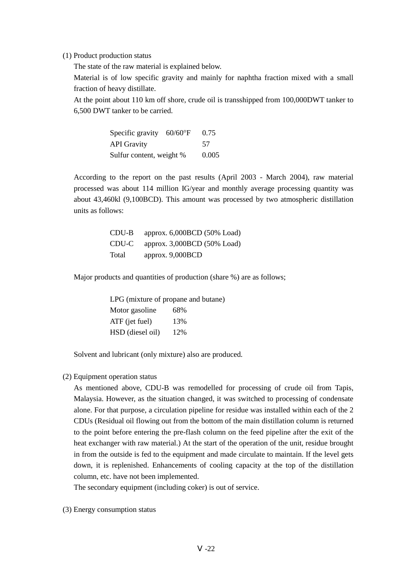(1) Product production status

The state of the raw material is explained below.

Material is of low specific gravity and mainly for naphtha fraction mixed with a small fraction of heavy distillate.

At the point about 110 km off shore, crude oil is transshipped from 100,000DWT tanker to 6,500 DWT tanker to be carried.

> Specific gravity 60/60°F 0.75 API Gravity 57 Sulfur content, weight % 0.005

According to the report on the past results (April 2003 - March 2004), raw material processed was about 114 million IG/year and monthly average processing quantity was about 43,460kl (9,100BCD). This amount was processed by two atmospheric distillation units as follows:

| CDU-B | approx. 6,000BCD (50% Load) |
|-------|-----------------------------|
| CDU-C | approx. 3,000BCD (50% Load) |
| Total | approx. $9,000BCD$          |

Major products and quantities of production (share %) are as follows;

LPG (mixture of propane and butane) Motor gasoline 68% ATF (jet fuel) 13% HSD (diesel oil) 12%

Solvent and lubricant (only mixture) also are produced.

(2) Equipment operation status

As mentioned above, CDU-B was remodelled for processing of crude oil from Tapis, Malaysia. However, as the situation changed, it was switched to processing of condensate alone. For that purpose, a circulation pipeline for residue was installed within each of the 2 CDUs (Residual oil flowing out from the bottom of the main distillation column is returned to the point before entering the pre-flash column on the feed pipeline after the exit of the heat exchanger with raw material.) At the start of the operation of the unit, residue brought in from the outside is fed to the equipment and made circulate to maintain. If the level gets down, it is replenished. Enhancements of cooling capacity at the top of the distillation column, etc. have not been implemented.

The secondary equipment (including coker) is out of service.

(3) Energy consumption status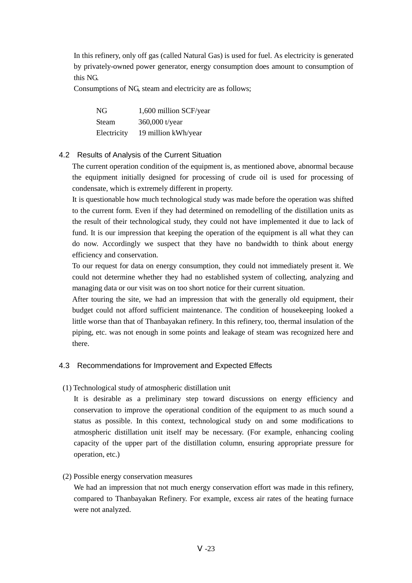In this refinery, only off gas (called Natural Gas) is used for fuel. As electricity is generated by privately-owned power generator, energy consumption does amount to consumption of this NG.

Consumptions of NG, steam and electricity are as follows;

| NG           | 1,600 million SCF/year |
|--------------|------------------------|
| <b>Steam</b> | 360,000 t/year         |
| Electricity  | 19 million kWh/year    |

### 4.2 Results of Analysis of the Current Situation

The current operation condition of the equipment is, as mentioned above, abnormal because the equipment initially designed for processing of crude oil is used for processing of condensate, which is extremely different in property.

It is questionable how much technological study was made before the operation was shifted to the current form. Even if they had determined on remodelling of the distillation units as the result of their technological study, they could not have implemented it due to lack of fund. It is our impression that keeping the operation of the equipment is all what they can do now. Accordingly we suspect that they have no bandwidth to think about energy efficiency and conservation.

To our request for data on energy consumption, they could not immediately present it. We could not determine whether they had no established system of collecting, analyzing and managing data or our visit was on too short notice for their current situation.

After touring the site, we had an impression that with the generally old equipment, their budget could not afford sufficient maintenance. The condition of housekeeping looked a little worse than that of Thanbayakan refinery. In this refinery, too, thermal insulation of the piping, etc. was not enough in some points and leakage of steam was recognized here and there.

#### 4.3 Recommendations for Improvement and Expected Effects

(1) Technological study of atmospheric distillation unit

It is desirable as a preliminary step toward discussions on energy efficiency and conservation to improve the operational condition of the equipment to as much sound a status as possible. In this context, technological study on and some modifications to atmospheric distillation unit itself may be necessary. (For example, enhancing cooling capacity of the upper part of the distillation column, ensuring appropriate pressure for operation, etc.)

#### (2) Possible energy conservation measures

We had an impression that not much energy conservation effort was made in this refinery, compared to Thanbayakan Refinery. For example, excess air rates of the heating furnace were not analyzed.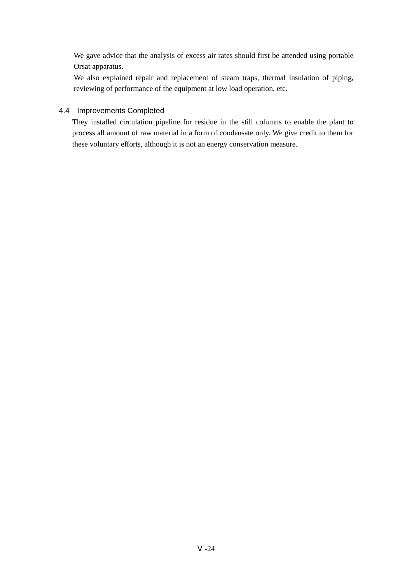We gave advice that the analysis of excess air rates should first be attended using portable Orsat apparatus.

We also explained repair and replacement of steam traps, thermal insulation of piping, reviewing of performance of the equipment at low load operation, etc.

# 4.4 Improvements Completed

They installed circulation pipeline for residue in the still columns to enable the plant to process all amount of raw material in a form of condensate only. We give credit to them for these voluntary efforts, although it is not an energy conservation measure.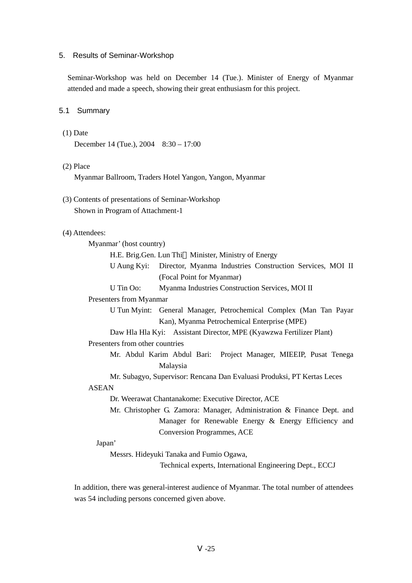#### 5. Results of Seminar-Workshop

Seminar-Workshop was held on December 14 (Tue.). Minister of Energy of Myanmar attended and made a speech, showing their great enthusiasm for this project.

#### 5.1 Summary

(1) Date

December 14 (Tue.), 2004 8:30 – 17:00

#### (2) Place

Myanmar Ballroom, Traders Hotel Yangon, Yangon, Myanmar

(3) Contents of presentations of Seminar-Workshop Shown in Program of Attachment-1

#### (4) Attendees:

Myanmar' (host country) H.E. Brig.Gen. Lun Thi Minister, Ministry of Energy U Aung Kyi: Director, Myanma Industries Construction Services, MOI II (Focal Point for Myanmar) U Tin Oo: Myanma Industries Construction Services, MOI II Presenters from Myanmar U Tun Myint: General Manager, Petrochemical Complex (Man Tan Payar Kan), Myanma Petrochemical Enterprise (MPE) Daw Hla Hla Kyi: Assistant Director, MPE (Kyawzwa Fertilizer Plant) Presenters from other countries Mr. Abdul Karim Abdul Bari: Project Manager, MIEEIP, Pusat Tenega Malaysia Mr. Subagyo, Supervisor: Rencana Dan Evaluasi Produksi, PT Kertas Leces ASEAN Dr. Weerawat Chantanakome: Executive Director, ACE Mr. Christopher G. Zamora: Manager, Administration & Finance Dept. and Manager for Renewable Energy & Energy Efficiency and Conversion Programmes, ACE

### Japan'

Messrs. Hideyuki Tanaka and Fumio Ogawa,

Technical experts, International Engineering Dept., ECCJ

In addition, there was general-interest audience of Myanmar. The total number of attendees was 54 including persons concerned given above.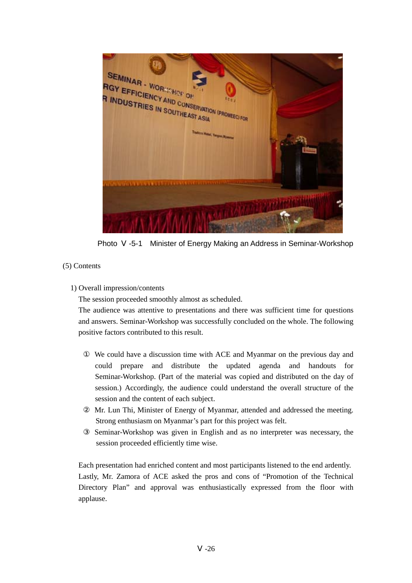

Photo -5-1 Minister of Energy Making an Address in Seminar-Workshop

## (5) Contents

## 1) Overall impression/contents

The session proceeded smoothly almost as scheduled.

The audience was attentive to presentations and there was sufficient time for questions and answers. Seminar-Workshop was successfully concluded on the whole. The following positive factors contributed to this result.

 We could have a discussion time with ACE and Myanmar on the previous day and could prepare and distribute the updated agenda and handouts for Seminar-Workshop. (Part of the material was copied and distributed on the day of session.) Accordingly, the audience could understand the overall structure of the session and the content of each subject.

 Mr. Lun Thi, Minister of Energy of Myanmar, attended and addressed the meeting. Strong enthusiasm on Myanmar's part for this project was felt.

 Seminar-Workshop was given in English and as no interpreter was necessary, the session proceeded efficiently time wise.

Each presentation had enriched content and most participants listened to the end ardently. Lastly, Mr. Zamora of ACE asked the pros and cons of "Promotion of the Technical Directory Plan" and approval was enthusiastically expressed from the floor with applause.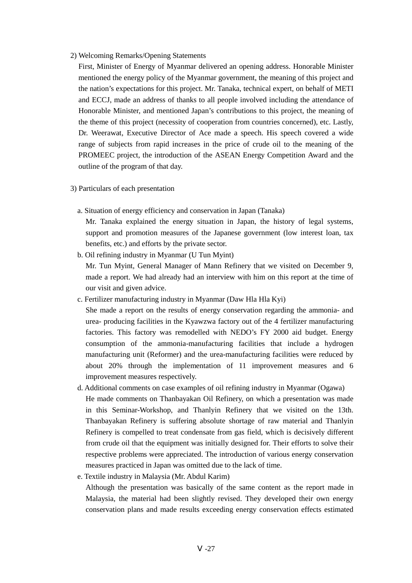2) Welcoming Remarks/Opening Statements

First, Minister of Energy of Myanmar delivered an opening address. Honorable Minister mentioned the energy policy of the Myanmar government, the meaning of this project and the nation's expectations for this project. Mr. Tanaka, technical expert, on behalf of METI and ECCJ, made an address of thanks to all people involved including the attendance of Honorable Minister, and mentioned Japan's contributions to this project, the meaning of the theme of this project (necessity of cooperation from countries concerned), etc. Lastly, Dr. Weerawat, Executive Director of Ace made a speech. His speech covered a wide range of subjects from rapid increases in the price of crude oil to the meaning of the PROMEEC project, the introduction of the ASEAN Energy Competition Award and the outline of the program of that day.

- 3) Particulars of each presentation
	- a. Situation of energy efficiency and conservation in Japan (Tanaka)

Mr. Tanaka explained the energy situation in Japan, the history of legal systems, support and promotion measures of the Japanese government (low interest loan, tax benefits, etc.) and efforts by the private sector.

b. Oil refining industry in Myanmar (U Tun Myint)

Mr. Tun Myint, General Manager of Mann Refinery that we visited on December 9, made a report. We had already had an interview with him on this report at the time of our visit and given advice.

c. Fertilizer manufacturing industry in Myanmar (Daw Hla Hla Kyi)

She made a report on the results of energy conservation regarding the ammonia- and urea- producing facilities in the Kyawzwa factory out of the 4 fertilizer manufacturing factories. This factory was remodelled with NEDO's FY 2000 aid budget. Energy consumption of the ammonia-manufacturing facilities that include a hydrogen manufacturing unit (Reformer) and the urea-manufacturing facilities were reduced by about 20% through the implementation of 11 improvement measures and 6 improvement measures respectively.

- d. Additional comments on case examples of oil refining industry in Myanmar (Ogawa) He made comments on Thanbayakan Oil Refinery, on which a presentation was made in this Seminar-Workshop, and Thanlyin Refinery that we visited on the 13th. Thanbayakan Refinery is suffering absolute shortage of raw material and Thanlyin Refinery is compelled to treat condensate from gas field, which is decisively different from crude oil that the equipment was initially designed for. Their efforts to solve their respective problems were appreciated. The introduction of various energy conservation measures practiced in Japan was omitted due to the lack of time.
- e. Textile industry in Malaysia (Mr. Abdul Karim)

Although the presentation was basically of the same content as the report made in Malaysia, the material had been slightly revised. They developed their own energy conservation plans and made results exceeding energy conservation effects estimated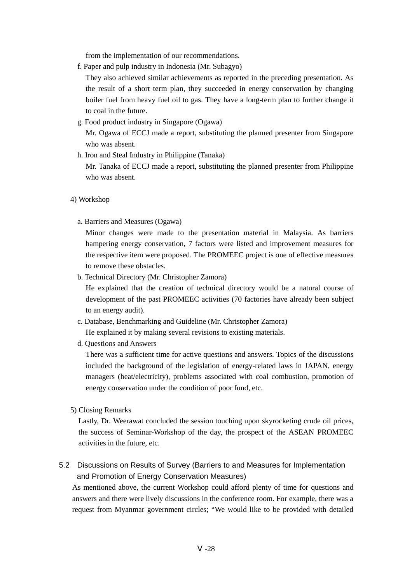from the implementation of our recommendations.

f. Paper and pulp industry in Indonesia (Mr. Subagyo)

They also achieved similar achievements as reported in the preceding presentation. As the result of a short term plan, they succeeded in energy conservation by changing boiler fuel from heavy fuel oil to gas. They have a long-term plan to further change it to coal in the future.

g. Food product industry in Singapore (Ogawa)

Mr. Ogawa of ECCJ made a report, substituting the planned presenter from Singapore who was absent.

h. Iron and Steal Industry in Philippine (Tanaka) Mr. Tanaka of ECCJ made a report, substituting the planned presenter from Philippine who was absent.

#### 4) Workshop

a. Barriers and Measures (Ogawa)

Minor changes were made to the presentation material in Malaysia. As barriers hampering energy conservation, 7 factors were listed and improvement measures for the respective item were proposed. The PROMEEC project is one of effective measures to remove these obstacles.

b. Technical Directory (Mr. Christopher Zamora)

He explained that the creation of technical directory would be a natural course of development of the past PROMEEC activities (70 factories have already been subject to an energy audit).

- c. Database, Benchmarking and Guideline (Mr. Christopher Zamora) He explained it by making several revisions to existing materials.
- d. Questions and Answers

There was a sufficient time for active questions and answers. Topics of the discussions included the background of the legislation of energy-related laws in JAPAN, energy managers (heat/electricity), problems associated with coal combustion, promotion of energy conservation under the condition of poor fund, etc.

5) Closing Remarks

Lastly, Dr. Weerawat concluded the session touching upon skyrocketing crude oil prices, the success of Seminar-Workshop of the day, the prospect of the ASEAN PROMEEC activities in the future, etc.

## 5.2 Discussions on Results of Survey (Barriers to and Measures for Implementation and Promotion of Energy Conservation Measures)

As mentioned above, the current Workshop could afford plenty of time for questions and answers and there were lively discussions in the conference room. For example, there was a request from Myanmar government circles; "We would like to be provided with detailed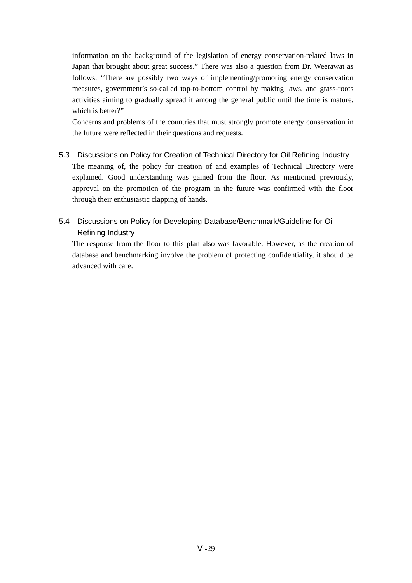information on the background of the legislation of energy conservation-related laws in Japan that brought about great success." There was also a question from Dr. Weerawat as follows; "There are possibly two ways of implementing/promoting energy conservation measures, government's so-called top-to-bottom control by making laws, and grass-roots activities aiming to gradually spread it among the general public until the time is mature, which is better?"

Concerns and problems of the countries that must strongly promote energy conservation in the future were reflected in their questions and requests.

- 5.3 Discussions on Policy for Creation of Technical Directory for Oil Refining Industry The meaning of, the policy for creation of and examples of Technical Directory were explained. Good understanding was gained from the floor. As mentioned previously, approval on the promotion of the program in the future was confirmed with the floor through their enthusiastic clapping of hands.
- 5.4 Discussions on Policy for Developing Database/Benchmark/Guideline for Oil Refining Industry

The response from the floor to this plan also was favorable. However, as the creation of database and benchmarking involve the problem of protecting confidentiality, it should be advanced with care.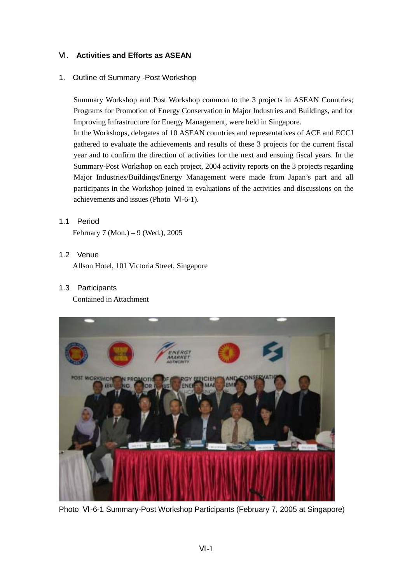## Ⅵ**. Activities and Efforts as ASEAN**

1. Outline of Summary -Post Workshop

Summary Workshop and Post Workshop common to the 3 projects in ASEAN Countries; Programs for Promotion of Energy Conservation in Major Industries and Buildings, and for Improving Infrastructure for Energy Management, were held in Singapore. In the Workshops, delegates of 10 ASEAN countries and representatives of ACE and ECCJ gathered to evaluate the achievements and results of these 3 projects for the current fiscal year and to confirm the direction of activities for the next and ensuing fiscal years. In the Summary-Post Workshop on each project, 2004 activity reports on the 3 projects regarding Major Industries/Buildings/Energy Management were made from Japan's part and all participants in the Workshop joined in evaluations of the activities and discussions on the achievements and issues (Photo -6-1).

## 1.1 Period

February 7 (Mon.) – 9 (Wed.), 2005

## 1.2 Venue

Allson Hotel, 101 Victoria Street, Singapore

1.3 Participants

Contained in Attachment



Photo -6-1 Summary-Post Workshop Participants (February 7, 2005 at Singapore)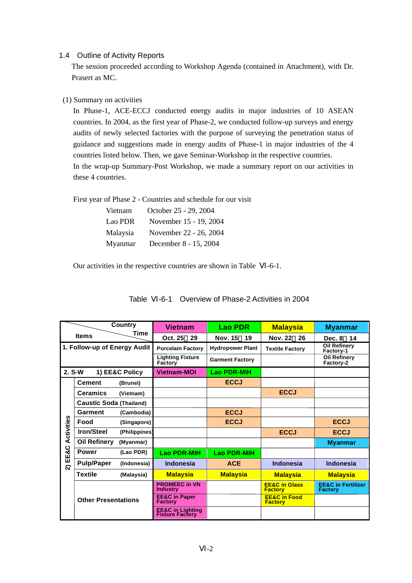#### 1.4 Outline of Activity Reports

The session proceeded according to Workshop Agenda (contained in Attachment), with Dr. Prasert as MC.

### (1) Summary on activities

In Phase-1, ACE-ECCJ conducted energy audits in major industries of 10 ASEAN countries. In 2004, as the first year of Phase-2, we conducted follow-up surveys and energy audits of newly selected factories with the purpose of surveying the penetration status of guidance and suggestions made in energy audits of Phase-1 in major industries of the 4 countries listed below. Then, we gave Seminar-Workshop in the respective countries. In the wrap-up Summary-Post Workshop, we made a summary report on our activities in these 4 countries.

First year of Phase 2 - Countries and schedule for our visit

| Vietnam  | October 25 - 29, 2004  |
|----------|------------------------|
| Lao PDR  | November 15 - 19, 2004 |
| Malaysia | November 22 - 26, 2004 |
| Myanmar  | December 8 - 15, 2004  |

Our activities in the respective countries are shown in Table -6-1.

| Country              |                                | <b>Vietnam</b> | <b>Lao PDR</b>                                 | <b>Malaysia</b>         | <b>Myanmar</b>                             |                                                 |
|----------------------|--------------------------------|----------------|------------------------------------------------|-------------------------|--------------------------------------------|-------------------------------------------------|
| Time<br><b>Items</b> |                                | Oct. 25<br>29  | <b>Nov. 15</b><br>19                           | <b>Nov. 22</b><br>26    | Dec. 8<br>14                               |                                                 |
|                      | 1. Follow-up of Energy Audit   |                | <b>Porcelain Factory</b>                       | <b>Hydropower Plant</b> | <b>Textile Factory</b>                     | <b>Oil Refinery</b><br>Factory-1                |
|                      |                                |                | <b>Lighting Fixture</b><br>Factory             | <b>Garment Factory</b>  |                                            | <b>Oil Refinery</b><br>Factory-2                |
| 2. S-W               |                                | 1) EE&C Policy | <b>Vietnam-MOI</b>                             | <b>Lao PDR-MIH</b>      |                                            |                                                 |
|                      | <b>Cement</b>                  | (Brunei)       |                                                | <b>ECCJ</b>             |                                            |                                                 |
|                      | <b>Ceramics</b>                | (Vietnam)      |                                                |                         | <b>ECCJ</b>                                |                                                 |
|                      | <b>Caustic Soda (Thailand)</b> |                |                                                |                         |                                            |                                                 |
|                      | Garment                        | (Cambodia)     |                                                | <b>ECCJ</b>             |                                            |                                                 |
|                      | Food                           | (Singapore)    |                                                | <b>ECCJ</b>             |                                            | <b>ECCJ</b>                                     |
| Activities           | <b>Iron/Steel</b>              | (Philippines)  |                                                |                         | <b>ECCJ</b>                                | <b>ECCJ</b>                                     |
|                      | <b>Oil Refinery</b>            | (Myanmar)      |                                                |                         |                                            | <b>Myanmar</b>                                  |
| EE&C                 | <b>Power</b>                   | (Lao PDR)      | <b>Lao PDR-MIH</b>                             | <b>Lao PDR-MIH</b>      |                                            |                                                 |
| ลิ                   | <b>Pulp/Paper</b>              | (Indonesia)    | <b>Indonesia</b>                               | <b>ACE</b>              | <b>Indonesia</b>                           | <b>Indonesia</b>                                |
|                      | <b>Textile</b>                 | (Malaysia)     | <b>Malaysia</b>                                | <b>Malaysia</b>         | <b>Malaysia</b>                            | <b>Malaysia</b>                                 |
|                      |                                |                |                                                |                         | <b>EE&amp;C in Glass</b><br><b>Factory</b> | <b>EE&amp;C</b> in Fertilizer<br><b>Factory</b> |
|                      | <b>Other Presentations</b>     |                | <b>EE&amp;C</b> in Paper<br><b>Factory</b>     |                         | <b>EE&amp;C</b> in Food<br><b>Factory</b>  |                                                 |
|                      |                                |                | <b>EE&amp;C in Lighting</b><br>Fixture Factory |                         |                                            |                                                 |

| Table<br>-6-1 Overview of Phase-2 Activities in 2004 |  |  |
|------------------------------------------------------|--|--|
|------------------------------------------------------|--|--|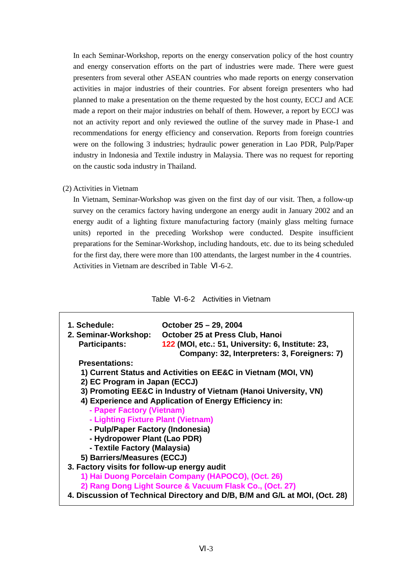In each Seminar-Workshop, reports on the energy conservation policy of the host country and energy conservation efforts on the part of industries were made. There were guest presenters from several other ASEAN countries who made reports on energy conservation activities in major industries of their countries. For absent foreign presenters who had planned to make a presentation on the theme requested by the host county, ECCJ and ACE made a report on their major industries on behalf of them. However, a report by ECCJ was not an activity report and only reviewed the outline of the survey made in Phase-1 and recommendations for energy efficiency and conservation. Reports from foreign countries were on the following 3 industries; hydraulic power generation in Lao PDR, Pulp/Paper industry in Indonesia and Textile industry in Malaysia. There was no request for reporting on the caustic soda industry in Thailand.

(2) Activities in Vietnam

In Vietnam, Seminar-Workshop was given on the first day of our visit. Then, a follow-up survey on the ceramics factory having undergone an energy audit in January 2002 and an energy audit of a lighting fixture manufacturing factory (mainly glass melting furnace units) reported in the preceding Workshop were conducted. Despite insufficient preparations for the Seminar-Workshop, including handouts, etc. due to its being scheduled for the first day, there were more than 100 attendants, the largest number in the 4 countries. Activities in Vietnam are described in Table -6-2.

Table -6-2 Activities in Vietnam

| 1. Schedule:                                 | October 25 - 29, 2004                                                                |  |  |  |  |
|----------------------------------------------|--------------------------------------------------------------------------------------|--|--|--|--|
| 2. Seminar-Workshop:<br><b>Participants:</b> | October 25 at Press Club, Hanoi<br>122 (MOI, etc.: 51, University: 6, Institute: 23, |  |  |  |  |
|                                              | Company: 32, Interpreters: 3, Foreigners: 7)                                         |  |  |  |  |
| <b>Presentations:</b>                        |                                                                                      |  |  |  |  |
|                                              | 1) Current Status and Activities on EE&C in Vietnam (MOI, VN)                        |  |  |  |  |
| 2) EC Program in Japan (ECCJ)                |                                                                                      |  |  |  |  |
|                                              | 3) Promoting EE&C in Industry of Vietnam (Hanoi University, VN)                      |  |  |  |  |
|                                              | 4) Experience and Application of Energy Efficiency in:                               |  |  |  |  |
| - Paper Factory (Vietnam)                    |                                                                                      |  |  |  |  |
| - Lighting Fixture Plant (Vietnam)           |                                                                                      |  |  |  |  |
| - Pulp/Paper Factory (Indonesia)             |                                                                                      |  |  |  |  |
| - Hydropower Plant (Lao PDR)                 |                                                                                      |  |  |  |  |
| - Textile Factory (Malaysia)                 |                                                                                      |  |  |  |  |
| 5) Barriers/Measures (ECCJ)                  |                                                                                      |  |  |  |  |
| 3. Factory visits for follow-up energy audit |                                                                                      |  |  |  |  |
|                                              | 1) Hai Duong Porcelain Company (HAPOCO), (Oct. 26)                                   |  |  |  |  |
|                                              | 2) Rang Dong Light Source & Vacuum Flask Co., (Oct. 27)                              |  |  |  |  |
|                                              | 4. Discussion of Technical Directory and D/B, B/M and G/L at MOI, (Oct. 28)          |  |  |  |  |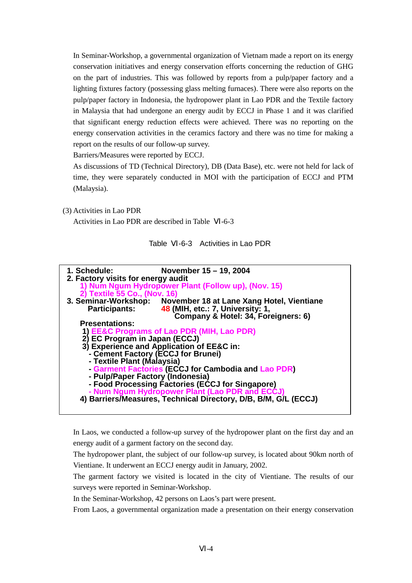In Seminar-Workshop, a governmental organization of Vietnam made a report on its energy conservation initiatives and energy conservation efforts concerning the reduction of GHG on the part of industries. This was followed by reports from a pulp/paper factory and a lighting fixtures factory (possessing glass melting furnaces). There were also reports on the pulp/paper factory in Indonesia, the hydropower plant in Lao PDR and the Textile factory in Malaysia that had undergone an energy audit by ECCJ in Phase 1 and it was clarified that significant energy reduction effects were achieved. There was no reporting on the energy conservation activities in the ceramics factory and there was no time for making a report on the results of our follow-up survey.

Barriers/Measures were reported by ECCJ.

As discussions of TD (Technical Directory), DB (Data Base), etc. were not held for lack of time, they were separately conducted in MOI with the participation of ECCJ and PTM (Malaysia).

(3) Activities in Lao PDR

Activities in Lao PDR are described in Table -6-3

| Table | -6-3 Activities in Lao PDR |
|-------|----------------------------|
|       |                            |



In Laos, we conducted a follow-up survey of the hydropower plant on the first day and an energy audit of a garment factory on the second day.

The hydropower plant, the subject of our follow-up survey, is located about 90km north of Vientiane. It underwent an ECCJ energy audit in January, 2002.

The garment factory we visited is located in the city of Vientiane. The results of our surveys were reported in Seminar-Workshop.

In the Seminar-Workshop, 42 persons on Laos's part were present.

From Laos, a governmental organization made a presentation on their energy conservation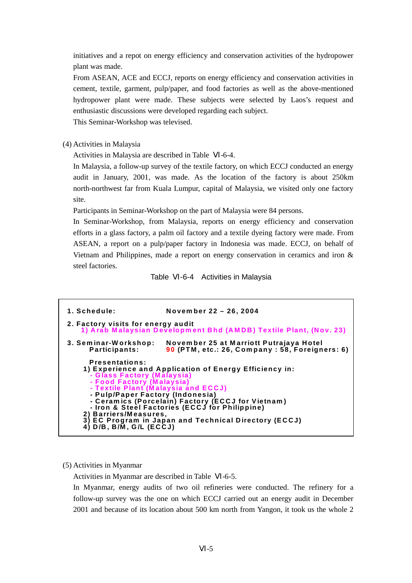initiatives and a repot on energy efficiency and conservation activities of the hydropower plant was made.

From ASEAN, ACE and ECCJ, reports on energy efficiency and conservation activities in cement, textile, garment, pulp/paper, and food factories as well as the above-mentioned hydropower plant were made. These subjects were selected by Laos's request and enthusiastic discussions were developed regarding each subject.

This Seminar-Workshop was televised.

(4) Activities in Malaysia

Activities in Malaysia are described in Table -6-4.

In Malaysia, a follow-up survey of the textile factory, on which ECCJ conducted an energy audit in January, 2001, was made. As the location of the factory is about 250km north-northwest far from Kuala Lumpur, capital of Malaysia, we visited only one factory site.

Participants in Seminar-Workshop on the part of Malaysia were 84 persons.

In Seminar-Workshop, from Malaysia, reports on energy efficiency and conservation efforts in a glass factory, a palm oil factory and a textile dyeing factory were made. From ASEAN, a report on a pulp/paper factory in Indonesia was made. ECCJ, on behalf of Vietnam and Philippines, made a report on energy conservation in ceramics and iron & steel factories.

Table -6-4 Activities in Malaysia

**1. Schedule: Novem ber 22 – 26, 2004 2. Factory visits for energy audit 1) Arab Malaysian Developm ent Bhd (AMDB) Textile Plant, (Nov. 23) 3. Sem inar-W orkshop: Novem ber 25 at Marriott Putrajaya Hotel Participants: 90 (PTM, etc.: 26, Com pany : 58, Foreigners: 6) Presentations: 1) Experience and Application of Energy Efficiency in: - Glass Factory (Malaysia) - Food Factory (Malaysia) - Textile Plant (Malaysia and ECCJ) - Pulp/Paper Factory (Indonesia) - Ceram ics (Porcelain) Factory (ECCJ for Vietnam ) - Iron & Steel Factories (ECCJ for Philippine) 2) Barriers/Measures, 3) EC Program in Japan and Technical Directory (ECCJ) 4) D/B, B/M, G/L (ECCJ)**

#### (5) Activities in Myanmar

Activities in Myanmar are described in Table -6-5.

In Myanmar, energy audits of two oil refineries were conducted. The refinery for a follow-up survey was the one on which ECCJ carried out an energy audit in December 2001 and because of its location about 500 km north from Yangon, it took us the whole 2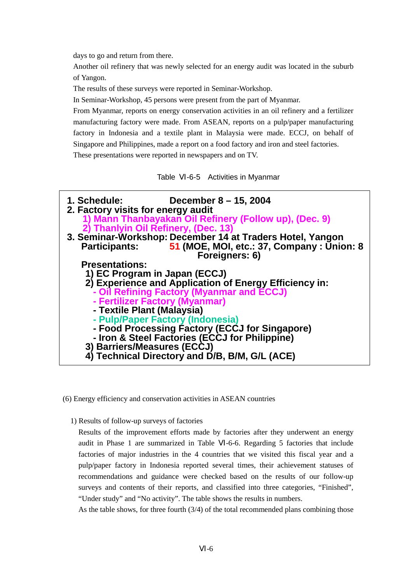days to go and return from there.

 $\overline{r}$ 

Another oil refinery that was newly selected for an energy audit was located in the suburb of Yangon.

The results of these surveys were reported in Seminar-Workshop.

In Seminar-Workshop, 45 persons were present from the part of Myanmar.

From Myanmar, reports on energy conservation activities in an oil refinery and a fertilizer manufacturing factory were made. From ASEAN, reports on a pulp/paper manufacturing factory in Indonesia and a textile plant in Malaysia were made. ECCJ, on behalf of Singapore and Philippines, made a report on a food factory and iron and steel factories. These presentations were reported in newspapers and on TV.

Table -6-5 Activities in Myanmar

| <b>1. Schedule: the contract of the contract of the contract of the control of the contract of the contract of the contract of the contract of the contract of the contract of the contract of the contract of the contract of</b><br>December 8 – 15, 2004<br>2. Factory visits for energy audit<br>1) Mann Thanbayakan Oil Refinery (Follow up), (Dec. 9)<br>2) Thanlyin Oil Refinery, (Dec. 13) |
|----------------------------------------------------------------------------------------------------------------------------------------------------------------------------------------------------------------------------------------------------------------------------------------------------------------------------------------------------------------------------------------------------|
| 3. Seminar-Workshop: December 14 at Traders Hotel, Yangon<br>Participants: 51 (MOE, MOI, etc.: 37, Company : Union: 8<br>Foreigners: 6)                                                                                                                                                                                                                                                            |
| <b>Presentations:</b>                                                                                                                                                                                                                                                                                                                                                                              |
| 1) EC Program in Japan (ECCJ)                                                                                                                                                                                                                                                                                                                                                                      |
| 2) Experience and Application of Energy Efficiency in:                                                                                                                                                                                                                                                                                                                                             |
| - Oil Refining Factory (Myanmar and ECCJ)                                                                                                                                                                                                                                                                                                                                                          |
| - Fertilizer Factory (Myanmar)                                                                                                                                                                                                                                                                                                                                                                     |
| - Textile Plant (Malaysia)                                                                                                                                                                                                                                                                                                                                                                         |
| - Pulp/Paper Factory (Indonesia)                                                                                                                                                                                                                                                                                                                                                                   |
| - Food Processing Factory (ECCJ for Singapore)                                                                                                                                                                                                                                                                                                                                                     |
| - Iron & Steel Factories (ECCJ for Philippine)                                                                                                                                                                                                                                                                                                                                                     |
| 3) Barriers/Measures (ECCJ)                                                                                                                                                                                                                                                                                                                                                                        |
| Technical Directory and D/B, B/M, G/L (ACE)                                                                                                                                                                                                                                                                                                                                                        |

(6) Energy efficiency and conservation activities in ASEAN countries

#### 1) Results of follow-up surveys of factories

Results of the improvement efforts made by factories after they underwent an energy audit in Phase 1 are summarized in Table -6-6. Regarding 5 factories that include factories of major industries in the 4 countries that we visited this fiscal year and a pulp/paper factory in Indonesia reported several times, their achievement statuses of recommendations and guidance were checked based on the results of our follow-up surveys and contents of their reports, and classified into three categories, "Finished", "Under study" and "No activity". The table shows the results in numbers.

As the table shows, for three fourth (3/4) of the total recommended plans combining those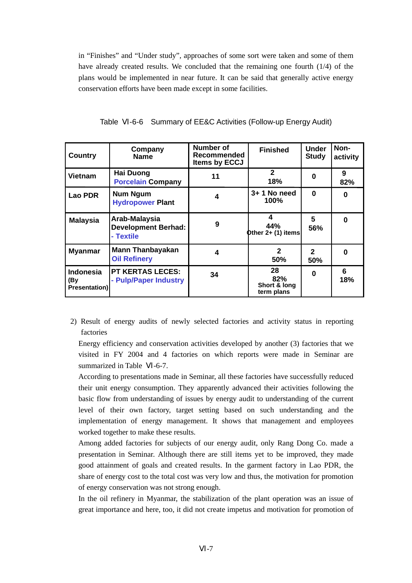in "Finishes" and "Under study", approaches of some sort were taken and some of them have already created results. We concluded that the remaining one fourth (1/4) of the plans would be implemented in near future. It can be said that generally active energy conservation efforts have been made except in some facilities.

| <b>Country</b>                                  | Company<br><b>Name</b>                                   | Number of<br>Recommended<br><b>Items by ECCJ</b> | <b>Finished</b>                         | <b>Under</b><br><b>Study</b> | Non-<br>activity |
|-------------------------------------------------|----------------------------------------------------------|--------------------------------------------------|-----------------------------------------|------------------------------|------------------|
| <b>Vietnam</b>                                  | <b>Hai Duong</b><br><b>Porcelain Company</b>             | 11                                               | $\mathbf{2}$<br>18%                     |                              | 9<br>82%         |
| Lao PDR                                         | <b>Num Ngum</b><br><b>Hydropower Plant</b>               | 4                                                | $3+1$ No need<br>100%                   | 0                            | 0                |
| <b>Malaysia</b>                                 | Arab-Malaysia<br><b>Development Berhad:</b><br>- Textile | 9                                                | 4<br>44%<br>Other $2+ (1)$ items        | 5<br>56%                     | 0                |
| <b>Myanmar</b>                                  | <b>Mann Thanbayakan</b><br><b>Oil Refinery</b>           | 4                                                | $\mathbf{2}$<br>50%                     | $\mathbf{2}$<br>50%          | 0                |
| <b>Indonesia</b><br>(By<br><b>Presentation)</b> | <b>PT KERTAS LECES:</b><br>- Pulp/Paper Industry         | 34                                               | 28<br>82%<br>Short & long<br>term plans | 0                            | 6<br>18%         |

Table -6-6 Summary of EE&C Activities (Follow-up Energy Audit)

2) Result of energy audits of newly selected factories and activity status in reporting factories

Energy efficiency and conservation activities developed by another (3) factories that we visited in FY 2004 and 4 factories on which reports were made in Seminar are summarized in Table -6-7.

According to presentations made in Seminar, all these factories have successfully reduced their unit energy consumption. They apparently advanced their activities following the basic flow from understanding of issues by energy audit to understanding of the current level of their own factory, target setting based on such understanding and the implementation of energy management. It shows that management and employees worked together to make these results.

Among added factories for subjects of our energy audit, only Rang Dong Co. made a presentation in Seminar. Although there are still items yet to be improved, they made good attainment of goals and created results. In the garment factory in Lao PDR, the share of energy cost to the total cost was very low and thus, the motivation for promotion of energy conservation was not strong enough.

In the oil refinery in Myanmar, the stabilization of the plant operation was an issue of great importance and here, too, it did not create impetus and motivation for promotion of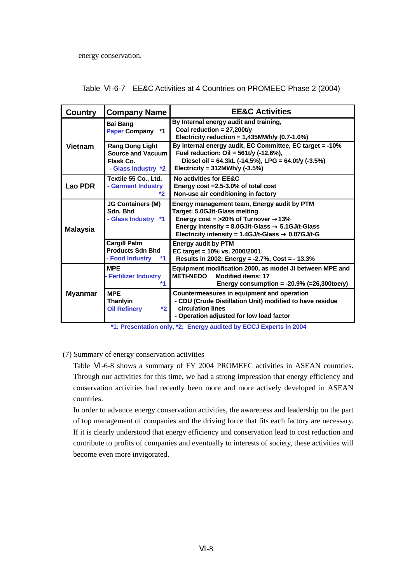energy conservation.

|  |  | Table -6-7 EE&C Activities at 4 Countries on PROMEEC Phase 2 (2004) |
|--|--|---------------------------------------------------------------------|
|--|--|---------------------------------------------------------------------|

| <b>Country</b>  | <b>Company Name</b>                                                             | <b>EE&amp;C Activities</b>                                                                                                                                                                                                        |  |  |  |
|-----------------|---------------------------------------------------------------------------------|-----------------------------------------------------------------------------------------------------------------------------------------------------------------------------------------------------------------------------------|--|--|--|
|                 | <b>Bai Bang</b><br>$*1$<br><b>Paper Company</b>                                 | By Internal energy audit and training,<br>Coal reduction = $27,200t/y$<br>Electricity reduction = $1,435$ MWh/y (0.7-1.0%)                                                                                                        |  |  |  |
| <b>Vietnam</b>  | <b>Rang Dong Light</b><br>Source and Vacuum<br>Flask Co.<br>- Glass Industry *2 | By internal energy audit, EC Committee, EC target = -10%<br>Fuel reduction: $Oil = 561t/y$ (-12.6%),<br>Diesel oil = 64.3kL (-14.5%), LPG = 64.0t/y (-3.5%)<br>Electricity = $312MWh/y$ (-3.5%)                                   |  |  |  |
| Lao PDR         | Textile 55 Co., Ltd.<br>- Garment Industry<br>$*$                               | No activities for EE&C<br>Energy cost = 2.5-3.0% of total cost<br>Non-use air conditioning in factory                                                                                                                             |  |  |  |
| <b>Malaysia</b> | <b>JG Containers (M)</b><br>Sdn. Bhd<br>- Glass Industry *1                     | Energy management team, Energy audit by PTM<br>Target: 5.0GJ/t-Glass melting<br>Energy $cost = >20\%$ of Turnover 13%<br>Energy intensity = 8.0GJ/t-Glass 5.1GJ/t-Glass<br>Electricity intensity = 1.4GJ/t-Glass<br>$0.87$ GJ/t-G |  |  |  |
|                 | <b>Cargill Palm</b><br><b>Products Sdn Bhd</b><br>- Food Industry<br>*1         | <b>Energy audit by PTM</b><br>EC target = 10% vs. 2000/2001<br>Results in 2002: Energy = -2.7%, Cost = - 13.3%                                                                                                                    |  |  |  |
|                 | <b>MPF</b><br><b>Fertilizer Industry</b><br>*1                                  | Equipment modification 2000, as model JI between MPE and<br><b>Modified items: 17</b><br><b>METI-NEDO</b><br>Energy consumption = $-20.9\%$ (=26,300toe/y)                                                                        |  |  |  |
| <b>Myanmar</b>  | <b>MPE</b><br><b>Thanlyin</b><br><b>Oil Refinery</b><br>$*2$                    | Countermeasures in equipment and operation<br>- CDU (Crude Distillation Unit) modified to have residue<br>circulation lines<br>- Operation adjusted for low load factor                                                           |  |  |  |

 **\*1: Presentation only, \*2: Energy audited by ECCJ Experts in 2004**

## (7) Summary of energy conservation activities

Table -6-8 shows a summary of FY 2004 PROMEEC activities in ASEAN countries. Through our activities for this time, we had a strong impression that energy efficiency and conservation activities had recently been more and more actively developed in ASEAN countries.

In order to advance energy conservation activities, the awareness and leadership on the part of top management of companies and the driving force that fits each factory are necessary. If it is clearly understood that energy efficiency and conservation lead to cost reduction and contribute to profits of companies and eventually to interests of society, these activities will become even more invigorated.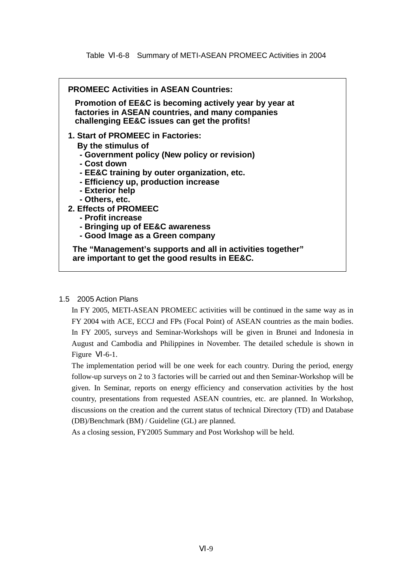| <b>PROMEEC Activities in ASEAN Countries:</b>                                                                                                                                                                                                                                                                                                                          |
|------------------------------------------------------------------------------------------------------------------------------------------------------------------------------------------------------------------------------------------------------------------------------------------------------------------------------------------------------------------------|
| Promotion of EE&C is becoming actively year by year at<br>factories in ASEAN countries, and many companies<br>challenging EE&C issues can get the profits!                                                                                                                                                                                                             |
| 1. Start of PROMEEC in Factories:<br>By the stimulus of<br>- Government policy (New policy or revision)<br>- Cost down<br>- EE&C training by outer organization, etc.<br>- Efficiency up, production increase<br>- Exterior help<br>- Others, etc.<br>2. Effects of PROMEEC<br>- Profit increase<br>- Bringing up of EE&C awareness<br>- Good Image as a Green company |
| The "Management's supports and all in activities together"<br>are important to get the good results in EE&C.                                                                                                                                                                                                                                                           |

#### 1.5 2005 Action Plans

In FY 2005, METI-ASEAN PROMEEC activities will be continued in the same way as in FY 2004 with ACE, ECCJ and FPs (Focal Point) of ASEAN countries as the main bodies. In FY 2005, surveys and Seminar-Workshops will be given in Brunei and Indonesia in August and Cambodia and Philippines in November. The detailed schedule is shown in Figure  $-6-1$ .

The implementation period will be one week for each country. During the period, energy follow-up surveys on 2 to 3 factories will be carried out and then Seminar-Workshop will be given. In Seminar, reports on energy efficiency and conservation activities by the host country, presentations from requested ASEAN countries, etc. are planned. In Workshop, discussions on the creation and the current status of technical Directory (TD) and Database (DB)/Benchmark (BM) / Guideline (GL) are planned.

As a closing session, FY2005 Summary and Post Workshop will be held.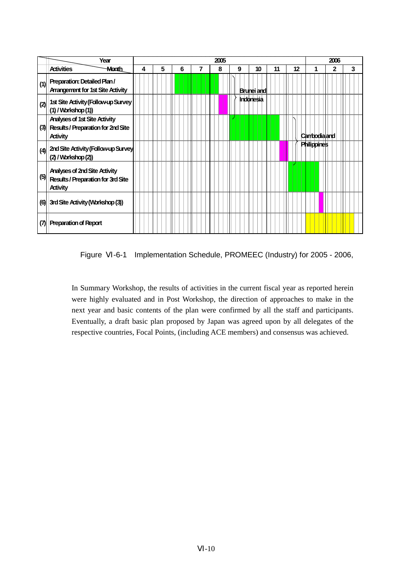|     | Year                                                                                                 |   |   |   | 2005 |   |                   |    |    |                     | 2006 |   |
|-----|------------------------------------------------------------------------------------------------------|---|---|---|------|---|-------------------|----|----|---------------------|------|---|
|     | <b>Activities</b><br><b>Month</b>                                                                    | 4 | 5 | 6 | 8    | 9 | 10                | 11 | 12 |                     | 2    | 3 |
| (1) | Preparation: Detailed Plan/<br><b>Arrangement for 1st Site Activity</b>                              |   |   |   |      |   | <b>Brunei and</b> |    |    |                     |      |   |
| (2) | 1st Site Activity (Follow-up Survey<br>$(1)$ / Workshop $(1)$ )                                      |   |   |   |      |   | Indonesia         |    |    |                     |      |   |
| (3) | <b>Analyses of 1st Site Activity</b><br><b>Results / Preparation for 2nd Site</b><br><b>Activity</b> |   |   |   |      |   |                   |    |    | <b>Canbodialand</b> |      |   |
|     | (4) 2nd Site Activity (Follow-up Survey<br>$(2)$ / Workshop $(2)$                                    |   |   |   |      |   |                   |    |    | <b>Philippines</b>  |      |   |
| (5) | <b>Analyses of 2nd Site Activity</b><br>Results / Preparation for 3rd Site<br><b>Activity</b>        |   |   |   |      |   |                   |    |    |                     |      |   |
|     | (6) 3rd Site Activity (Workshop (3))                                                                 |   |   |   |      |   |                   |    |    |                     |      |   |
| (7) | <b>Preparation of Report</b>                                                                         |   |   |   |      |   |                   |    |    |                     |      |   |

Figure -6-1 Implementation Schedule, PROMEEC (Industry) for 2005 - 2006,

In Summary Workshop, the results of activities in the current fiscal year as reported herein were highly evaluated and in Post Workshop, the direction of approaches to make in the next year and basic contents of the plan were confirmed by all the staff and participants. Eventually, a draft basic plan proposed by Japan was agreed upon by all delegates of the respective countries, Focal Points, (including ACE members) and consensus was achieved.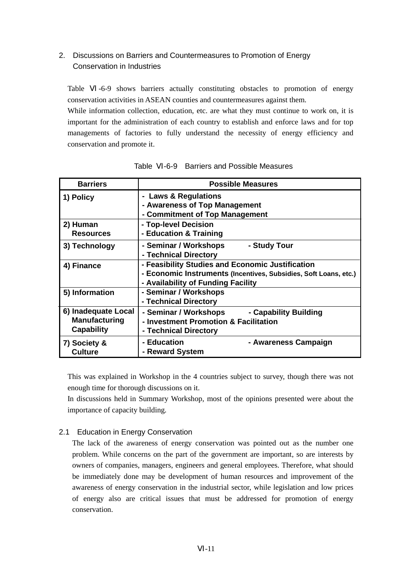## 2. Discussions on Barriers and Countermeasures to Promotion of Energy Conservation in Industries

Table -6-9 shows barriers actually constituting obstacles to promotion of energy conservation activities in ASEAN counties and countermeasures against them.

While information collection, education, etc. are what they must continue to work on, it is important for the administration of each country to establish and enforce laws and for top managements of factories to fully understand the necessity of energy efficiency and conservation and promote it.

| <b>Barriers</b>                                                  | <b>Possible Measures</b>                                                                                                                                   |
|------------------------------------------------------------------|------------------------------------------------------------------------------------------------------------------------------------------------------------|
| 1) Policy                                                        | - Laws & Regulations<br>- Awareness of Top Management<br>- Commitment of Top Management                                                                    |
| 2) Human<br><b>Resources</b>                                     | - Top-level Decision<br>- Education & Training                                                                                                             |
| 3) Technology                                                    | - Seminar / Workshops<br>- Study Tour<br>- Technical Directory                                                                                             |
| 4) Finance                                                       | - Feasibility Studies and Economic Justification<br>- Economic Instruments (Incentives, Subsidies, Soft Loans, etc.)<br>- Availability of Funding Facility |
| 5) Information                                                   | - Seminar / Workshops<br>- Technical Directory                                                                                                             |
| 6) Inadequate Local<br><b>Manufacturing</b><br><b>Capability</b> | - Seminar / Workshops<br>- Capability Building<br>- Investment Promotion & Facilitation<br>- Technical Directory                                           |
| 7) Society &<br><b>Culture</b>                                   | - Education<br>- Awareness Campaign<br>- Reward System                                                                                                     |

| Table | -6-9 Barriers and Possible Measures |
|-------|-------------------------------------|
|       |                                     |

This was explained in Workshop in the 4 countries subject to survey, though there was not enough time for thorough discussions on it.

In discussions held in Summary Workshop, most of the opinions presented were about the importance of capacity building.

## 2.1 Education in Energy Conservation

The lack of the awareness of energy conservation was pointed out as the number one problem. While concerns on the part of the government are important, so are interests by owners of companies, managers, engineers and general employees. Therefore, what should be immediately done may be development of human resources and improvement of the awareness of energy conservation in the industrial sector, while legislation and low prices of energy also are critical issues that must be addressed for promotion of energy conservation.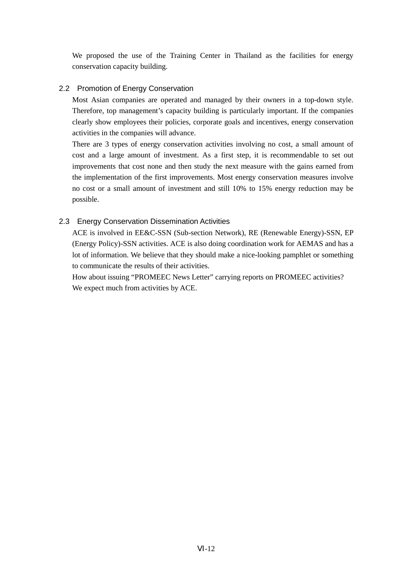We proposed the use of the Training Center in Thailand as the facilities for energy conservation capacity building.

### 2.2 Promotion of Energy Conservation

Most Asian companies are operated and managed by their owners in a top-down style. Therefore, top management's capacity building is particularly important. If the companies clearly show employees their policies, corporate goals and incentives, energy conservation activities in the companies will advance.

There are 3 types of energy conservation activities involving no cost, a small amount of cost and a large amount of investment. As a first step, it is recommendable to set out improvements that cost none and then study the next measure with the gains earned from the implementation of the first improvements. Most energy conservation measures involve no cost or a small amount of investment and still 10% to 15% energy reduction may be possible.

### 2.3 Energy Conservation Dissemination Activities

ACE is involved in EE&C-SSN (Sub-section Network), RE (Renewable Energy)-SSN, EP (Energy Policy)-SSN activities. ACE is also doing coordination work for AEMAS and has a lot of information. We believe that they should make a nice-looking pamphlet or something to communicate the results of their activities.

How about issuing "PROMEEC News Letter" carrying reports on PROMEEC activities? We expect much from activities by ACE.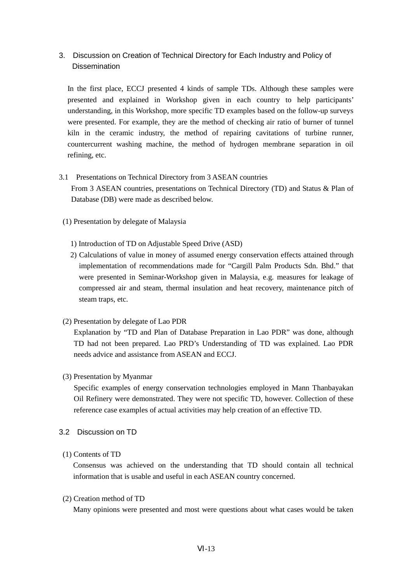## 3. Discussion on Creation of Technical Directory for Each Industry and Policy of **Dissemination**

In the first place, ECCJ presented 4 kinds of sample TDs. Although these samples were presented and explained in Workshop given in each country to help participants' understanding, in this Workshop, more specific TD examples based on the follow-up surveys were presented. For example, they are the method of checking air ratio of burner of tunnel kiln in the ceramic industry, the method of repairing cavitations of turbine runner, countercurrent washing machine, the method of hydrogen membrane separation in oil refining, etc.

# 3.1 Presentations on Technical Directory from 3 ASEAN countries

From 3 ASEAN countries, presentations on Technical Directory (TD) and Status & Plan of Database (DB) were made as described below.

- (1) Presentation by delegate of Malaysia
	- 1) Introduction of TD on Adjustable Speed Drive (ASD)
	- 2) Calculations of value in money of assumed energy conservation effects attained through implementation of recommendations made for "Cargill Palm Products Sdn. Bhd." that were presented in Seminar-Workshop given in Malaysia, e.g. measures for leakage of compressed air and steam, thermal insulation and heat recovery, maintenance pitch of steam traps, etc.
- (2) Presentation by delegate of Lao PDR

Explanation by "TD and Plan of Database Preparation in Lao PDR" was done, although TD had not been prepared. Lao PRD's Understanding of TD was explained. Lao PDR needs advice and assistance from ASEAN and ECCJ.

(3) Presentation by Myanmar

Specific examples of energy conservation technologies employed in Mann Thanbayakan Oil Refinery were demonstrated. They were not specific TD, however. Collection of these reference case examples of actual activities may help creation of an effective TD.

- 3.2 Discussion on TD
- (1) Contents of TD

Consensus was achieved on the understanding that TD should contain all technical information that is usable and useful in each ASEAN country concerned.

(2) Creation method of TD

Many opinions were presented and most were questions about what cases would be taken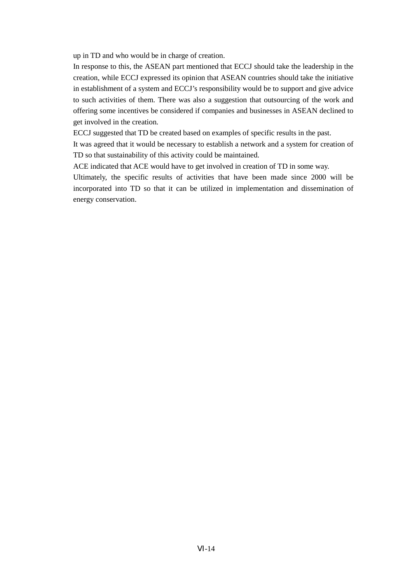up in TD and who would be in charge of creation.

In response to this, the ASEAN part mentioned that ECCJ should take the leadership in the creation, while ECCJ expressed its opinion that ASEAN countries should take the initiative in establishment of a system and ECCJ's responsibility would be to support and give advice to such activities of them. There was also a suggestion that outsourcing of the work and offering some incentives be considered if companies and businesses in ASEAN declined to get involved in the creation.

ECCJ suggested that TD be created based on examples of specific results in the past.

It was agreed that it would be necessary to establish a network and a system for creation of TD so that sustainability of this activity could be maintained.

ACE indicated that ACE would have to get involved in creation of TD in some way.

Ultimately, the specific results of activities that have been made since 2000 will be incorporated into TD so that it can be utilized in implementation and dissemination of energy conservation.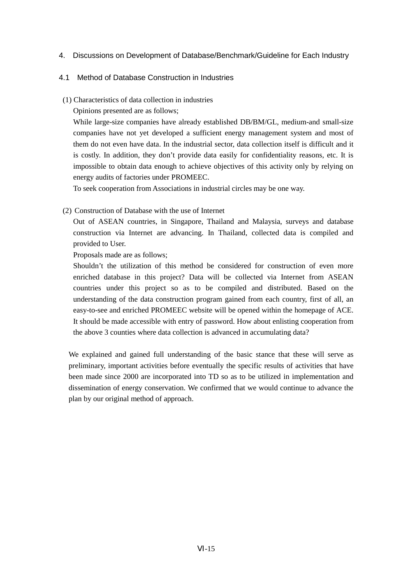### 4. Discussions on Development of Database/Benchmark/Guideline for Each Industry

#### 4.1 Method of Database Construction in Industries

- (1) Characteristics of data collection in industries
	- Opinions presented are as follows;

While large-size companies have already established DB/BM/GL, medium-and small-size companies have not yet developed a sufficient energy management system and most of them do not even have data. In the industrial sector, data collection itself is difficult and it is costly. In addition, they don't provide data easily for confidentiality reasons, etc. It is impossible to obtain data enough to achieve objectives of this activity only by relying on energy audits of factories under PROMEEC.

To seek cooperation from Associations in industrial circles may be one way.

(2) Construction of Database with the use of Internet

Out of ASEAN countries, in Singapore, Thailand and Malaysia, surveys and database construction via Internet are advancing. In Thailand, collected data is compiled and provided to User.

Proposals made are as follows;

Shouldn't the utilization of this method be considered for construction of even more enriched database in this project? Data will be collected via Internet from ASEAN countries under this project so as to be compiled and distributed. Based on the understanding of the data construction program gained from each country, first of all, an easy-to-see and enriched PROMEEC website will be opened within the homepage of ACE. It should be made accessible with entry of password. How about enlisting cooperation from the above 3 counties where data collection is advanced in accumulating data?

We explained and gained full understanding of the basic stance that these will serve as preliminary, important activities before eventually the specific results of activities that have been made since 2000 are incorporated into TD so as to be utilized in implementation and dissemination of energy conservation. We confirmed that we would continue to advance the plan by our original method of approach.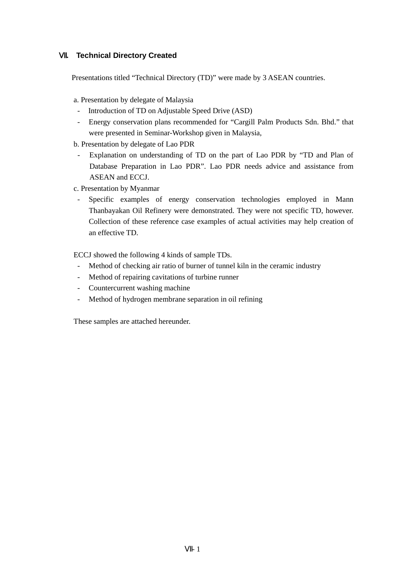## Ⅶ**. Technical Directory Created**

Presentations titled "Technical Directory (TD)" were made by 3 ASEAN countries.

a. Presentation by delegate of Malaysia

- Introduction of TD on Adjustable Speed Drive (ASD)
- Energy conservation plans recommended for "Cargill Palm Products Sdn. Bhd." that were presented in Seminar-Workshop given in Malaysia,
- b. Presentation by delegate of Lao PDR
- Explanation on understanding of TD on the part of Lao PDR by "TD and Plan of Database Preparation in Lao PDR". Lao PDR needs advice and assistance from ASEAN and ECCJ.
- c. Presentation by Myanmar
	- Specific examples of energy conservation technologies employed in Mann Thanbayakan Oil Refinery were demonstrated. They were not specific TD, however. Collection of these reference case examples of actual activities may help creation of an effective TD.

ECCJ showed the following 4 kinds of sample TDs.

- Method of checking air ratio of burner of tunnel kiln in the ceramic industry
- Method of repairing cavitations of turbine runner
- Countercurrent washing machine
- Method of hydrogen membrane separation in oil refining

These samples are attached hereunder.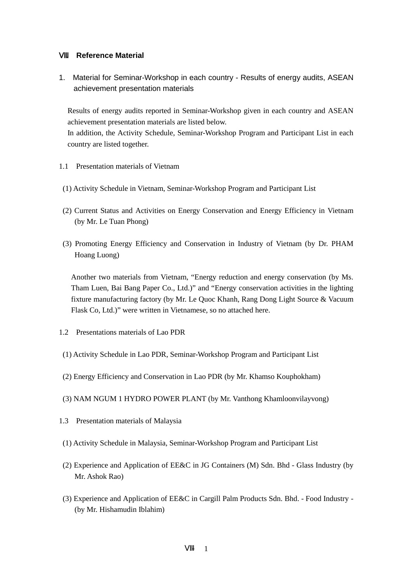### Ⅷ**. Reference Material**

1. Material for Seminar-Workshop in each country - Results of energy audits, ASEAN achievement presentation materials

Results of energy audits reported in Seminar-Workshop given in each country and ASEAN achievement presentation materials are listed below. In addition, the Activity Schedule, Seminar-Workshop Program and Participant List in each country are listed together.

- 1.1 Presentation materials of Vietnam
- (1) Activity Schedule in Vietnam, Seminar-Workshop Program and Participant List
- (2) Current Status and Activities on Energy Conservation and Energy Efficiency in Vietnam (by Mr. Le Tuan Phong)
- (3) Promoting Energy Efficiency and Conservation in Industry of Vietnam (by Dr. PHAM Hoang Luong)

Another two materials from Vietnam, "Energy reduction and energy conservation (by Ms. Tham Luen, Bai Bang Paper Co., Ltd.)" and "Energy conservation activities in the lighting fixture manufacturing factory (by Mr. Le Quoc Khanh, Rang Dong Light Source & Vacuum Flask Co, Ltd.)" were written in Vietnamese, so no attached here.

- 1.2 Presentations materials of Lao PDR
- (1) Activity Schedule in Lao PDR, Seminar-Workshop Program and Participant List
- (2) Energy Efficiency and Conservation in Lao PDR (by Mr. Khamso Kouphokham)
- (3) NAM NGUM 1 HYDRO POWER PLANT (by Mr. Vanthong Khamloonvilayvong)
- 1.3 Presentation materials of Malaysia
- (1) Activity Schedule in Malaysia, Seminar-Workshop Program and Participant List
- (2) Experience and Application of EE&C in JG Containers (M) Sdn. Bhd Glass Industry (by Mr. Ashok Rao)
- (3) Experience and Application of EE&C in Cargill Palm Products Sdn. Bhd. Food Industry (by Mr. Hishamudin Iblahim)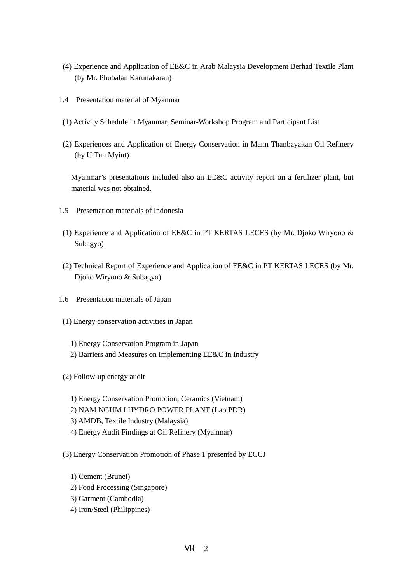- (4) Experience and Application of EE&C in Arab Malaysia Development Berhad Textile Plant (by Mr. Phubalan Karunakaran)
- 1.4 Presentation material of Myanmar
- (1) Activity Schedule in Myanmar, Seminar-Workshop Program and Participant List
- (2) Experiences and Application of Energy Conservation in Mann Thanbayakan Oil Refinery (by U Tun Myint)

Myanmar's presentations included also an EE&C activity report on a fertilizer plant, but material was not obtained.

- 1.5 Presentation materials of Indonesia
- (1) Experience and Application of EE&C in PT KERTAS LECES (by Mr. Djoko Wiryono & Subagyo)
- (2) Technical Report of Experience and Application of EE&C in PT KERTAS LECES (by Mr. Djoko Wiryono & Subagyo)
- 1.6 Presentation materials of Japan
- (1) Energy conservation activities in Japan
	- 1) Energy Conservation Program in Japan
	- 2) Barriers and Measures on Implementing EE&C in Industry
- (2) Follow-up energy audit
	- 1) Energy Conservation Promotion, Ceramics (Vietnam)
	- 2) NAM NGUM I HYDRO POWER PLANT (Lao PDR)
	- 3) AMDB, Textile Industry (Malaysia)
	- 4) Energy Audit Findings at Oil Refinery (Myanmar)
- (3) Energy Conservation Promotion of Phase 1 presented by ECCJ
	- 1) Cement (Brunei)
	- 2) Food Processing (Singapore)
	- 3) Garment (Cambodia)
	- 4) Iron/Steel (Philippines)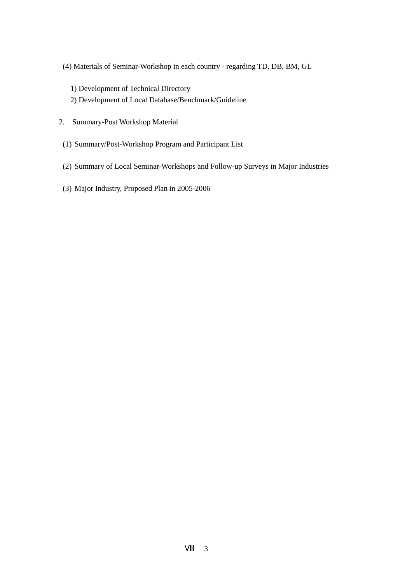- (4) Materials of Seminar-Workshop in each country regarding TD, DB, BM, GL
	- 1) Development of Technical Directory
	- 2) Development of Local Database/Benchmark/Guideline
- 2. Summary-Post Workshop Material
- (1) Summary/Post-Workshop Program and Participant List
- (2) Summary of Local Seminar-Workshops and Follow-up Surveys in Major Industries
- (3) Major Industry, Proposed Plan in 2005-2006